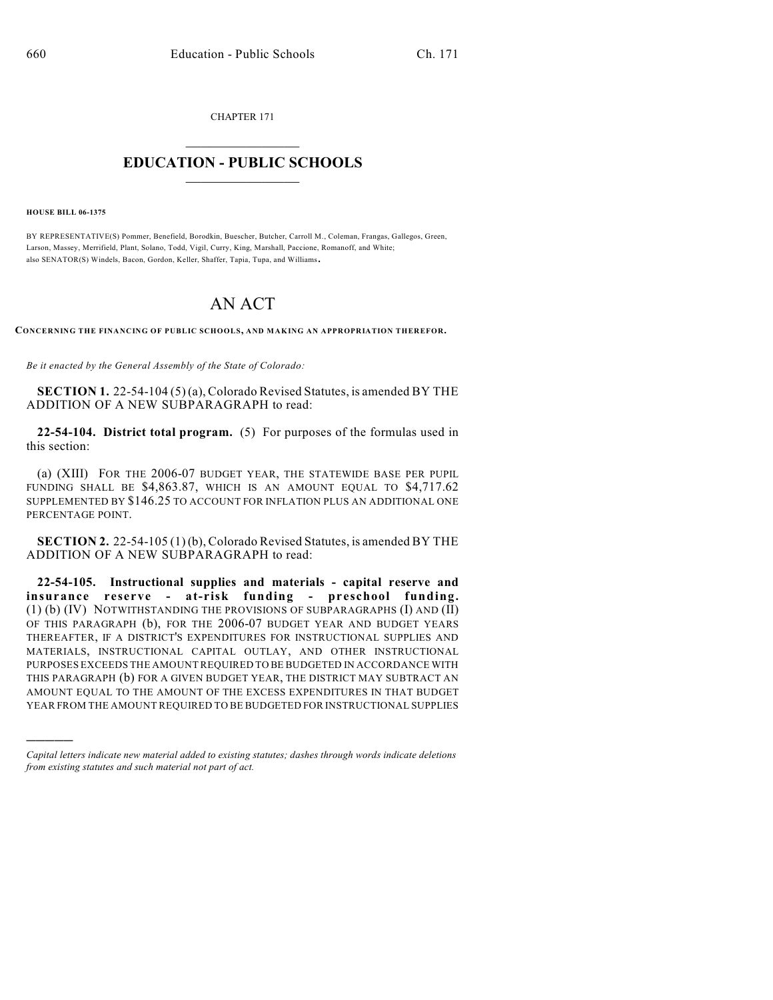CHAPTER 171  $\mathcal{L}_\text{max}$  . The set of the set of the set of the set of the set of the set of the set of the set of the set of the set of the set of the set of the set of the set of the set of the set of the set of the set of the set

## **EDUCATION - PUBLIC SCHOOLS**  $\_$   $\_$   $\_$   $\_$   $\_$   $\_$   $\_$   $\_$   $\_$

**HOUSE BILL 06-1375**

)))))

BY REPRESENTATIVE(S) Pommer, Benefield, Borodkin, Buescher, Butcher, Carroll M., Coleman, Frangas, Gallegos, Green, Larson, Massey, Merrifield, Plant, Solano, Todd, Vigil, Curry, King, Marshall, Paccione, Romanoff, and White; also SENATOR(S) Windels, Bacon, Gordon, Keller, Shaffer, Tapia, Tupa, and Williams.

# AN ACT

**CONCERNING THE FINANCING OF PUBLIC SCHOOLS, AND MAKING AN APPROPRIATION THEREFOR.**

*Be it enacted by the General Assembly of the State of Colorado:*

**SECTION 1.** 22-54-104 (5) (a), Colorado Revised Statutes, is amended BY THE ADDITION OF A NEW SUBPARAGRAPH to read:

**22-54-104. District total program.** (5) For purposes of the formulas used in this section:

(a) (XIII) FOR THE 2006-07 BUDGET YEAR, THE STATEWIDE BASE PER PUPIL FUNDING SHALL BE \$4,863.87, WHICH IS AN AMOUNT EQUAL TO \$4,717.62 SUPPLEMENTED BY \$146.25 TO ACCOUNT FOR INFLATION PLUS AN ADDITIONAL ONE PERCENTAGE POINT.

**SECTION 2.** 22-54-105 (1) (b), Colorado Revised Statutes, is amended BY THE ADDITION OF A NEW SUBPARAGRAPH to read:

**22-54-105. Instructional supplies and materials - capital reserve and insurance reserve - at-risk funding - preschool funding.** (1) (b) (IV) NOTWITHSTANDING THE PROVISIONS OF SUBPARAGRAPHS (I) AND (II) OF THIS PARAGRAPH (b), FOR THE 2006-07 BUDGET YEAR AND BUDGET YEARS THEREAFTER, IF A DISTRICT'S EXPENDITURES FOR INSTRUCTIONAL SUPPLIES AND MATERIALS, INSTRUCTIONAL CAPITAL OUTLAY, AND OTHER INSTRUCTIONAL PURPOSES EXCEEDS THE AMOUNT REQUIRED TO BE BUDGETED IN ACCORDANCE WITH THIS PARAGRAPH (b) FOR A GIVEN BUDGET YEAR, THE DISTRICT MAY SUBTRACT AN AMOUNT EQUAL TO THE AMOUNT OF THE EXCESS EXPENDITURES IN THAT BUDGET YEAR FROM THE AMOUNT REQUIRED TO BE BUDGETED FOR INSTRUCTIONAL SUPPLIES

*Capital letters indicate new material added to existing statutes; dashes through words indicate deletions from existing statutes and such material not part of act.*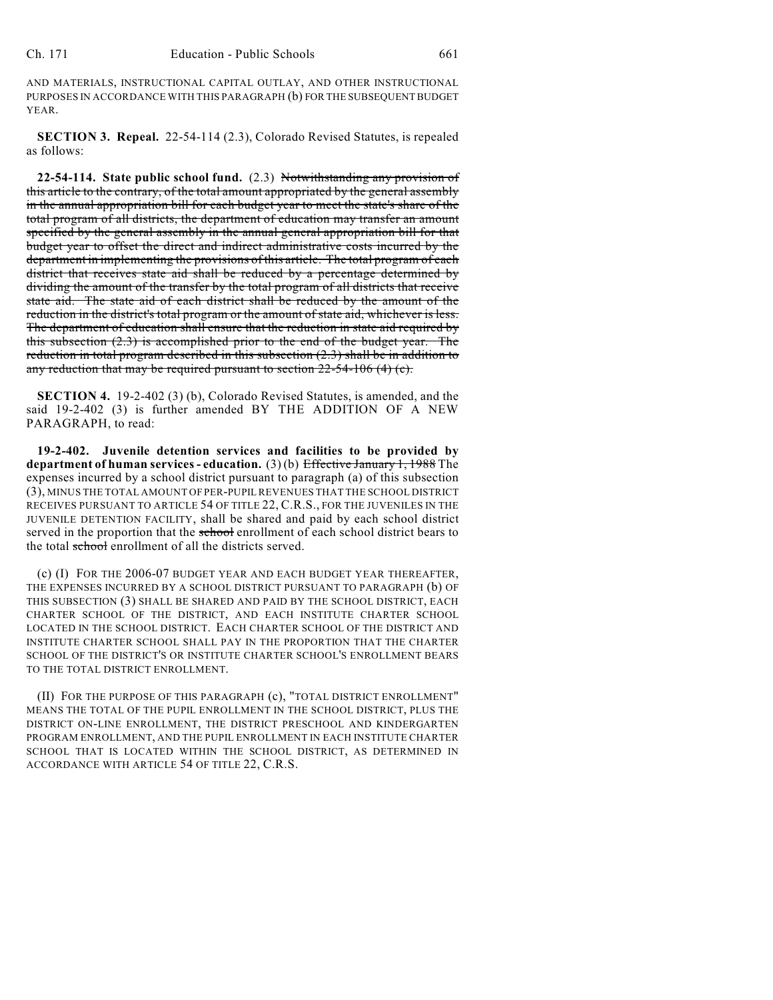AND MATERIALS, INSTRUCTIONAL CAPITAL OUTLAY, AND OTHER INSTRUCTIONAL PURPOSES IN ACCORDANCE WITH THIS PARAGRAPH (b) FOR THE SUBSEQUENT BUDGET YEAR.

**SECTION 3. Repeal.** 22-54-114 (2.3), Colorado Revised Statutes, is repealed as follows:

**22-54-114. State public school fund.** (2.3) Notwithstanding any provision of this article to the contrary, of the total amount appropriated by the general assembly in the annual appropriation bill for each budget year to meet the state's share of the total program of all districts, the department of education may transfer an amount specified by the general assembly in the annual general appropriation bill for that budget year to offset the direct and indirect administrative costs incurred by the department in implementing the provisions of this article. The total program of each district that receives state aid shall be reduced by a percentage determined by dividing the amount of the transfer by the total program of all districts that receive state aid. The state aid of each district shall be reduced by the amount of the reduction in the district's total program or the amount of state aid, whichever is less. The department of education shall ensure that the reduction in state aid required by this subsection (2.3) is accomplished prior to the end of the budget year. The reduction in total program described in this subsection (2.3) shall be in addition to any reduction that may be required pursuant to section  $22-54-106$  (4) (c).

**SECTION 4.** 19-2-402 (3) (b), Colorado Revised Statutes, is amended, and the said 19-2-402 (3) is further amended BY THE ADDITION OF A NEW PARAGRAPH, to read:

**19-2-402. Juvenile detention services and facilities to be provided by department of human services - education.** (3) (b) Effective January 1, 1988 The expenses incurred by a school district pursuant to paragraph (a) of this subsection (3), MINUS THE TOTAL AMOUNT OF PER-PUPIL REVENUES THAT THE SCHOOL DISTRICT RECEIVES PURSUANT TO ARTICLE 54 OF TITLE 22, C.R.S., FOR THE JUVENILES IN THE JUVENILE DETENTION FACILITY, shall be shared and paid by each school district served in the proportion that the school enrollment of each school district bears to the total school enrollment of all the districts served.

(c) (I) FOR THE 2006-07 BUDGET YEAR AND EACH BUDGET YEAR THEREAFTER, THE EXPENSES INCURRED BY A SCHOOL DISTRICT PURSUANT TO PARAGRAPH (b) OF THIS SUBSECTION (3) SHALL BE SHARED AND PAID BY THE SCHOOL DISTRICT, EACH CHARTER SCHOOL OF THE DISTRICT, AND EACH INSTITUTE CHARTER SCHOOL LOCATED IN THE SCHOOL DISTRICT. EACH CHARTER SCHOOL OF THE DISTRICT AND INSTITUTE CHARTER SCHOOL SHALL PAY IN THE PROPORTION THAT THE CHARTER SCHOOL OF THE DISTRICT'S OR INSTITUTE CHARTER SCHOOL'S ENROLLMENT BEARS TO THE TOTAL DISTRICT ENROLLMENT.

(II) FOR THE PURPOSE OF THIS PARAGRAPH (c), "TOTAL DISTRICT ENROLLMENT" MEANS THE TOTAL OF THE PUPIL ENROLLMENT IN THE SCHOOL DISTRICT, PLUS THE DISTRICT ON-LINE ENROLLMENT, THE DISTRICT PRESCHOOL AND KINDERGARTEN PROGRAM ENROLLMENT, AND THE PUPIL ENROLLMENT IN EACH INSTITUTE CHARTER SCHOOL THAT IS LOCATED WITHIN THE SCHOOL DISTRICT, AS DETERMINED IN ACCORDANCE WITH ARTICLE 54 OF TITLE 22, C.R.S.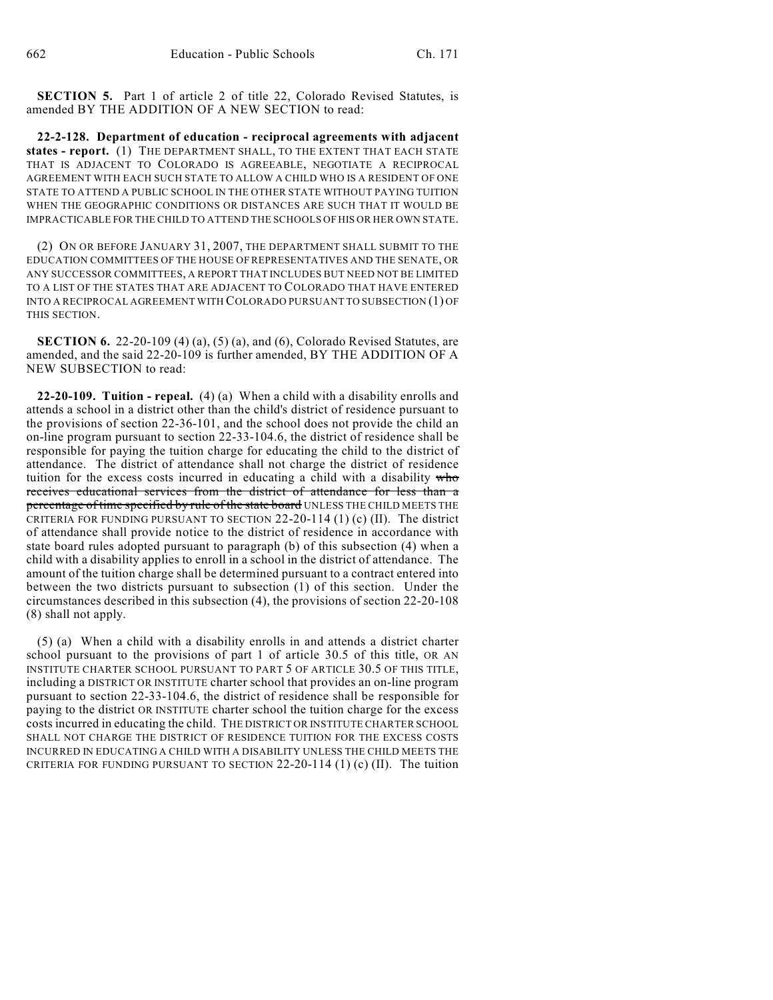**SECTION 5.** Part 1 of article 2 of title 22, Colorado Revised Statutes, is amended BY THE ADDITION OF A NEW SECTION to read:

**22-2-128. Department of education - reciprocal agreements with adjacent states - report.** (1) THE DEPARTMENT SHALL, TO THE EXTENT THAT EACH STATE THAT IS ADJACENT TO COLORADO IS AGREEABLE, NEGOTIATE A RECIPROCAL AGREEMENT WITH EACH SUCH STATE TO ALLOW A CHILD WHO IS A RESIDENT OF ONE STATE TO ATTEND A PUBLIC SCHOOL IN THE OTHER STATE WITHOUT PAYING TUITION WHEN THE GEOGRAPHIC CONDITIONS OR DISTANCES ARE SUCH THAT IT WOULD BE IMPRACTICABLE FOR THE CHILD TO ATTEND THE SCHOOLS OF HIS OR HER OWN STATE.

(2) ON OR BEFORE JANUARY 31, 2007, THE DEPARTMENT SHALL SUBMIT TO THE EDUCATION COMMITTEES OF THE HOUSE OF REPRESENTATIVES AND THE SENATE, OR ANY SUCCESSOR COMMITTEES, A REPORT THAT INCLUDES BUT NEED NOT BE LIMITED TO A LIST OF THE STATES THAT ARE ADJACENT TO COLORADO THAT HAVE ENTERED INTO A RECIPROCAL AGREEMENT WITH COLORADO PURSUANT TO SUBSECTION (1) OF THIS SECTION.

**SECTION 6.** 22-20-109 (4) (a), (5) (a), and (6), Colorado Revised Statutes, are amended, and the said 22-20-109 is further amended, BY THE ADDITION OF A NEW SUBSECTION to read:

**22-20-109. Tuition - repeal.** (4) (a) When a child with a disability enrolls and attends a school in a district other than the child's district of residence pursuant to the provisions of section 22-36-101, and the school does not provide the child an on-line program pursuant to section 22-33-104.6, the district of residence shall be responsible for paying the tuition charge for educating the child to the district of attendance. The district of attendance shall not charge the district of residence tuition for the excess costs incurred in educating a child with a disability who receives educational services from the district of attendance for less than a percentage of time specified by rule of the state board UNLESS THE CHILD MEETS THE CRITERIA FOR FUNDING PURSUANT TO SECTION 22-20-114 (1) (c) (II). The district of attendance shall provide notice to the district of residence in accordance with state board rules adopted pursuant to paragraph (b) of this subsection (4) when a child with a disability applies to enroll in a school in the district of attendance. The amount of the tuition charge shall be determined pursuant to a contract entered into between the two districts pursuant to subsection (1) of this section. Under the circumstances described in this subsection (4), the provisions of section 22-20-108 (8) shall not apply.

(5) (a) When a child with a disability enrolls in and attends a district charter school pursuant to the provisions of part 1 of article 30.5 of this title, OR AN INSTITUTE CHARTER SCHOOL PURSUANT TO PART 5 OF ARTICLE 30.5 OF THIS TITLE, including a DISTRICT OR INSTITUTE charter school that provides an on-line program pursuant to section 22-33-104.6, the district of residence shall be responsible for paying to the district OR INSTITUTE charter school the tuition charge for the excess costs incurred in educating the child. THE DISTRICT OR INSTITUTE CHARTER SCHOOL SHALL NOT CHARGE THE DISTRICT OF RESIDENCE TUITION FOR THE EXCESS COSTS INCURRED IN EDUCATING A CHILD WITH A DISABILITY UNLESS THE CHILD MEETS THE CRITERIA FOR FUNDING PURSUANT TO SECTION  $22-20-114$  (1) (c) (II). The tuition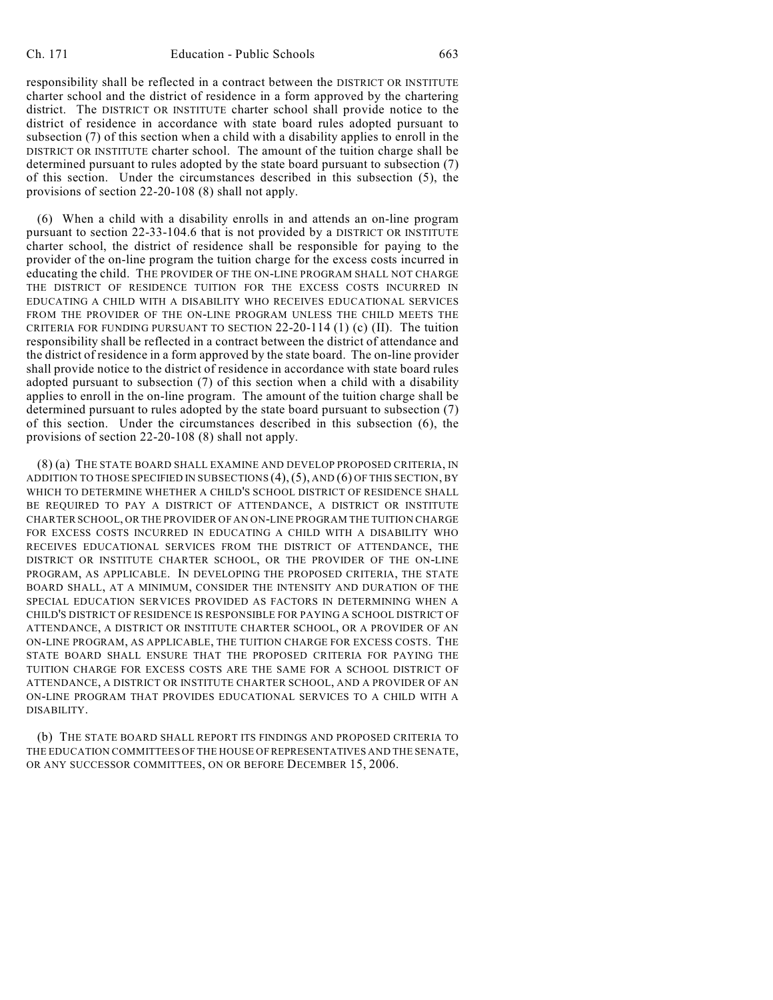responsibility shall be reflected in a contract between the DISTRICT OR INSTITUTE charter school and the district of residence in a form approved by the chartering district. The DISTRICT OR INSTITUTE charter school shall provide notice to the district of residence in accordance with state board rules adopted pursuant to subsection (7) of this section when a child with a disability applies to enroll in the DISTRICT OR INSTITUTE charter school. The amount of the tuition charge shall be determined pursuant to rules adopted by the state board pursuant to subsection (7) of this section. Under the circumstances described in this subsection (5), the provisions of section 22-20-108 (8) shall not apply.

(6) When a child with a disability enrolls in and attends an on-line program pursuant to section 22-33-104.6 that is not provided by a DISTRICT OR INSTITUTE charter school, the district of residence shall be responsible for paying to the provider of the on-line program the tuition charge for the excess costs incurred in educating the child. THE PROVIDER OF THE ON-LINE PROGRAM SHALL NOT CHARGE THE DISTRICT OF RESIDENCE TUITION FOR THE EXCESS COSTS INCURRED IN EDUCATING A CHILD WITH A DISABILITY WHO RECEIVES EDUCATIONAL SERVICES FROM THE PROVIDER OF THE ON-LINE PROGRAM UNLESS THE CHILD MEETS THE CRITERIA FOR FUNDING PURSUANT TO SECTION 22-20-114 (1) (c) (II). The tuition responsibility shall be reflected in a contract between the district of attendance and the district of residence in a form approved by the state board. The on-line provider shall provide notice to the district of residence in accordance with state board rules adopted pursuant to subsection (7) of this section when a child with a disability applies to enroll in the on-line program. The amount of the tuition charge shall be determined pursuant to rules adopted by the state board pursuant to subsection (7) of this section. Under the circumstances described in this subsection (6), the provisions of section 22-20-108 (8) shall not apply.

(8) (a) THE STATE BOARD SHALL EXAMINE AND DEVELOP PROPOSED CRITERIA, IN ADDITION TO THOSE SPECIFIED IN SUBSECTIONS (4),(5), AND (6) OF THIS SECTION, BY WHICH TO DETERMINE WHETHER A CHILD'S SCHOOL DISTRICT OF RESIDENCE SHALL BE REQUIRED TO PAY A DISTRICT OF ATTENDANCE, A DISTRICT OR INSTITUTE CHARTER SCHOOL, OR THE PROVIDER OF AN ON-LINE PROGRAM THE TUITION CHARGE FOR EXCESS COSTS INCURRED IN EDUCATING A CHILD WITH A DISABILITY WHO RECEIVES EDUCATIONAL SERVICES FROM THE DISTRICT OF ATTENDANCE, THE DISTRICT OR INSTITUTE CHARTER SCHOOL, OR THE PROVIDER OF THE ON-LINE PROGRAM, AS APPLICABLE. IN DEVELOPING THE PROPOSED CRITERIA, THE STATE BOARD SHALL, AT A MINIMUM, CONSIDER THE INTENSITY AND DURATION OF THE SPECIAL EDUCATION SERVICES PROVIDED AS FACTORS IN DETERMINING WHEN A CHILD'S DISTRICT OF RESIDENCE IS RESPONSIBLE FOR PAYING A SCHOOL DISTRICT OF ATTENDANCE, A DISTRICT OR INSTITUTE CHARTER SCHOOL, OR A PROVIDER OF AN ON-LINE PROGRAM, AS APPLICABLE, THE TUITION CHARGE FOR EXCESS COSTS. THE STATE BOARD SHALL ENSURE THAT THE PROPOSED CRITERIA FOR PAYING THE TUITION CHARGE FOR EXCESS COSTS ARE THE SAME FOR A SCHOOL DISTRICT OF ATTENDANCE, A DISTRICT OR INSTITUTE CHARTER SCHOOL, AND A PROVIDER OF AN ON-LINE PROGRAM THAT PROVIDES EDUCATIONAL SERVICES TO A CHILD WITH A DISABILITY.

(b) THE STATE BOARD SHALL REPORT ITS FINDINGS AND PROPOSED CRITERIA TO THE EDUCATION COMMITTEES OF THE HOUSE OF REPRESENTATIVES AND THE SENATE, OR ANY SUCCESSOR COMMITTEES, ON OR BEFORE DECEMBER 15, 2006.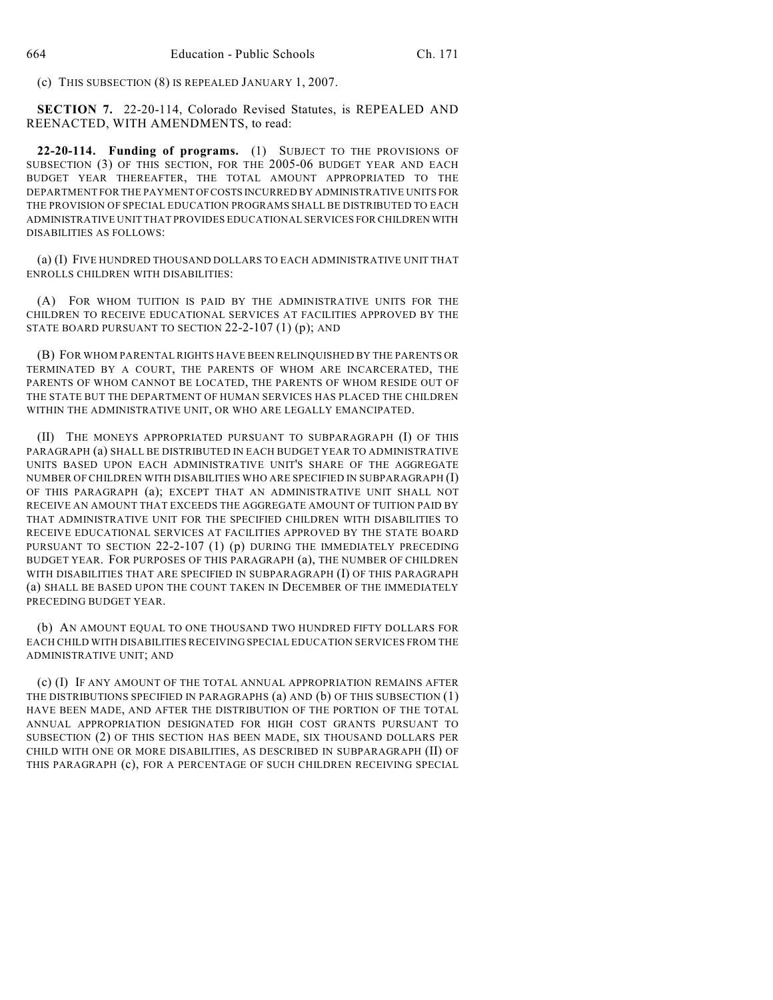(c) THIS SUBSECTION (8) IS REPEALED JANUARY 1, 2007.

**SECTION 7.** 22-20-114, Colorado Revised Statutes, is REPEALED AND REENACTED, WITH AMENDMENTS, to read:

**22-20-114. Funding of programs.** (1) SUBJECT TO THE PROVISIONS OF SUBSECTION (3) OF THIS SECTION, FOR THE 2005-06 BUDGET YEAR AND EACH BUDGET YEAR THEREAFTER, THE TOTAL AMOUNT APPROPRIATED TO THE DEPARTMENT FOR THE PAYMENT OF COSTS INCURRED BY ADMINISTRATIVE UNITS FOR THE PROVISION OF SPECIAL EDUCATION PROGRAMS SHALL BE DISTRIBUTED TO EACH ADMINISTRATIVE UNIT THAT PROVIDES EDUCATIONAL SERVICES FOR CHILDREN WITH DISABILITIES AS FOLLOWS:

(a) (I) FIVE HUNDRED THOUSAND DOLLARS TO EACH ADMINISTRATIVE UNIT THAT ENROLLS CHILDREN WITH DISABILITIES:

(A) FOR WHOM TUITION IS PAID BY THE ADMINISTRATIVE UNITS FOR THE CHILDREN TO RECEIVE EDUCATIONAL SERVICES AT FACILITIES APPROVED BY THE STATE BOARD PURSUANT TO SECTION 22-2-107 (1) (p); AND

(B) FOR WHOM PARENTAL RIGHTS HAVE BEEN RELINQUISHED BY THE PARENTS OR TERMINATED BY A COURT, THE PARENTS OF WHOM ARE INCARCERATED, THE PARENTS OF WHOM CANNOT BE LOCATED, THE PARENTS OF WHOM RESIDE OUT OF THE STATE BUT THE DEPARTMENT OF HUMAN SERVICES HAS PLACED THE CHILDREN WITHIN THE ADMINISTRATIVE UNIT, OR WHO ARE LEGALLY EMANCIPATED.

(II) THE MONEYS APPROPRIATED PURSUANT TO SUBPARAGRAPH (I) OF THIS PARAGRAPH (a) SHALL BE DISTRIBUTED IN EACH BUDGET YEAR TO ADMINISTRATIVE UNITS BASED UPON EACH ADMINISTRATIVE UNIT'S SHARE OF THE AGGREGATE NUMBER OF CHILDREN WITH DISABILITIES WHO ARE SPECIFIED IN SUBPARAGRAPH (I) OF THIS PARAGRAPH (a); EXCEPT THAT AN ADMINISTRATIVE UNIT SHALL NOT RECEIVE AN AMOUNT THAT EXCEEDS THE AGGREGATE AMOUNT OF TUITION PAID BY THAT ADMINISTRATIVE UNIT FOR THE SPECIFIED CHILDREN WITH DISABILITIES TO RECEIVE EDUCATIONAL SERVICES AT FACILITIES APPROVED BY THE STATE BOARD PURSUANT TO SECTION 22-2-107 (1) (p) DURING THE IMMEDIATELY PRECEDING BUDGET YEAR. FOR PURPOSES OF THIS PARAGRAPH (a), THE NUMBER OF CHILDREN WITH DISABILITIES THAT ARE SPECIFIED IN SUBPARAGRAPH (I) OF THIS PARAGRAPH (a) SHALL BE BASED UPON THE COUNT TAKEN IN DECEMBER OF THE IMMEDIATELY PRECEDING BUDGET YEAR.

(b) AN AMOUNT EQUAL TO ONE THOUSAND TWO HUNDRED FIFTY DOLLARS FOR EACH CHILD WITH DISABILITIES RECEIVING SPECIAL EDUCATION SERVICES FROM THE ADMINISTRATIVE UNIT; AND

(c) (I) IF ANY AMOUNT OF THE TOTAL ANNUAL APPROPRIATION REMAINS AFTER THE DISTRIBUTIONS SPECIFIED IN PARAGRAPHS (a) AND (b) OF THIS SUBSECTION (1) HAVE BEEN MADE, AND AFTER THE DISTRIBUTION OF THE PORTION OF THE TOTAL ANNUAL APPROPRIATION DESIGNATED FOR HIGH COST GRANTS PURSUANT TO SUBSECTION (2) OF THIS SECTION HAS BEEN MADE, SIX THOUSAND DOLLARS PER CHILD WITH ONE OR MORE DISABILITIES, AS DESCRIBED IN SUBPARAGRAPH (II) OF THIS PARAGRAPH (c), FOR A PERCENTAGE OF SUCH CHILDREN RECEIVING SPECIAL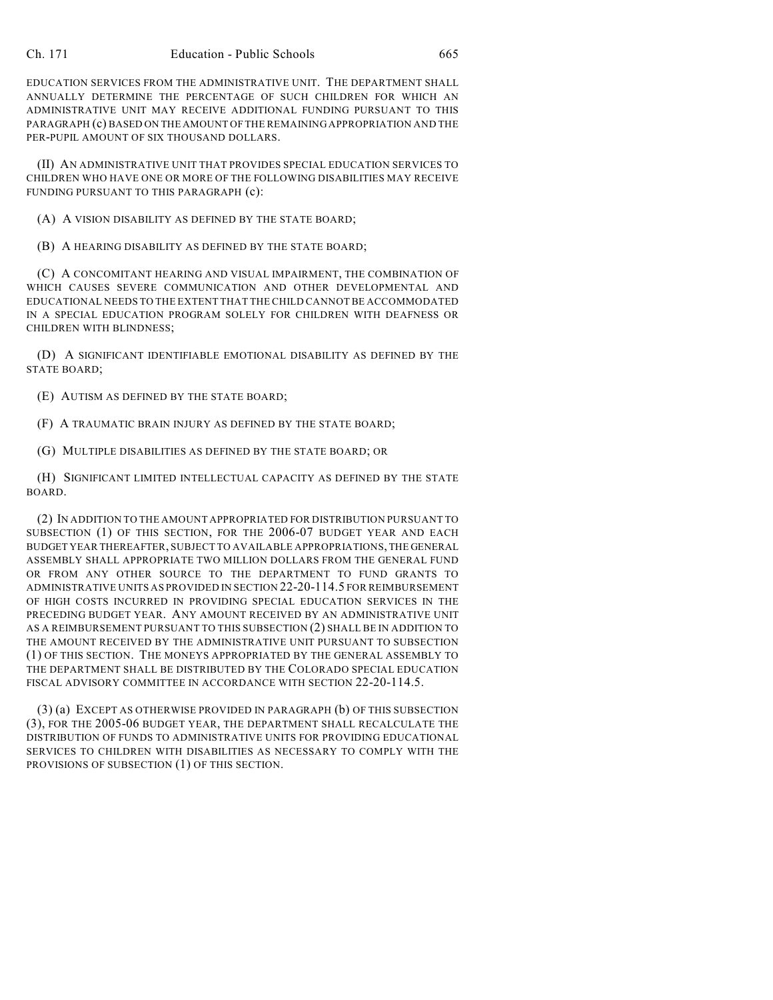EDUCATION SERVICES FROM THE ADMINISTRATIVE UNIT. THE DEPARTMENT SHALL ANNUALLY DETERMINE THE PERCENTAGE OF SUCH CHILDREN FOR WHICH AN ADMINISTRATIVE UNIT MAY RECEIVE ADDITIONAL FUNDING PURSUANT TO THIS PARAGRAPH (c) BASED ON THE AMOUNT OF THE REMAINING APPROPRIATION AND THE PER-PUPIL AMOUNT OF SIX THOUSAND DOLLARS.

(II) AN ADMINISTRATIVE UNIT THAT PROVIDES SPECIAL EDUCATION SERVICES TO CHILDREN WHO HAVE ONE OR MORE OF THE FOLLOWING DISABILITIES MAY RECEIVE FUNDING PURSUANT TO THIS PARAGRAPH (c):

(A) A VISION DISABILITY AS DEFINED BY THE STATE BOARD;

(B) A HEARING DISABILITY AS DEFINED BY THE STATE BOARD;

(C) A CONCOMITANT HEARING AND VISUAL IMPAIRMENT, THE COMBINATION OF WHICH CAUSES SEVERE COMMUNICATION AND OTHER DEVELOPMENTAL AND EDUCATIONAL NEEDS TO THE EXTENT THAT THE CHILD CANNOT BE ACCOMMODATED IN A SPECIAL EDUCATION PROGRAM SOLELY FOR CHILDREN WITH DEAFNESS OR CHILDREN WITH BLINDNESS;

(D) A SIGNIFICANT IDENTIFIABLE EMOTIONAL DISABILITY AS DEFINED BY THE STATE BOARD;

(E) AUTISM AS DEFINED BY THE STATE BOARD;

(F) A TRAUMATIC BRAIN INJURY AS DEFINED BY THE STATE BOARD;

(G) MULTIPLE DISABILITIES AS DEFINED BY THE STATE BOARD; OR

(H) SIGNIFICANT LIMITED INTELLECTUAL CAPACITY AS DEFINED BY THE STATE BOARD.

(2) IN ADDITION TO THE AMOUNT APPROPRIATED FOR DISTRIBUTION PURSUANT TO SUBSECTION (1) OF THIS SECTION, FOR THE 2006-07 BUDGET YEAR AND EACH BUDGET YEAR THEREAFTER, SUBJECT TO AVAILABLE APPROPRIATIONS, THE GENERAL ASSEMBLY SHALL APPROPRIATE TWO MILLION DOLLARS FROM THE GENERAL FUND OR FROM ANY OTHER SOURCE TO THE DEPARTMENT TO FUND GRANTS TO ADMINISTRATIVE UNITS AS PROVIDED IN SECTION 22-20-114.5 FOR REIMBURSEMENT OF HIGH COSTS INCURRED IN PROVIDING SPECIAL EDUCATION SERVICES IN THE PRECEDING BUDGET YEAR. ANY AMOUNT RECEIVED BY AN ADMINISTRATIVE UNIT AS A REIMBURSEMENT PURSUANT TO THIS SUBSECTION (2) SHALL BE IN ADDITION TO THE AMOUNT RECEIVED BY THE ADMINISTRATIVE UNIT PURSUANT TO SUBSECTION (1) OF THIS SECTION. THE MONEYS APPROPRIATED BY THE GENERAL ASSEMBLY TO THE DEPARTMENT SHALL BE DISTRIBUTED BY THE COLORADO SPECIAL EDUCATION FISCAL ADVISORY COMMITTEE IN ACCORDANCE WITH SECTION 22-20-114.5.

(3) (a) EXCEPT AS OTHERWISE PROVIDED IN PARAGRAPH (b) OF THIS SUBSECTION (3), FOR THE 2005-06 BUDGET YEAR, THE DEPARTMENT SHALL RECALCULATE THE DISTRIBUTION OF FUNDS TO ADMINISTRATIVE UNITS FOR PROVIDING EDUCATIONAL SERVICES TO CHILDREN WITH DISABILITIES AS NECESSARY TO COMPLY WITH THE PROVISIONS OF SUBSECTION (1) OF THIS SECTION.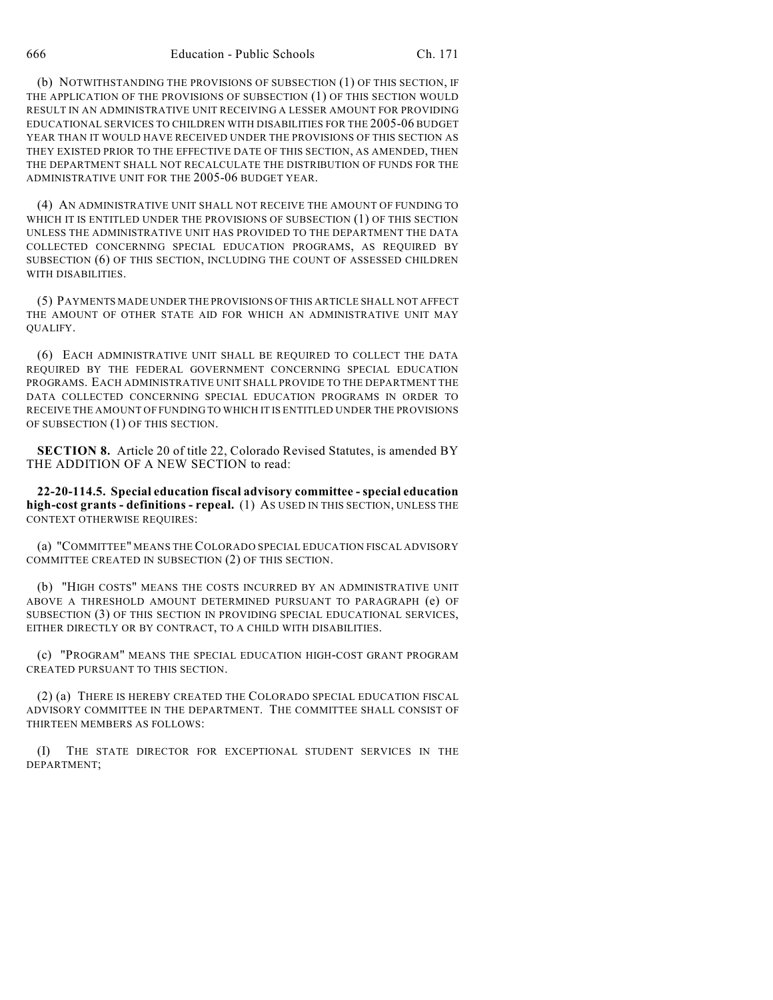(b) NOTWITHSTANDING THE PROVISIONS OF SUBSECTION (1) OF THIS SECTION, IF THE APPLICATION OF THE PROVISIONS OF SUBSECTION (1) OF THIS SECTION WOULD RESULT IN AN ADMINISTRATIVE UNIT RECEIVING A LESSER AMOUNT FOR PROVIDING EDUCATIONAL SERVICES TO CHILDREN WITH DISABILITIES FOR THE 2005-06 BUDGET YEAR THAN IT WOULD HAVE RECEIVED UNDER THE PROVISIONS OF THIS SECTION AS THEY EXISTED PRIOR TO THE EFFECTIVE DATE OF THIS SECTION, AS AMENDED, THEN THE DEPARTMENT SHALL NOT RECALCULATE THE DISTRIBUTION OF FUNDS FOR THE ADMINISTRATIVE UNIT FOR THE 2005-06 BUDGET YEAR.

(4) AN ADMINISTRATIVE UNIT SHALL NOT RECEIVE THE AMOUNT OF FUNDING TO WHICH IT IS ENTITLED UNDER THE PROVISIONS OF SUBSECTION (1) OF THIS SECTION UNLESS THE ADMINISTRATIVE UNIT HAS PROVIDED TO THE DEPARTMENT THE DATA COLLECTED CONCERNING SPECIAL EDUCATION PROGRAMS, AS REQUIRED BY SUBSECTION (6) OF THIS SECTION, INCLUDING THE COUNT OF ASSESSED CHILDREN WITH DISABILITIES.

(5) PAYMENTS MADE UNDER THE PROVISIONS OFTHIS ARTICLE SHALL NOT AFFECT THE AMOUNT OF OTHER STATE AID FOR WHICH AN ADMINISTRATIVE UNIT MAY QUALIFY.

(6) EACH ADMINISTRATIVE UNIT SHALL BE REQUIRED TO COLLECT THE DATA REQUIRED BY THE FEDERAL GOVERNMENT CONCERNING SPECIAL EDUCATION PROGRAMS. EACH ADMINISTRATIVE UNIT SHALL PROVIDE TO THE DEPARTMENT THE DATA COLLECTED CONCERNING SPECIAL EDUCATION PROGRAMS IN ORDER TO RECEIVE THE AMOUNT OF FUNDING TO WHICH IT IS ENTITLED UNDER THE PROVISIONS OF SUBSECTION (1) OF THIS SECTION.

**SECTION 8.** Article 20 of title 22, Colorado Revised Statutes, is amended BY THE ADDITION OF A NEW SECTION to read:

**22-20-114.5. Special education fiscal advisory committee - special education high-cost grants - definitions - repeal.** (1) AS USED IN THIS SECTION, UNLESS THE CONTEXT OTHERWISE REQUIRES:

(a) "COMMITTEE" MEANS THE COLORADO SPECIAL EDUCATION FISCAL ADVISORY COMMITTEE CREATED IN SUBSECTION (2) OF THIS SECTION.

(b) "HIGH COSTS" MEANS THE COSTS INCURRED BY AN ADMINISTRATIVE UNIT ABOVE A THRESHOLD AMOUNT DETERMINED PURSUANT TO PARAGRAPH (e) OF SUBSECTION (3) OF THIS SECTION IN PROVIDING SPECIAL EDUCATIONAL SERVICES, EITHER DIRECTLY OR BY CONTRACT, TO A CHILD WITH DISABILITIES.

(c) "PROGRAM" MEANS THE SPECIAL EDUCATION HIGH-COST GRANT PROGRAM CREATED PURSUANT TO THIS SECTION.

(2) (a) THERE IS HEREBY CREATED THE COLORADO SPECIAL EDUCATION FISCAL ADVISORY COMMITTEE IN THE DEPARTMENT. THE COMMITTEE SHALL CONSIST OF THIRTEEN MEMBERS AS FOLLOWS:

(I) THE STATE DIRECTOR FOR EXCEPTIONAL STUDENT SERVICES IN THE DEPARTMENT;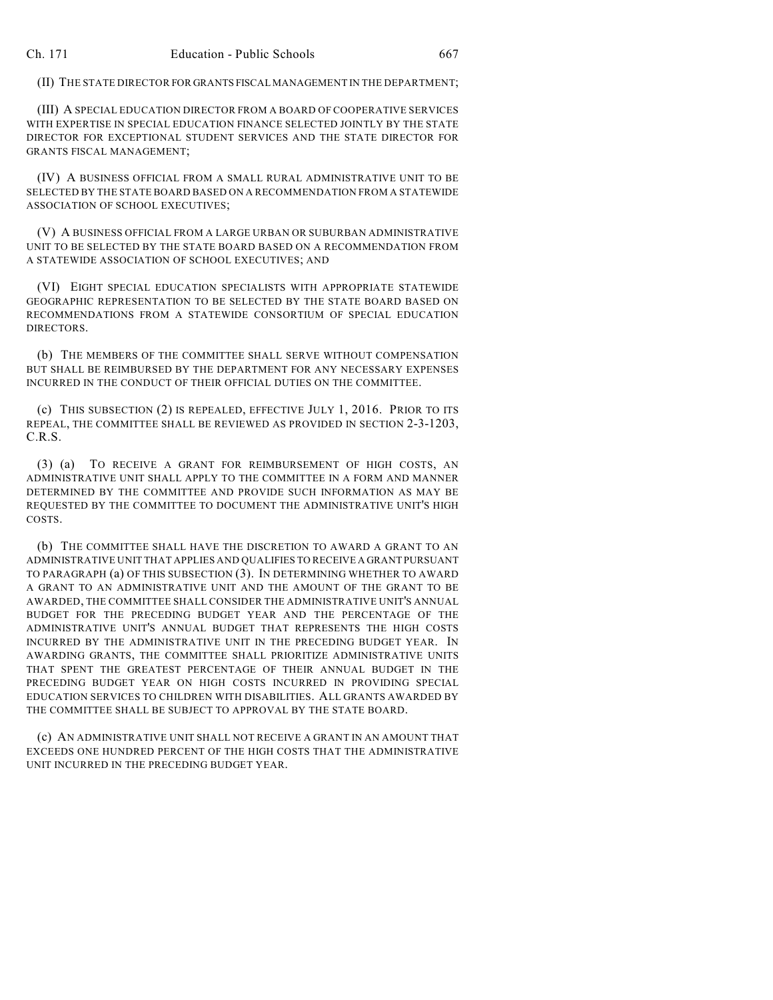(II) THE STATE DIRECTOR FOR GRANTS FISCAL MANAGEMENT IN THE DEPARTMENT;

(III) A SPECIAL EDUCATION DIRECTOR FROM A BOARD OF COOPERATIVE SERVICES WITH EXPERTISE IN SPECIAL EDUCATION FINANCE SELECTED JOINTLY BY THE STATE DIRECTOR FOR EXCEPTIONAL STUDENT SERVICES AND THE STATE DIRECTOR FOR GRANTS FISCAL MANAGEMENT;

(IV) A BUSINESS OFFICIAL FROM A SMALL RURAL ADMINISTRATIVE UNIT TO BE SELECTED BY THE STATE BOARD BASED ON A RECOMMENDATION FROM A STATEWIDE ASSOCIATION OF SCHOOL EXECUTIVES;

(V) A BUSINESS OFFICIAL FROM A LARGE URBAN OR SUBURBAN ADMINISTRATIVE UNIT TO BE SELECTED BY THE STATE BOARD BASED ON A RECOMMENDATION FROM A STATEWIDE ASSOCIATION OF SCHOOL EXECUTIVES; AND

(VI) EIGHT SPECIAL EDUCATION SPECIALISTS WITH APPROPRIATE STATEWIDE GEOGRAPHIC REPRESENTATION TO BE SELECTED BY THE STATE BOARD BASED ON RECOMMENDATIONS FROM A STATEWIDE CONSORTIUM OF SPECIAL EDUCATION DIRECTORS.

(b) THE MEMBERS OF THE COMMITTEE SHALL SERVE WITHOUT COMPENSATION BUT SHALL BE REIMBURSED BY THE DEPARTMENT FOR ANY NECESSARY EXPENSES INCURRED IN THE CONDUCT OF THEIR OFFICIAL DUTIES ON THE COMMITTEE.

(c) THIS SUBSECTION (2) IS REPEALED, EFFECTIVE JULY 1, 2016. PRIOR TO ITS REPEAL, THE COMMITTEE SHALL BE REVIEWED AS PROVIDED IN SECTION 2-3-1203, C.R.S.

(3) (a) TO RECEIVE A GRANT FOR REIMBURSEMENT OF HIGH COSTS, AN ADMINISTRATIVE UNIT SHALL APPLY TO THE COMMITTEE IN A FORM AND MANNER DETERMINED BY THE COMMITTEE AND PROVIDE SUCH INFORMATION AS MAY BE REQUESTED BY THE COMMITTEE TO DOCUMENT THE ADMINISTRATIVE UNIT'S HIGH COSTS.

(b) THE COMMITTEE SHALL HAVE THE DISCRETION TO AWARD A GRANT TO AN ADMINISTRATIVE UNIT THAT APPLIES AND QUALIFIES TO RECEIVE A GRANT PURSUANT TO PARAGRAPH (a) OF THIS SUBSECTION (3). IN DETERMINING WHETHER TO AWARD A GRANT TO AN ADMINISTRATIVE UNIT AND THE AMOUNT OF THE GRANT TO BE AWARDED, THE COMMITTEE SHALL CONSIDER THE ADMINISTRATIVE UNIT'S ANNUAL BUDGET FOR THE PRECEDING BUDGET YEAR AND THE PERCENTAGE OF THE ADMINISTRATIVE UNIT'S ANNUAL BUDGET THAT REPRESENTS THE HIGH COSTS INCURRED BY THE ADMINISTRATIVE UNIT IN THE PRECEDING BUDGET YEAR. IN AWARDING GRANTS, THE COMMITTEE SHALL PRIORITIZE ADMINISTRATIVE UNITS THAT SPENT THE GREATEST PERCENTAGE OF THEIR ANNUAL BUDGET IN THE PRECEDING BUDGET YEAR ON HIGH COSTS INCURRED IN PROVIDING SPECIAL EDUCATION SERVICES TO CHILDREN WITH DISABILITIES. ALL GRANTS AWARDED BY THE COMMITTEE SHALL BE SUBJECT TO APPROVAL BY THE STATE BOARD.

(c) AN ADMINISTRATIVE UNIT SHALL NOT RECEIVE A GRANT IN AN AMOUNT THAT EXCEEDS ONE HUNDRED PERCENT OF THE HIGH COSTS THAT THE ADMINISTRATIVE UNIT INCURRED IN THE PRECEDING BUDGET YEAR.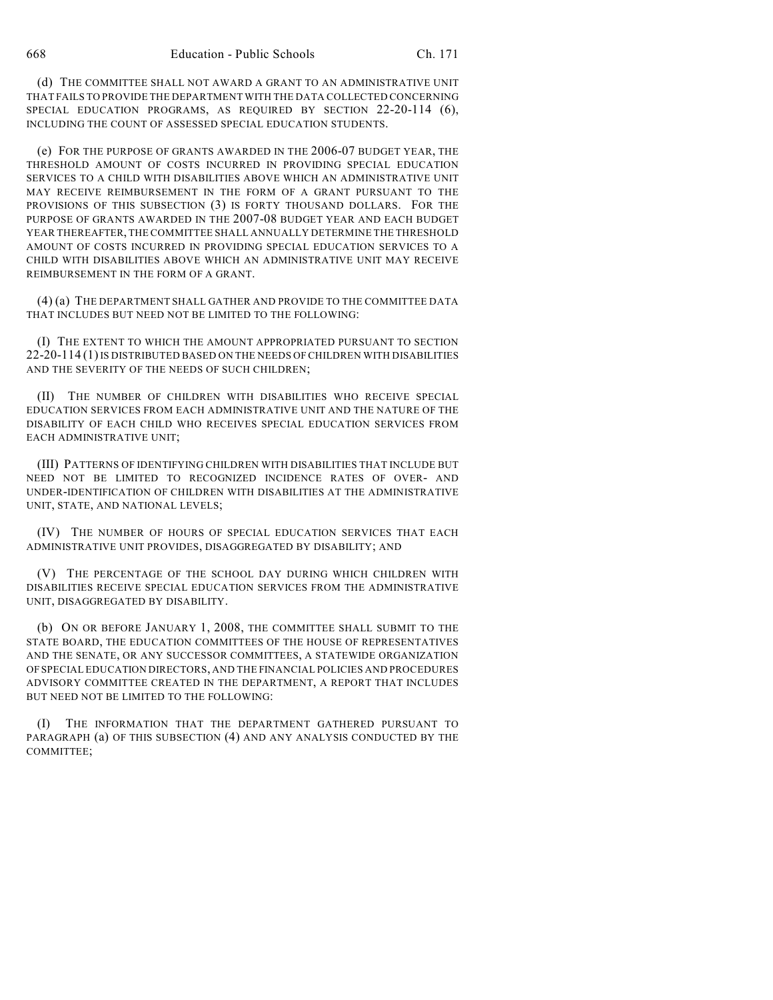(d) THE COMMITTEE SHALL NOT AWARD A GRANT TO AN ADMINISTRATIVE UNIT THAT FAILS TO PROVIDE THE DEPARTMENT WITH THE DATA COLLECTED CONCERNING SPECIAL EDUCATION PROGRAMS, AS REQUIRED BY SECTION 22-20-114 (6), INCLUDING THE COUNT OF ASSESSED SPECIAL EDUCATION STUDENTS.

(e) FOR THE PURPOSE OF GRANTS AWARDED IN THE 2006-07 BUDGET YEAR, THE THRESHOLD AMOUNT OF COSTS INCURRED IN PROVIDING SPECIAL EDUCATION SERVICES TO A CHILD WITH DISABILITIES ABOVE WHICH AN ADMINISTRATIVE UNIT MAY RECEIVE REIMBURSEMENT IN THE FORM OF A GRANT PURSUANT TO THE PROVISIONS OF THIS SUBSECTION (3) IS FORTY THOUSAND DOLLARS. FOR THE PURPOSE OF GRANTS AWARDED IN THE 2007-08 BUDGET YEAR AND EACH BUDGET YEAR THEREAFTER, THE COMMITTEE SHALL ANNUALLY DETERMINE THE THRESHOLD AMOUNT OF COSTS INCURRED IN PROVIDING SPECIAL EDUCATION SERVICES TO A CHILD WITH DISABILITIES ABOVE WHICH AN ADMINISTRATIVE UNIT MAY RECEIVE REIMBURSEMENT IN THE FORM OF A GRANT.

(4) (a) THE DEPARTMENT SHALL GATHER AND PROVIDE TO THE COMMITTEE DATA THAT INCLUDES BUT NEED NOT BE LIMITED TO THE FOLLOWING:

(I) THE EXTENT TO WHICH THE AMOUNT APPROPRIATED PURSUANT TO SECTION 22-20-114 (1) IS DISTRIBUTED BASED ON THE NEEDS OFCHILDREN WITH DISABILITIES AND THE SEVERITY OF THE NEEDS OF SUCH CHILDREN;

(II) THE NUMBER OF CHILDREN WITH DISABILITIES WHO RECEIVE SPECIAL EDUCATION SERVICES FROM EACH ADMINISTRATIVE UNIT AND THE NATURE OF THE DISABILITY OF EACH CHILD WHO RECEIVES SPECIAL EDUCATION SERVICES FROM EACH ADMINISTRATIVE UNIT;

(III) PATTERNS OF IDENTIFYING CHILDREN WITH DISABILITIES THAT INCLUDE BUT NEED NOT BE LIMITED TO RECOGNIZED INCIDENCE RATES OF OVER- AND UNDER-IDENTIFICATION OF CHILDREN WITH DISABILITIES AT THE ADMINISTRATIVE UNIT, STATE, AND NATIONAL LEVELS;

(IV) THE NUMBER OF HOURS OF SPECIAL EDUCATION SERVICES THAT EACH ADMINISTRATIVE UNIT PROVIDES, DISAGGREGATED BY DISABILITY; AND

(V) THE PERCENTAGE OF THE SCHOOL DAY DURING WHICH CHILDREN WITH DISABILITIES RECEIVE SPECIAL EDUCATION SERVICES FROM THE ADMINISTRATIVE UNIT, DISAGGREGATED BY DISABILITY.

(b) ON OR BEFORE JANUARY 1, 2008, THE COMMITTEE SHALL SUBMIT TO THE STATE BOARD, THE EDUCATION COMMITTEES OF THE HOUSE OF REPRESENTATIVES AND THE SENATE, OR ANY SUCCESSOR COMMITTEES, A STATEWIDE ORGANIZATION OF SPECIAL EDUCATION DIRECTORS, AND THE FINANCIAL POLICIES AND PROCEDURES ADVISORY COMMITTEE CREATED IN THE DEPARTMENT, A REPORT THAT INCLUDES BUT NEED NOT BE LIMITED TO THE FOLLOWING:

(I) THE INFORMATION THAT THE DEPARTMENT GATHERED PURSUANT TO PARAGRAPH (a) OF THIS SUBSECTION (4) AND ANY ANALYSIS CONDUCTED BY THE COMMITTEE;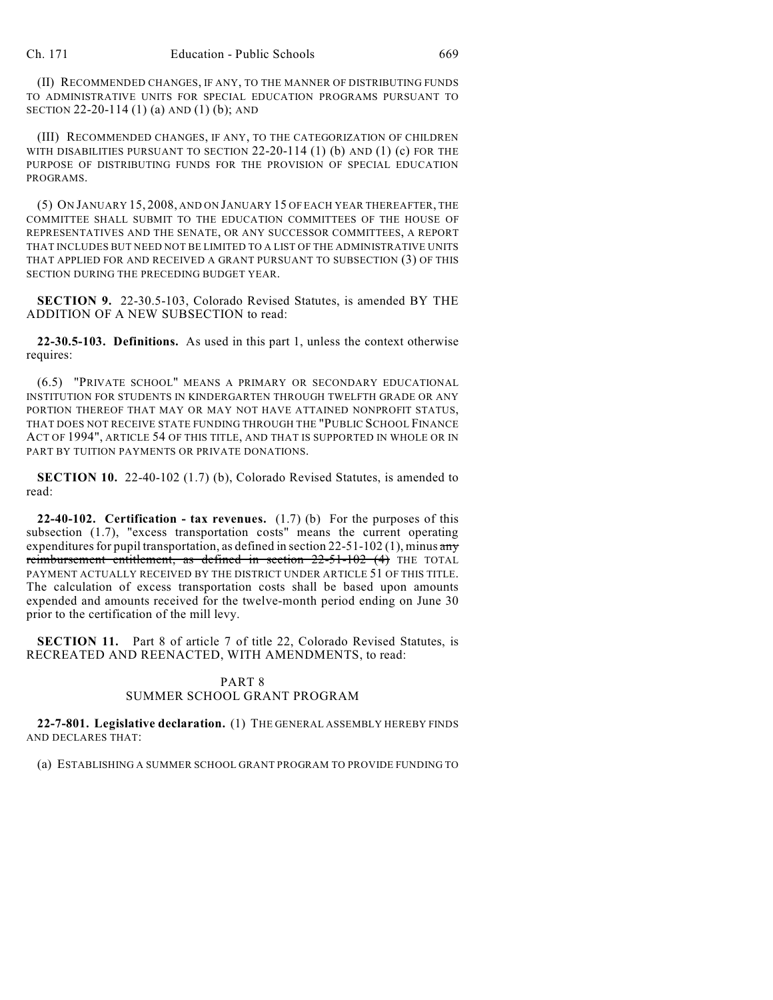(II) RECOMMENDED CHANGES, IF ANY, TO THE MANNER OF DISTRIBUTING FUNDS TO ADMINISTRATIVE UNITS FOR SPECIAL EDUCATION PROGRAMS PURSUANT TO SECTION 22-20-114 (1) (a) AND (1) (b); AND

(III) RECOMMENDED CHANGES, IF ANY, TO THE CATEGORIZATION OF CHILDREN WITH DISABILITIES PURSUANT TO SECTION 22-20-114 (1) (b) AND (1) (c) FOR THE PURPOSE OF DISTRIBUTING FUNDS FOR THE PROVISION OF SPECIAL EDUCATION PROGRAMS.

(5) ON JANUARY 15, 2008, AND ON JANUARY 15 OF EACH YEAR THEREAFTER, THE COMMITTEE SHALL SUBMIT TO THE EDUCATION COMMITTEES OF THE HOUSE OF REPRESENTATIVES AND THE SENATE, OR ANY SUCCESSOR COMMITTEES, A REPORT THAT INCLUDES BUT NEED NOT BE LIMITED TO A LIST OF THE ADMINISTRATIVE UNITS THAT APPLIED FOR AND RECEIVED A GRANT PURSUANT TO SUBSECTION (3) OF THIS SECTION DURING THE PRECEDING BUDGET YEAR.

**SECTION 9.** 22-30.5-103, Colorado Revised Statutes, is amended BY THE ADDITION OF A NEW SUBSECTION to read:

**22-30.5-103. Definitions.** As used in this part 1, unless the context otherwise requires:

(6.5) "PRIVATE SCHOOL" MEANS A PRIMARY OR SECONDARY EDUCATIONAL INSTITUTION FOR STUDENTS IN KINDERGARTEN THROUGH TWELFTH GRADE OR ANY PORTION THEREOF THAT MAY OR MAY NOT HAVE ATTAINED NONPROFIT STATUS, THAT DOES NOT RECEIVE STATE FUNDING THROUGH THE "PUBLIC SCHOOL FINANCE ACT OF 1994", ARTICLE 54 OF THIS TITLE, AND THAT IS SUPPORTED IN WHOLE OR IN PART BY TUITION PAYMENTS OR PRIVATE DONATIONS.

**SECTION 10.** 22-40-102 (1.7) (b), Colorado Revised Statutes, is amended to read:

**22-40-102. Certification - tax revenues.** (1.7) (b) For the purposes of this subsection (1.7), "excess transportation costs" means the current operating expenditures for pupil transportation, as defined in section  $22-51-102$  (1), minus any reimbursement entitlement, as defined in section 22-51-102 (4) THE TOTAL PAYMENT ACTUALLY RECEIVED BY THE DISTRICT UNDER ARTICLE 51 OF THIS TITLE. The calculation of excess transportation costs shall be based upon amounts expended and amounts received for the twelve-month period ending on June 30 prior to the certification of the mill levy.

**SECTION 11.** Part 8 of article 7 of title 22, Colorado Revised Statutes, is RECREATED AND REENACTED, WITH AMENDMENTS, to read:

## PART 8 SUMMER SCHOOL GRANT PROGRAM

**22-7-801. Legislative declaration.** (1) THE GENERAL ASSEMBLY HEREBY FINDS AND DECLARES THAT:

(a) ESTABLISHING A SUMMER SCHOOL GRANT PROGRAM TO PROVIDE FUNDING TO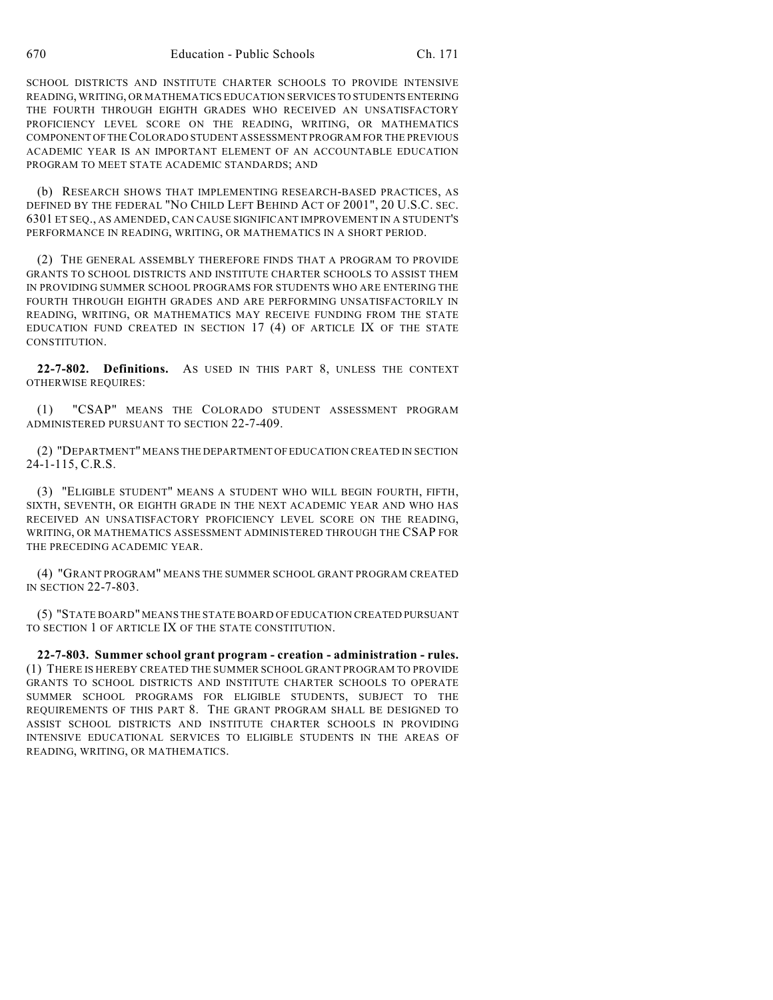SCHOOL DISTRICTS AND INSTITUTE CHARTER SCHOOLS TO PROVIDE INTENSIVE READING, WRITING, OR MATHEMATICS EDUCATION SERVICES TO STUDENTS ENTERING THE FOURTH THROUGH EIGHTH GRADES WHO RECEIVED AN UNSATISFACTORY PROFICIENCY LEVEL SCORE ON THE READING, WRITING, OR MATHEMATICS COMPONENT OF THE COLORADO STUDENT ASSESSMENT PROGRAM FOR THE PREVIOUS ACADEMIC YEAR IS AN IMPORTANT ELEMENT OF AN ACCOUNTABLE EDUCATION PROGRAM TO MEET STATE ACADEMIC STANDARDS; AND

(b) RESEARCH SHOWS THAT IMPLEMENTING RESEARCH-BASED PRACTICES, AS DEFINED BY THE FEDERAL "NO CHILD LEFT BEHIND ACT OF 2001", 20 U.S.C. SEC. 6301 ET SEQ., AS AMENDED, CAN CAUSE SIGNIFICANT IMPROVEMENT IN A STUDENT'S PERFORMANCE IN READING, WRITING, OR MATHEMATICS IN A SHORT PERIOD.

(2) THE GENERAL ASSEMBLY THEREFORE FINDS THAT A PROGRAM TO PROVIDE GRANTS TO SCHOOL DISTRICTS AND INSTITUTE CHARTER SCHOOLS TO ASSIST THEM IN PROVIDING SUMMER SCHOOL PROGRAMS FOR STUDENTS WHO ARE ENTERING THE FOURTH THROUGH EIGHTH GRADES AND ARE PERFORMING UNSATISFACTORILY IN READING, WRITING, OR MATHEMATICS MAY RECEIVE FUNDING FROM THE STATE EDUCATION FUND CREATED IN SECTION 17 (4) OF ARTICLE IX OF THE STATE CONSTITUTION.

**22-7-802. Definitions.** AS USED IN THIS PART 8, UNLESS THE CONTEXT OTHERWISE REQUIRES:

(1) "CSAP" MEANS THE COLORADO STUDENT ASSESSMENT PROGRAM ADMINISTERED PURSUANT TO SECTION 22-7-409.

(2) "DEPARTMENT" MEANS THE DEPARTMENT OF EDUCATION CREATED IN SECTION 24-1-115, C.R.S.

(3) "ELIGIBLE STUDENT" MEANS A STUDENT WHO WILL BEGIN FOURTH, FIFTH, SIXTH, SEVENTH, OR EIGHTH GRADE IN THE NEXT ACADEMIC YEAR AND WHO HAS RECEIVED AN UNSATISFACTORY PROFICIENCY LEVEL SCORE ON THE READING, WRITING, OR MATHEMATICS ASSESSMENT ADMINISTERED THROUGH THE CSAP FOR THE PRECEDING ACADEMIC YEAR.

(4) "GRANT PROGRAM" MEANS THE SUMMER SCHOOL GRANT PROGRAM CREATED IN SECTION 22-7-803.

(5) "STATE BOARD" MEANS THE STATE BOARD OF EDUCATION CREATED PURSUANT TO SECTION 1 OF ARTICLE IX OF THE STATE CONSTITUTION.

**22-7-803. Summer school grant program - creation - administration - rules.** (1) THERE IS HEREBY CREATED THE SUMMER SCHOOL GRANT PROGRAM TO PROVIDE GRANTS TO SCHOOL DISTRICTS AND INSTITUTE CHARTER SCHOOLS TO OPERATE SUMMER SCHOOL PROGRAMS FOR ELIGIBLE STUDENTS, SUBJECT TO THE REQUIREMENTS OF THIS PART 8. THE GRANT PROGRAM SHALL BE DESIGNED TO ASSIST SCHOOL DISTRICTS AND INSTITUTE CHARTER SCHOOLS IN PROVIDING INTENSIVE EDUCATIONAL SERVICES TO ELIGIBLE STUDENTS IN THE AREAS OF READING, WRITING, OR MATHEMATICS.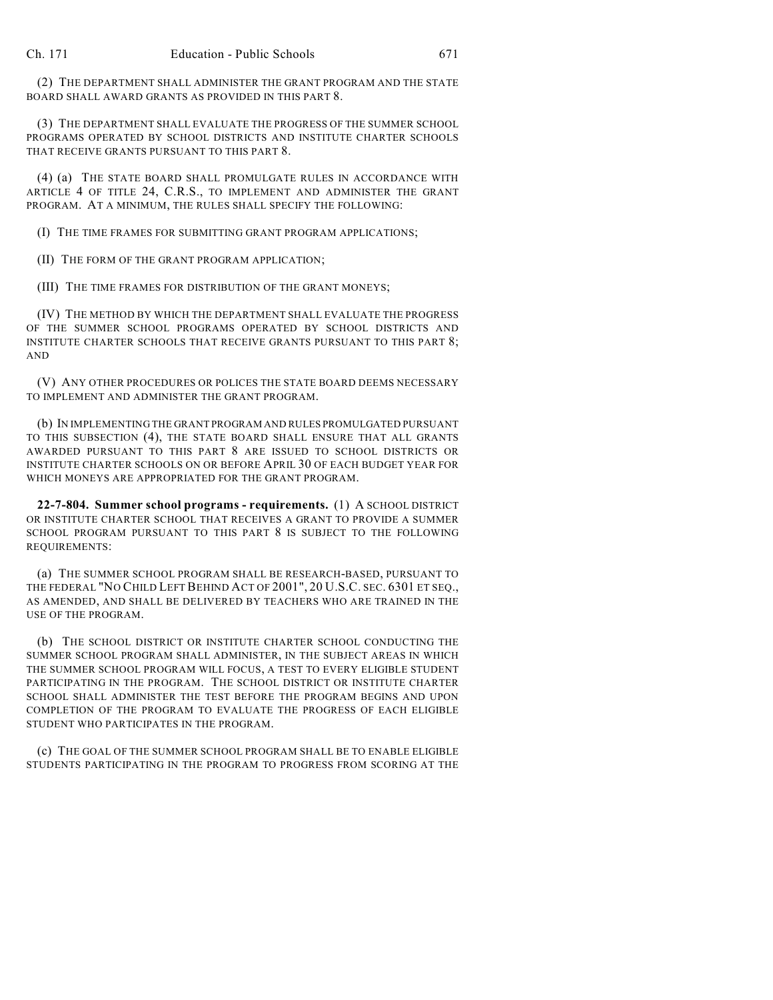(2) THE DEPARTMENT SHALL ADMINISTER THE GRANT PROGRAM AND THE STATE BOARD SHALL AWARD GRANTS AS PROVIDED IN THIS PART 8.

(3) THE DEPARTMENT SHALL EVALUATE THE PROGRESS OF THE SUMMER SCHOOL PROGRAMS OPERATED BY SCHOOL DISTRICTS AND INSTITUTE CHARTER SCHOOLS THAT RECEIVE GRANTS PURSUANT TO THIS PART 8.

(4) (a) THE STATE BOARD SHALL PROMULGATE RULES IN ACCORDANCE WITH ARTICLE 4 OF TITLE 24, C.R.S., TO IMPLEMENT AND ADMINISTER THE GRANT PROGRAM. AT A MINIMUM, THE RULES SHALL SPECIFY THE FOLLOWING:

(I) THE TIME FRAMES FOR SUBMITTING GRANT PROGRAM APPLICATIONS;

(II) THE FORM OF THE GRANT PROGRAM APPLICATION;

(III) THE TIME FRAMES FOR DISTRIBUTION OF THE GRANT MONEYS;

(IV) THE METHOD BY WHICH THE DEPARTMENT SHALL EVALUATE THE PROGRESS OF THE SUMMER SCHOOL PROGRAMS OPERATED BY SCHOOL DISTRICTS AND INSTITUTE CHARTER SCHOOLS THAT RECEIVE GRANTS PURSUANT TO THIS PART 8; AND

(V) ANY OTHER PROCEDURES OR POLICES THE STATE BOARD DEEMS NECESSARY TO IMPLEMENT AND ADMINISTER THE GRANT PROGRAM.

(b) IN IMPLEMENTING THE GRANT PROGRAM AND RULES PROMULGATED PURSUANT TO THIS SUBSECTION (4), THE STATE BOARD SHALL ENSURE THAT ALL GRANTS AWARDED PURSUANT TO THIS PART 8 ARE ISSUED TO SCHOOL DISTRICTS OR INSTITUTE CHARTER SCHOOLS ON OR BEFORE APRIL 30 OF EACH BUDGET YEAR FOR WHICH MONEYS ARE APPROPRIATED FOR THE GRANT PROGRAM.

**22-7-804. Summer school programs - requirements.** (1) A SCHOOL DISTRICT OR INSTITUTE CHARTER SCHOOL THAT RECEIVES A GRANT TO PROVIDE A SUMMER SCHOOL PROGRAM PURSUANT TO THIS PART 8 IS SUBJECT TO THE FOLLOWING REQUIREMENTS:

(a) THE SUMMER SCHOOL PROGRAM SHALL BE RESEARCH-BASED, PURSUANT TO THE FEDERAL "NO CHILD LEFT BEHIND ACT OF 2001", 20 U.S.C. SEC. 6301 ET SEQ., AS AMENDED, AND SHALL BE DELIVERED BY TEACHERS WHO ARE TRAINED IN THE USE OF THE PROGRAM.

(b) THE SCHOOL DISTRICT OR INSTITUTE CHARTER SCHOOL CONDUCTING THE SUMMER SCHOOL PROGRAM SHALL ADMINISTER, IN THE SUBJECT AREAS IN WHICH THE SUMMER SCHOOL PROGRAM WILL FOCUS, A TEST TO EVERY ELIGIBLE STUDENT PARTICIPATING IN THE PROGRAM. THE SCHOOL DISTRICT OR INSTITUTE CHARTER SCHOOL SHALL ADMINISTER THE TEST BEFORE THE PROGRAM BEGINS AND UPON COMPLETION OF THE PROGRAM TO EVALUATE THE PROGRESS OF EACH ELIGIBLE STUDENT WHO PARTICIPATES IN THE PROGRAM.

(c) THE GOAL OF THE SUMMER SCHOOL PROGRAM SHALL BE TO ENABLE ELIGIBLE STUDENTS PARTICIPATING IN THE PROGRAM TO PROGRESS FROM SCORING AT THE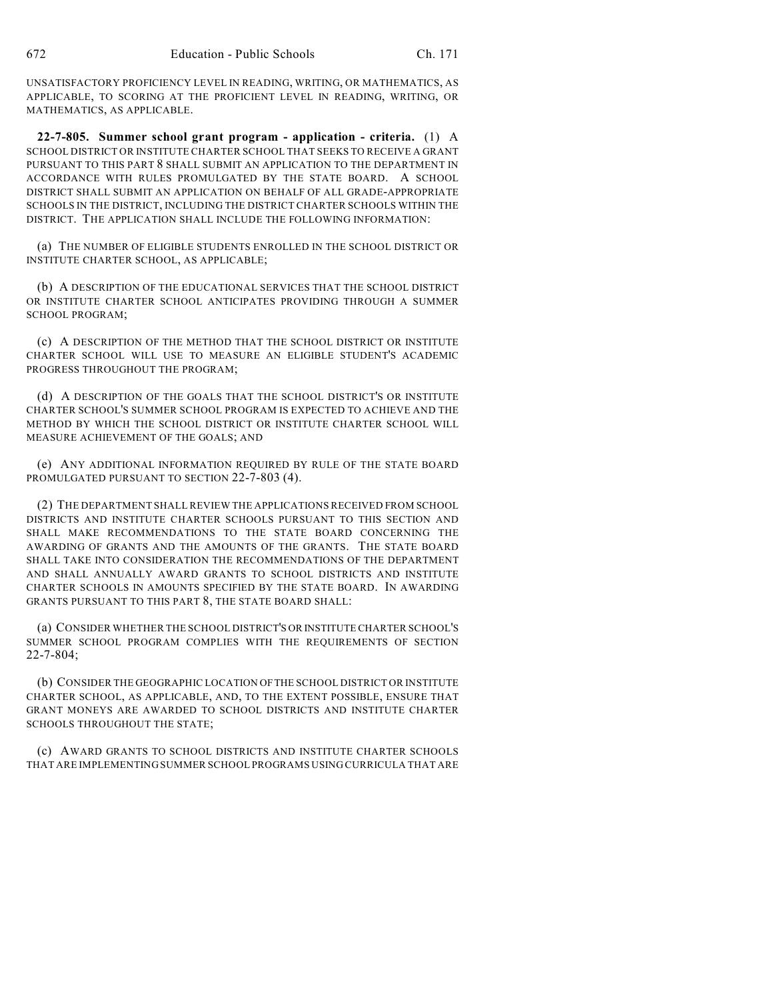UNSATISFACTORY PROFICIENCY LEVEL IN READING, WRITING, OR MATHEMATICS, AS APPLICABLE, TO SCORING AT THE PROFICIENT LEVEL IN READING, WRITING, OR MATHEMATICS, AS APPLICABLE.

**22-7-805. Summer school grant program - application - criteria.** (1) A SCHOOL DISTRICT OR INSTITUTE CHARTER SCHOOL THAT SEEKS TO RECEIVE A GRANT PURSUANT TO THIS PART 8 SHALL SUBMIT AN APPLICATION TO THE DEPARTMENT IN ACCORDANCE WITH RULES PROMULGATED BY THE STATE BOARD. A SCHOOL DISTRICT SHALL SUBMIT AN APPLICATION ON BEHALF OF ALL GRADE-APPROPRIATE SCHOOLS IN THE DISTRICT, INCLUDING THE DISTRICT CHARTER SCHOOLS WITHIN THE DISTRICT. THE APPLICATION SHALL INCLUDE THE FOLLOWING INFORMATION:

(a) THE NUMBER OF ELIGIBLE STUDENTS ENROLLED IN THE SCHOOL DISTRICT OR INSTITUTE CHARTER SCHOOL, AS APPLICABLE;

(b) A DESCRIPTION OF THE EDUCATIONAL SERVICES THAT THE SCHOOL DISTRICT OR INSTITUTE CHARTER SCHOOL ANTICIPATES PROVIDING THROUGH A SUMMER SCHOOL PROGRAM;

(c) A DESCRIPTION OF THE METHOD THAT THE SCHOOL DISTRICT OR INSTITUTE CHARTER SCHOOL WILL USE TO MEASURE AN ELIGIBLE STUDENT'S ACADEMIC PROGRESS THROUGHOUT THE PROGRAM;

(d) A DESCRIPTION OF THE GOALS THAT THE SCHOOL DISTRICT'S OR INSTITUTE CHARTER SCHOOL'S SUMMER SCHOOL PROGRAM IS EXPECTED TO ACHIEVE AND THE METHOD BY WHICH THE SCHOOL DISTRICT OR INSTITUTE CHARTER SCHOOL WILL MEASURE ACHIEVEMENT OF THE GOALS; AND

(e) ANY ADDITIONAL INFORMATION REQUIRED BY RULE OF THE STATE BOARD PROMULGATED PURSUANT TO SECTION 22-7-803 (4).

(2) THE DEPARTMENT SHALL REVIEW THE APPLICATIONS RECEIVED FROM SCHOOL DISTRICTS AND INSTITUTE CHARTER SCHOOLS PURSUANT TO THIS SECTION AND SHALL MAKE RECOMMENDATIONS TO THE STATE BOARD CONCERNING THE AWARDING OF GRANTS AND THE AMOUNTS OF THE GRANTS. THE STATE BOARD SHALL TAKE INTO CONSIDERATION THE RECOMMENDATIONS OF THE DEPARTMENT AND SHALL ANNUALLY AWARD GRANTS TO SCHOOL DISTRICTS AND INSTITUTE CHARTER SCHOOLS IN AMOUNTS SPECIFIED BY THE STATE BOARD. IN AWARDING GRANTS PURSUANT TO THIS PART 8, THE STATE BOARD SHALL:

(a) CONSIDER WHETHER THE SCHOOL DISTRICT'S OR INSTITUTE CHARTER SCHOOL'S SUMMER SCHOOL PROGRAM COMPLIES WITH THE REQUIREMENTS OF SECTION 22-7-804;

(b) CONSIDER THE GEOGRAPHIC LOCATION OF THE SCHOOL DISTRICT OR INSTITUTE CHARTER SCHOOL, AS APPLICABLE, AND, TO THE EXTENT POSSIBLE, ENSURE THAT GRANT MONEYS ARE AWARDED TO SCHOOL DISTRICTS AND INSTITUTE CHARTER SCHOOLS THROUGHOUT THE STATE;

(c) AWARD GRANTS TO SCHOOL DISTRICTS AND INSTITUTE CHARTER SCHOOLS THAT ARE IMPLEMENTING SUMMER SCHOOL PROGRAMS USING CURRICULA THAT ARE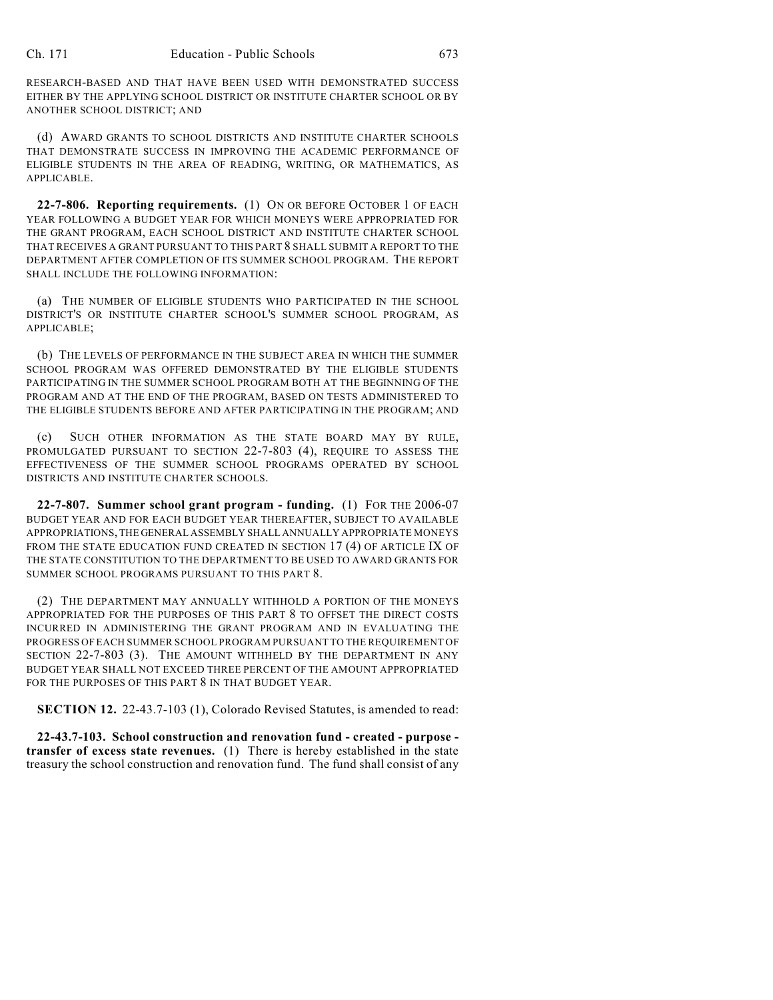RESEARCH-BASED AND THAT HAVE BEEN USED WITH DEMONSTRATED SUCCESS EITHER BY THE APPLYING SCHOOL DISTRICT OR INSTITUTE CHARTER SCHOOL OR BY ANOTHER SCHOOL DISTRICT; AND

(d) AWARD GRANTS TO SCHOOL DISTRICTS AND INSTITUTE CHARTER SCHOOLS THAT DEMONSTRATE SUCCESS IN IMPROVING THE ACADEMIC PERFORMANCE OF ELIGIBLE STUDENTS IN THE AREA OF READING, WRITING, OR MATHEMATICS, AS APPLICABLE.

**22-7-806. Reporting requirements.** (1) ON OR BEFORE OCTOBER 1 OF EACH YEAR FOLLOWING A BUDGET YEAR FOR WHICH MONEYS WERE APPROPRIATED FOR THE GRANT PROGRAM, EACH SCHOOL DISTRICT AND INSTITUTE CHARTER SCHOOL THAT RECEIVES A GRANT PURSUANT TO THIS PART 8 SHALL SUBMIT A REPORT TO THE DEPARTMENT AFTER COMPLETION OF ITS SUMMER SCHOOL PROGRAM. THE REPORT SHALL INCLUDE THE FOLLOWING INFORMATION:

(a) THE NUMBER OF ELIGIBLE STUDENTS WHO PARTICIPATED IN THE SCHOOL DISTRICT'S OR INSTITUTE CHARTER SCHOOL'S SUMMER SCHOOL PROGRAM, AS APPLICABLE;

(b) THE LEVELS OF PERFORMANCE IN THE SUBJECT AREA IN WHICH THE SUMMER SCHOOL PROGRAM WAS OFFERED DEMONSTRATED BY THE ELIGIBLE STUDENTS PARTICIPATING IN THE SUMMER SCHOOL PROGRAM BOTH AT THE BEGINNING OF THE PROGRAM AND AT THE END OF THE PROGRAM, BASED ON TESTS ADMINISTERED TO THE ELIGIBLE STUDENTS BEFORE AND AFTER PARTICIPATING IN THE PROGRAM; AND

(c) SUCH OTHER INFORMATION AS THE STATE BOARD MAY BY RULE, PROMULGATED PURSUANT TO SECTION 22-7-803 (4), REQUIRE TO ASSESS THE EFFECTIVENESS OF THE SUMMER SCHOOL PROGRAMS OPERATED BY SCHOOL DISTRICTS AND INSTITUTE CHARTER SCHOOLS.

**22-7-807. Summer school grant program - funding.** (1) FOR THE 2006-07 BUDGET YEAR AND FOR EACH BUDGET YEAR THEREAFTER, SUBJECT TO AVAILABLE APPROPRIATIONS, THE GENERAL ASSEMBLY SHALL ANNUALLY APPROPRIATE MONEYS FROM THE STATE EDUCATION FUND CREATED IN SECTION 17 (4) OF ARTICLE IX OF THE STATE CONSTITUTION TO THE DEPARTMENT TO BE USED TO AWARD GRANTS FOR SUMMER SCHOOL PROGRAMS PURSUANT TO THIS PART 8.

(2) THE DEPARTMENT MAY ANNUALLY WITHHOLD A PORTION OF THE MONEYS APPROPRIATED FOR THE PURPOSES OF THIS PART 8 TO OFFSET THE DIRECT COSTS INCURRED IN ADMINISTERING THE GRANT PROGRAM AND IN EVALUATING THE PROGRESS OF EACH SUMMER SCHOOL PROGRAM PURSUANT TO THE REQUIREMENT OF SECTION 22-7-803 (3). THE AMOUNT WITHHELD BY THE DEPARTMENT IN ANY BUDGET YEAR SHALL NOT EXCEED THREE PERCENT OF THE AMOUNT APPROPRIATED FOR THE PURPOSES OF THIS PART 8 IN THAT BUDGET YEAR.

**SECTION 12.** 22-43.7-103 (1), Colorado Revised Statutes, is amended to read:

**22-43.7-103. School construction and renovation fund - created - purpose transfer of excess state revenues.** (1) There is hereby established in the state treasury the school construction and renovation fund. The fund shall consist of any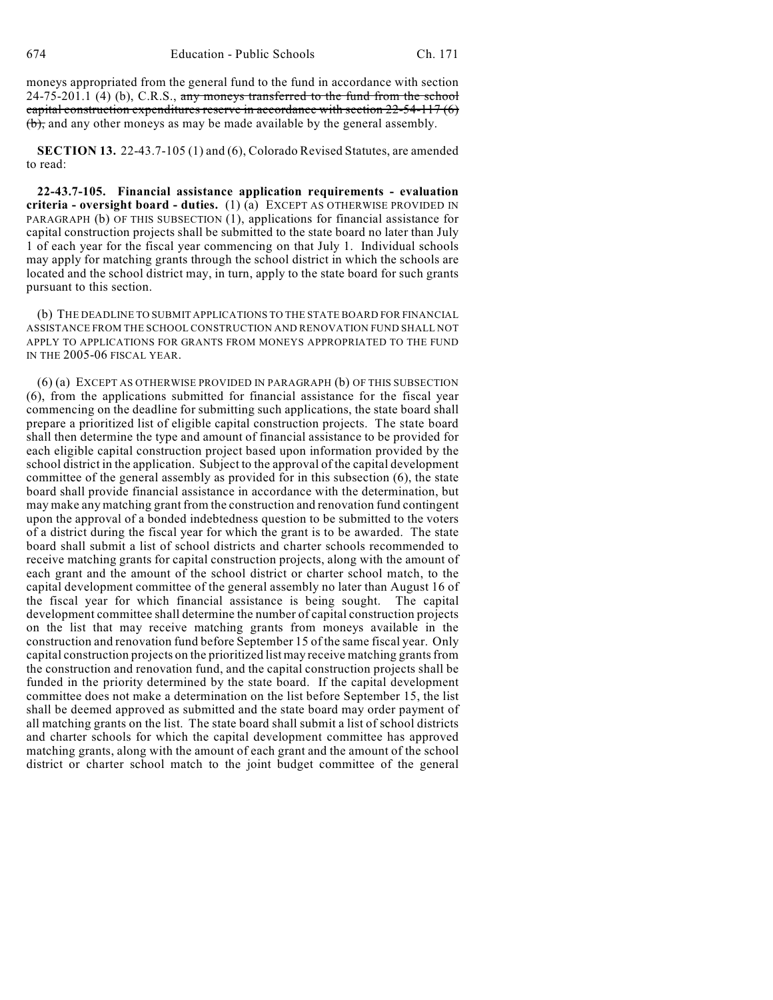moneys appropriated from the general fund to the fund in accordance with section  $24-75-201.1$  (4) (b), C.R.S., any moneys transferred to the fund from the school capital construction expenditures reserve in accordance with section  $22-54-117(6)$ (b), and any other moneys as may be made available by the general assembly.

**SECTION 13.** 22-43.7-105 (1) and (6), Colorado Revised Statutes, are amended to read:

**22-43.7-105. Financial assistance application requirements - evaluation criteria - oversight board - duties.** (1) (a) EXCEPT AS OTHERWISE PROVIDED IN PARAGRAPH (b) OF THIS SUBSECTION (1), applications for financial assistance for capital construction projects shall be submitted to the state board no later than July 1 of each year for the fiscal year commencing on that July 1. Individual schools may apply for matching grants through the school district in which the schools are located and the school district may, in turn, apply to the state board for such grants pursuant to this section.

(b) THE DEADLINE TO SUBMIT APPLICATIONS TO THE STATE BOARD FOR FINANCIAL ASSISTANCE FROM THE SCHOOL CONSTRUCTION AND RENOVATION FUND SHALL NOT APPLY TO APPLICATIONS FOR GRANTS FROM MONEYS APPROPRIATED TO THE FUND IN THE 2005-06 FISCAL YEAR.

(6) (a) EXCEPT AS OTHERWISE PROVIDED IN PARAGRAPH (b) OF THIS SUBSECTION (6), from the applications submitted for financial assistance for the fiscal year commencing on the deadline for submitting such applications, the state board shall prepare a prioritized list of eligible capital construction projects. The state board shall then determine the type and amount of financial assistance to be provided for each eligible capital construction project based upon information provided by the school district in the application. Subject to the approval of the capital development committee of the general assembly as provided for in this subsection (6), the state board shall provide financial assistance in accordance with the determination, but may make any matching grant from the construction and renovation fund contingent upon the approval of a bonded indebtedness question to be submitted to the voters of a district during the fiscal year for which the grant is to be awarded. The state board shall submit a list of school districts and charter schools recommended to receive matching grants for capital construction projects, along with the amount of each grant and the amount of the school district or charter school match, to the capital development committee of the general assembly no later than August 16 of the fiscal year for which financial assistance is being sought. The capital development committee shall determine the number of capital construction projects on the list that may receive matching grants from moneys available in the construction and renovation fund before September 15 of the same fiscal year. Only capital construction projects on the prioritized list may receive matching grants from the construction and renovation fund, and the capital construction projects shall be funded in the priority determined by the state board. If the capital development committee does not make a determination on the list before September 15, the list shall be deemed approved as submitted and the state board may order payment of all matching grants on the list. The state board shall submit a list of school districts and charter schools for which the capital development committee has approved matching grants, along with the amount of each grant and the amount of the school district or charter school match to the joint budget committee of the general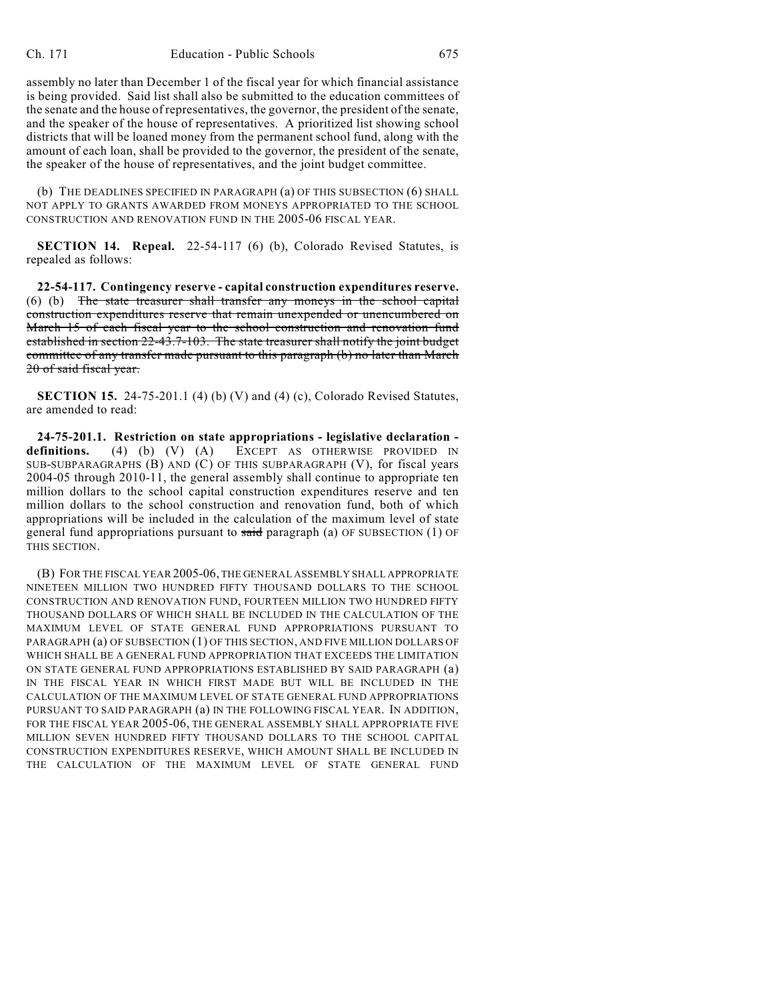assembly no later than December 1 of the fiscal year for which financial assistance is being provided. Said list shall also be submitted to the education committees of the senate and the house of representatives, the governor, the president of the senate, and the speaker of the house of representatives. A prioritized list showing school districts that will be loaned money from the permanent school fund, along with the amount of each loan, shall be provided to the governor, the president of the senate, the speaker of the house of representatives, and the joint budget committee.

(b) THE DEADLINES SPECIFIED IN PARAGRAPH (a) OF THIS SUBSECTION (6) SHALL NOT APPLY TO GRANTS AWARDED FROM MONEYS APPROPRIATED TO THE SCHOOL CONSTRUCTION AND RENOVATION FUND IN THE 2005-06 FISCAL YEAR.

**SECTION 14. Repeal.** 22-54-117 (6) (b), Colorado Revised Statutes, is repealed as follows:

**22-54-117. Contingency reserve - capital construction expenditures reserve.** (6) (b) The state treasurer shall transfer any moneys in the school capital construction expenditures reserve that remain unexpended or unencumbered on March 15 of each fiscal year to the school construction and renovation fund established in section 22-43.7-103. The state treasurer shall notify the joint budget committee of any transfer made pursuant to this paragraph (b) no later than March 20 of said fiscal year.

**SECTION 15.** 24-75-201.1 (4) (b) (V) and (4) (c), Colorado Revised Statutes, are amended to read:

**24-75-201.1. Restriction on state appropriations - legislative declaration**  definitions. (4) (b) (V) (A) EXCEPT AS OTHERWISE PROVIDED IN SUB-SUBPARAGRAPHS (B) AND (C) OF THIS SUBPARAGRAPH (V), for fiscal years 2004-05 through 2010-11, the general assembly shall continue to appropriate ten million dollars to the school capital construction expenditures reserve and ten million dollars to the school construction and renovation fund, both of which appropriations will be included in the calculation of the maximum level of state general fund appropriations pursuant to said paragraph (a) OF SUBSECTION  $(1)$  OF THIS SECTION.

(B) FOR THE FISCAL YEAR 2005-06, THE GENERAL ASSEMBLY SHALL APPROPRIATE NINETEEN MILLION TWO HUNDRED FIFTY THOUSAND DOLLARS TO THE SCHOOL CONSTRUCTION AND RENOVATION FUND, FOURTEEN MILLION TWO HUNDRED FIFTY THOUSAND DOLLARS OF WHICH SHALL BE INCLUDED IN THE CALCULATION OF THE MAXIMUM LEVEL OF STATE GENERAL FUND APPROPRIATIONS PURSUANT TO PARAGRAPH (a) OF SUBSECTION (1) OF THIS SECTION, AND FIVE MILLION DOLLARS OF WHICH SHALL BE A GENERAL FUND APPROPRIATION THAT EXCEEDS THE LIMITATION ON STATE GENERAL FUND APPROPRIATIONS ESTABLISHED BY SAID PARAGRAPH (a) IN THE FISCAL YEAR IN WHICH FIRST MADE BUT WILL BE INCLUDED IN THE CALCULATION OF THE MAXIMUM LEVEL OF STATE GENERAL FUND APPROPRIATIONS PURSUANT TO SAID PARAGRAPH (a) IN THE FOLLOWING FISCAL YEAR. IN ADDITION, FOR THE FISCAL YEAR 2005-06, THE GENERAL ASSEMBLY SHALL APPROPRIATE FIVE MILLION SEVEN HUNDRED FIFTY THOUSAND DOLLARS TO THE SCHOOL CAPITAL CONSTRUCTION EXPENDITURES RESERVE, WHICH AMOUNT SHALL BE INCLUDED IN THE CALCULATION OF THE MAXIMUM LEVEL OF STATE GENERAL FUND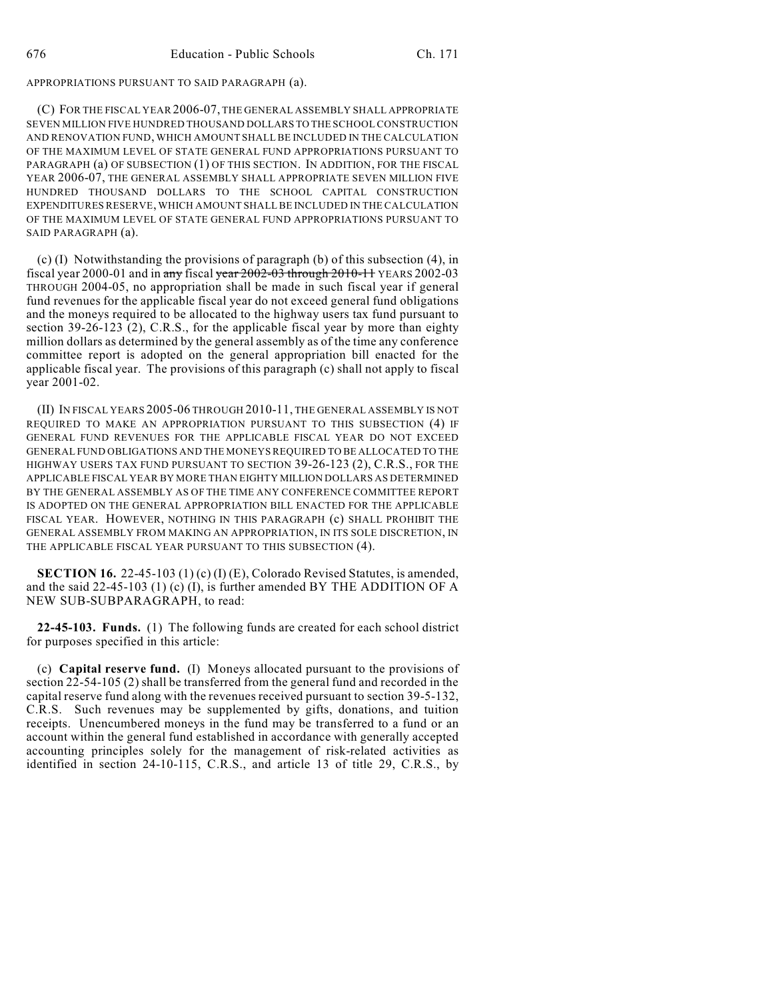APPROPRIATIONS PURSUANT TO SAID PARAGRAPH (a).

(C) FOR THE FISCAL YEAR 2006-07, THE GENERAL ASSEMBLY SHALL APPROPRIATE SEVEN MILLION FIVE HUNDRED THOUSAND DOLLARS TO THE SCHOOL CONSTRUCTION AND RENOVATION FUND, WHICH AMOUNT SHALL BE INCLUDED IN THE CALCULATION OF THE MAXIMUM LEVEL OF STATE GENERAL FUND APPROPRIATIONS PURSUANT TO PARAGRAPH (a) OF SUBSECTION (1) OF THIS SECTION. IN ADDITION, FOR THE FISCAL YEAR 2006-07, THE GENERAL ASSEMBLY SHALL APPROPRIATE SEVEN MILLION FIVE HUNDRED THOUSAND DOLLARS TO THE SCHOOL CAPITAL CONSTRUCTION EXPENDITURES RESERVE, WHICH AMOUNT SHALL BE INCLUDED IN THE CALCULATION OF THE MAXIMUM LEVEL OF STATE GENERAL FUND APPROPRIATIONS PURSUANT TO SAID PARAGRAPH (a).

(c) (I) Notwithstanding the provisions of paragraph (b) of this subsection (4), in fiscal year 2000-01 and in any fiscal year 2002-03 through 2010-11 YEARS 2002-03 THROUGH 2004-05, no appropriation shall be made in such fiscal year if general fund revenues for the applicable fiscal year do not exceed general fund obligations and the moneys required to be allocated to the highway users tax fund pursuant to section 39-26-123 (2), C.R.S., for the applicable fiscal year by more than eighty million dollars as determined by the general assembly as of the time any conference committee report is adopted on the general appropriation bill enacted for the applicable fiscal year. The provisions of this paragraph (c) shall not apply to fiscal year 2001-02.

(II) IN FISCAL YEARS 2005-06 THROUGH 2010-11, THE GENERAL ASSEMBLY IS NOT REQUIRED TO MAKE AN APPROPRIATION PURSUANT TO THIS SUBSECTION (4) IF GENERAL FUND REVENUES FOR THE APPLICABLE FISCAL YEAR DO NOT EXCEED GENERAL FUND OBLIGATIONS AND THE MONEYS REQUIRED TO BE ALLOCATED TO THE HIGHWAY USERS TAX FUND PURSUANT TO SECTION 39-26-123 (2), C.R.S., FOR THE APPLICABLE FISCAL YEAR BY MORE THAN EIGHTY MILLION DOLLARS AS DETERMINED BY THE GENERAL ASSEMBLY AS OF THE TIME ANY CONFERENCE COMMITTEE REPORT IS ADOPTED ON THE GENERAL APPROPRIATION BILL ENACTED FOR THE APPLICABLE FISCAL YEAR. HOWEVER, NOTHING IN THIS PARAGRAPH (c) SHALL PROHIBIT THE GENERAL ASSEMBLY FROM MAKING AN APPROPRIATION, IN ITS SOLE DISCRETION, IN THE APPLICABLE FISCAL YEAR PURSUANT TO THIS SUBSECTION (4).

**SECTION 16.** 22-45-103 (1) (c) (I) (E), Colorado Revised Statutes, is amended, and the said 22-45-103 (1) (c) (I), is further amended BY THE ADDITION OF A NEW SUB-SUBPARAGRAPH, to read:

**22-45-103. Funds.** (1) The following funds are created for each school district for purposes specified in this article:

(c) **Capital reserve fund.** (I) Moneys allocated pursuant to the provisions of section 22-54-105 (2) shall be transferred from the general fund and recorded in the capital reserve fund along with the revenues received pursuant to section 39-5-132, C.R.S. Such revenues may be supplemented by gifts, donations, and tuition receipts. Unencumbered moneys in the fund may be transferred to a fund or an account within the general fund established in accordance with generally accepted accounting principles solely for the management of risk-related activities as identified in section 24-10-115, C.R.S., and article 13 of title 29, C.R.S., by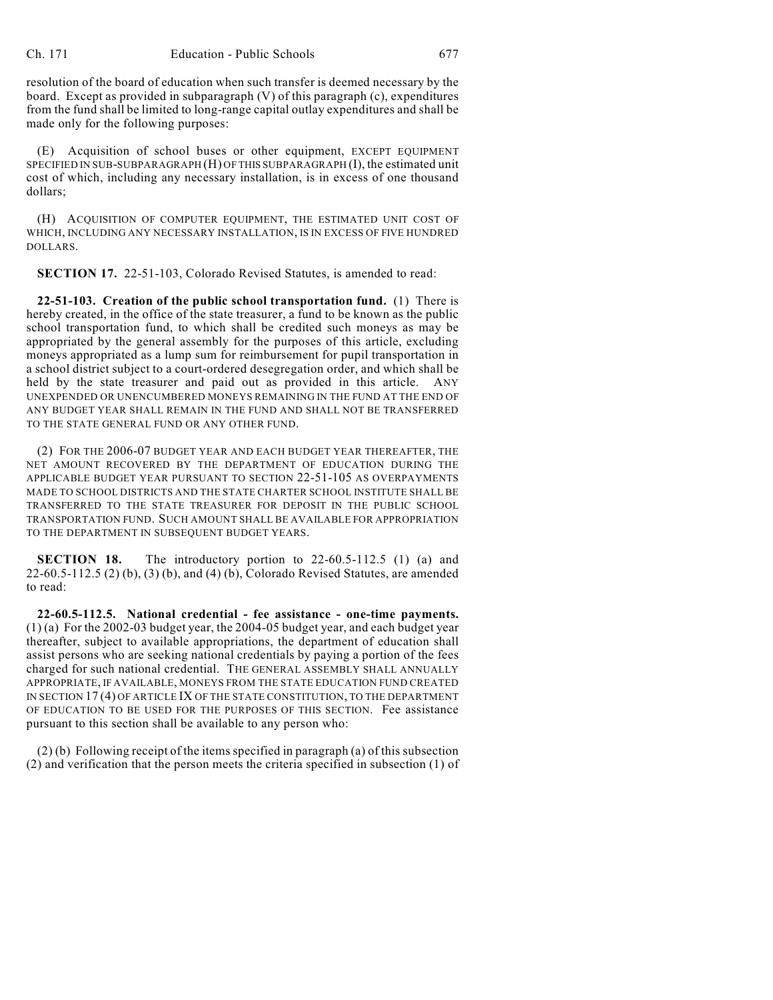resolution of the board of education when such transfer is deemed necessary by the board. Except as provided in subparagraph (V) of this paragraph (c), expenditures from the fund shall be limited to long-range capital outlay expenditures and shall be made only for the following purposes:

(E) Acquisition of school buses or other equipment, EXCEPT EQUIPMENT SPECIFIED IN SUB-SUBPARAGRAPH (H) OF THIS SUBPARAGRAPH (I), the estimated unit cost of which, including any necessary installation, is in excess of one thousand dollars;

(H) ACQUISITION OF COMPUTER EQUIPMENT, THE ESTIMATED UNIT COST OF WHICH, INCLUDING ANY NECESSARY INSTALLATION, IS IN EXCESS OF FIVE HUNDRED DOLLARS.

**SECTION 17.** 22-51-103, Colorado Revised Statutes, is amended to read:

**22-51-103. Creation of the public school transportation fund.** (1) There is hereby created, in the office of the state treasurer, a fund to be known as the public school transportation fund, to which shall be credited such moneys as may be appropriated by the general assembly for the purposes of this article, excluding moneys appropriated as a lump sum for reimbursement for pupil transportation in a school district subject to a court-ordered desegregation order, and which shall be held by the state treasurer and paid out as provided in this article. ANY UNEXPENDED OR UNENCUMBERED MONEYS REMAINING IN THE FUND AT THE END OF ANY BUDGET YEAR SHALL REMAIN IN THE FUND AND SHALL NOT BE TRANSFERRED TO THE STATE GENERAL FUND OR ANY OTHER FUND.

(2) FOR THE 2006-07 BUDGET YEAR AND EACH BUDGET YEAR THEREAFTER, THE NET AMOUNT RECOVERED BY THE DEPARTMENT OF EDUCATION DURING THE APPLICABLE BUDGET YEAR PURSUANT TO SECTION 22-51-105 AS OVERPAYMENTS MADE TO SCHOOL DISTRICTS AND THE STATE CHARTER SCHOOL INSTITUTE SHALL BE TRANSFERRED TO THE STATE TREASURER FOR DEPOSIT IN THE PUBLIC SCHOOL TRANSPORTATION FUND. SUCH AMOUNT SHALL BE AVAILABLE FOR APPROPRIATION TO THE DEPARTMENT IN SUBSEQUENT BUDGET YEARS.

**SECTION 18.** The introductory portion to 22-60.5-112.5 (1) (a) and 22-60.5-112.5 (2) (b), (3) (b), and (4) (b), Colorado Revised Statutes, are amended to read:

**22-60.5-112.5. National credential - fee assistance - one-time payments.** (1) (a) For the 2002-03 budget year, the 2004-05 budget year, and each budget year thereafter, subject to available appropriations, the department of education shall assist persons who are seeking national credentials by paying a portion of the fees charged for such national credential. THE GENERAL ASSEMBLY SHALL ANNUALLY APPROPRIATE, IF AVAILABLE, MONEYS FROM THE STATE EDUCATION FUND CREATED IN SECTION 17 (4) OF ARTICLE IX OF THE STATE CONSTITUTION, TO THE DEPARTMENT OF EDUCATION TO BE USED FOR THE PURPOSES OF THIS SECTION. Fee assistance pursuant to this section shall be available to any person who:

(2) (b) Following receipt of the items specified in paragraph (a) of this subsection (2) and verification that the person meets the criteria specified in subsection (1) of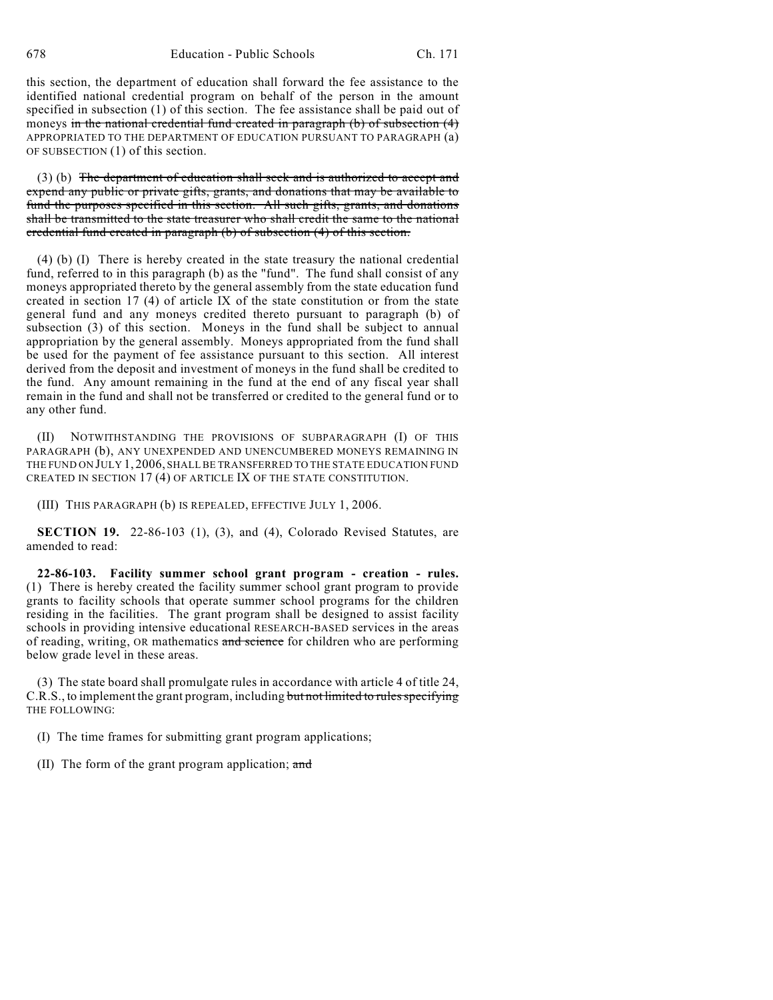this section, the department of education shall forward the fee assistance to the identified national credential program on behalf of the person in the amount specified in subsection (1) of this section. The fee assistance shall be paid out of moneys in the national credential fund created in paragraph (b) of subsection (4) APPROPRIATED TO THE DEPARTMENT OF EDUCATION PURSUANT TO PARAGRAPH (a) OF SUBSECTION (1) of this section.

(3) (b) The department of education shall seek and is authorized to accept and expend any public or private gifts, grants, and donations that may be available to fund the purposes specified in this section. All such gifts, grants, and donations shall be transmitted to the state treasurer who shall credit the same to the national credential fund created in paragraph (b) of subsection (4) of this section.

(4) (b) (I) There is hereby created in the state treasury the national credential fund, referred to in this paragraph (b) as the "fund". The fund shall consist of any moneys appropriated thereto by the general assembly from the state education fund created in section 17 (4) of article IX of the state constitution or from the state general fund and any moneys credited thereto pursuant to paragraph (b) of subsection (3) of this section. Moneys in the fund shall be subject to annual appropriation by the general assembly. Moneys appropriated from the fund shall be used for the payment of fee assistance pursuant to this section. All interest derived from the deposit and investment of moneys in the fund shall be credited to the fund. Any amount remaining in the fund at the end of any fiscal year shall remain in the fund and shall not be transferred or credited to the general fund or to any other fund.

(II) NOTWITHSTANDING THE PROVISIONS OF SUBPARAGRAPH (I) OF THIS PARAGRAPH (b), ANY UNEXPENDED AND UNENCUMBERED MONEYS REMAINING IN THE FUND ON JULY 1, 2006, SHALL BE TRANSFERRED TO THE STATE EDUCATION FUND CREATED IN SECTION 17 (4) OF ARTICLE IX OF THE STATE CONSTITUTION.

(III) THIS PARAGRAPH (b) IS REPEALED, EFFECTIVE JULY 1, 2006.

**SECTION 19.** 22-86-103 (1), (3), and (4), Colorado Revised Statutes, are amended to read:

**22-86-103. Facility summer school grant program - creation - rules.** (1) There is hereby created the facility summer school grant program to provide grants to facility schools that operate summer school programs for the children residing in the facilities. The grant program shall be designed to assist facility schools in providing intensive educational RESEARCH-BASED services in the areas of reading, writing, OR mathematics and science for children who are performing below grade level in these areas.

(3) The state board shall promulgate rules in accordance with article 4 of title 24, C.R.S., to implement the grant program, including but not limited to rules specifying THE FOLLOWING:

(I) The time frames for submitting grant program applications;

(II) The form of the grant program application; and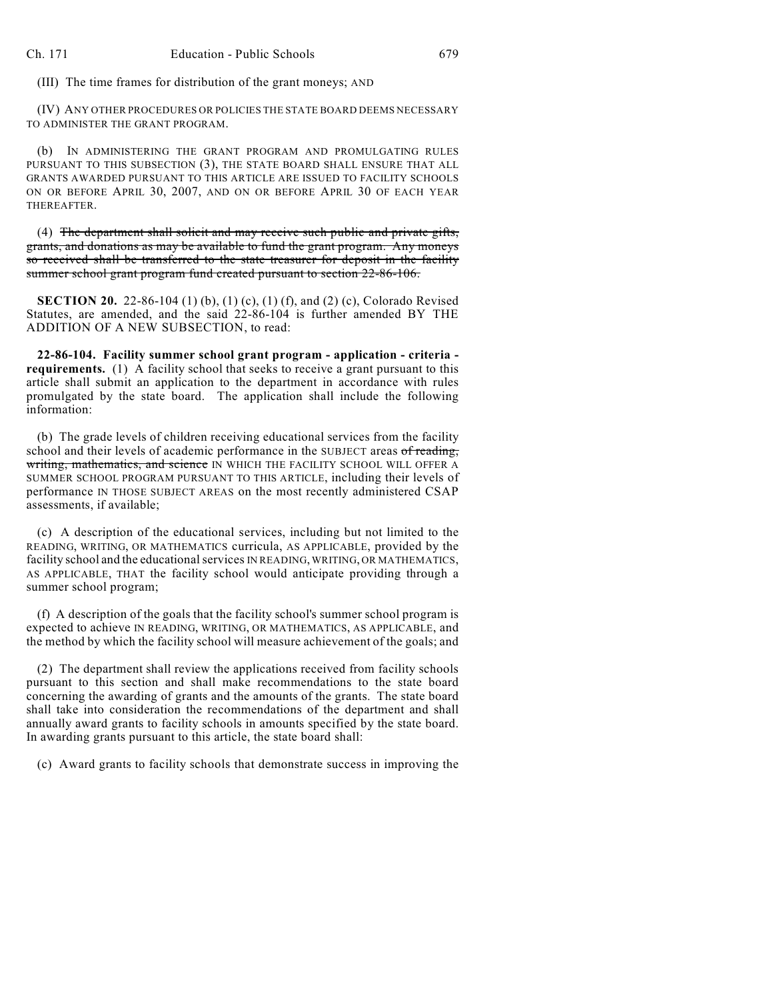(III) The time frames for distribution of the grant moneys; AND

(IV) ANY OTHER PROCEDURES OR POLICIES THE STATE BOARD DEEMS NECESSARY TO ADMINISTER THE GRANT PROGRAM.

(b) IN ADMINISTERING THE GRANT PROGRAM AND PROMULGATING RULES PURSUANT TO THIS SUBSECTION (3), THE STATE BOARD SHALL ENSURE THAT ALL GRANTS AWARDED PURSUANT TO THIS ARTICLE ARE ISSUED TO FACILITY SCHOOLS ON OR BEFORE APRIL 30, 2007, AND ON OR BEFORE APRIL 30 OF EACH YEAR THEREAFTER.

(4) The department shall solicit and may receive such public and private gifts, grants, and donations as may be available to fund the grant program. Any moneys so received shall be transferred to the state treasurer for deposit in the facility summer school grant program fund created pursuant to section 22-86-106.

**SECTION 20.** 22-86-104 (1) (b), (1) (c), (1) (f), and (2) (c), Colorado Revised Statutes, are amended, and the said 22-86-104 is further amended BY THE ADDITION OF A NEW SUBSECTION, to read:

**22-86-104. Facility summer school grant program - application - criteria requirements.** (1) A facility school that seeks to receive a grant pursuant to this article shall submit an application to the department in accordance with rules promulgated by the state board. The application shall include the following information:

(b) The grade levels of children receiving educational services from the facility school and their levels of academic performance in the SUBJECT areas of reading, writing, mathematics, and science IN WHICH THE FACILITY SCHOOL WILL OFFER A SUMMER SCHOOL PROGRAM PURSUANT TO THIS ARTICLE, including their levels of performance IN THOSE SUBJECT AREAS on the most recently administered CSAP assessments, if available;

(c) A description of the educational services, including but not limited to the READING, WRITING, OR MATHEMATICS curricula, AS APPLICABLE, provided by the facility school and the educational services IN READING, WRITING, OR MATHEMATICS, AS APPLICABLE, THAT the facility school would anticipate providing through a summer school program;

(f) A description of the goals that the facility school's summer school program is expected to achieve IN READING, WRITING, OR MATHEMATICS, AS APPLICABLE, and the method by which the facility school will measure achievement of the goals; and

(2) The department shall review the applications received from facility schools pursuant to this section and shall make recommendations to the state board concerning the awarding of grants and the amounts of the grants. The state board shall take into consideration the recommendations of the department and shall annually award grants to facility schools in amounts specified by the state board. In awarding grants pursuant to this article, the state board shall:

(c) Award grants to facility schools that demonstrate success in improving the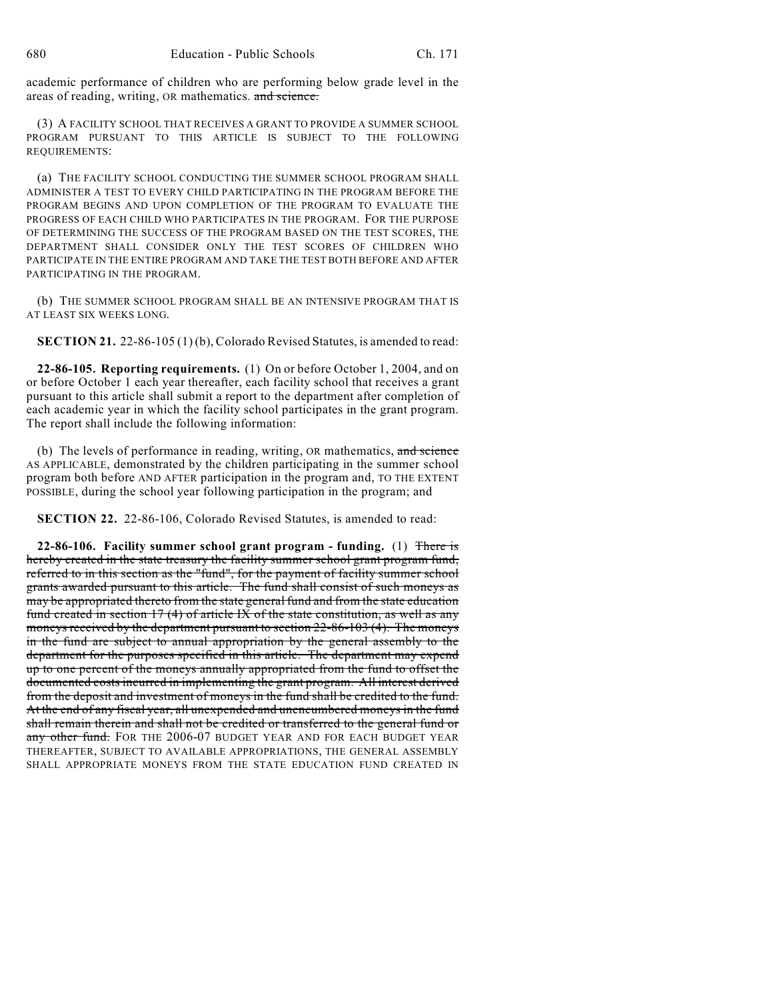academic performance of children who are performing below grade level in the areas of reading, writing, OR mathematics. and science.

(3) A FACILITY SCHOOL THAT RECEIVES A GRANT TO PROVIDE A SUMMER SCHOOL PROGRAM PURSUANT TO THIS ARTICLE IS SUBJECT TO THE FOLLOWING REQUIREMENTS:

(a) THE FACILITY SCHOOL CONDUCTING THE SUMMER SCHOOL PROGRAM SHALL ADMINISTER A TEST TO EVERY CHILD PARTICIPATING IN THE PROGRAM BEFORE THE PROGRAM BEGINS AND UPON COMPLETION OF THE PROGRAM TO EVALUATE THE PROGRESS OF EACH CHILD WHO PARTICIPATES IN THE PROGRAM. FOR THE PURPOSE OF DETERMINING THE SUCCESS OF THE PROGRAM BASED ON THE TEST SCORES, THE DEPARTMENT SHALL CONSIDER ONLY THE TEST SCORES OF CHILDREN WHO PARTICIPATE IN THE ENTIRE PROGRAM AND TAKE THE TEST BOTH BEFORE AND AFTER PARTICIPATING IN THE PROGRAM.

(b) THE SUMMER SCHOOL PROGRAM SHALL BE AN INTENSIVE PROGRAM THAT IS AT LEAST SIX WEEKS LONG.

**SECTION 21.** 22-86-105 (1) (b), Colorado Revised Statutes, is amended to read:

**22-86-105. Reporting requirements.** (1) On or before October 1, 2004, and on or before October 1 each year thereafter, each facility school that receives a grant pursuant to this article shall submit a report to the department after completion of each academic year in which the facility school participates in the grant program. The report shall include the following information:

(b) The levels of performance in reading, writing, OR mathematics, and science AS APPLICABLE, demonstrated by the children participating in the summer school program both before AND AFTER participation in the program and, TO THE EXTENT POSSIBLE, during the school year following participation in the program; and

**SECTION 22.** 22-86-106, Colorado Revised Statutes, is amended to read:

**22-86-106. Facility summer school grant program - funding.** (1) There is hereby created in the state treasury the facility summer school grant program fund, referred to in this section as the "fund", for the payment of facility summer school grants awarded pursuant to this article. The fund shall consist of such moneys as may be appropriated thereto from the state general fund and from the state education fund created in section 17 (4) of article IX of the state constitution, as well as any moneys received by the department pursuant to section 22-86-103 (4). The moneys in the fund are subject to annual appropriation by the general assembly to the department for the purposes specified in this article. The department may expend up to one percent of the moneys annually appropriated from the fund to offset the documented costs incurred in implementing the grant program. All interest derived from the deposit and investment of moneys in the fund shall be credited to the fund. At the end of any fiscal year, all unexpended and unencumbered moneys in the fund shall remain therein and shall not be credited or transferred to the general fund or any other fund. FOR THE 2006-07 BUDGET YEAR AND FOR EACH BUDGET YEAR THEREAFTER, SUBJECT TO AVAILABLE APPROPRIATIONS, THE GENERAL ASSEMBLY SHALL APPROPRIATE MONEYS FROM THE STATE EDUCATION FUND CREATED IN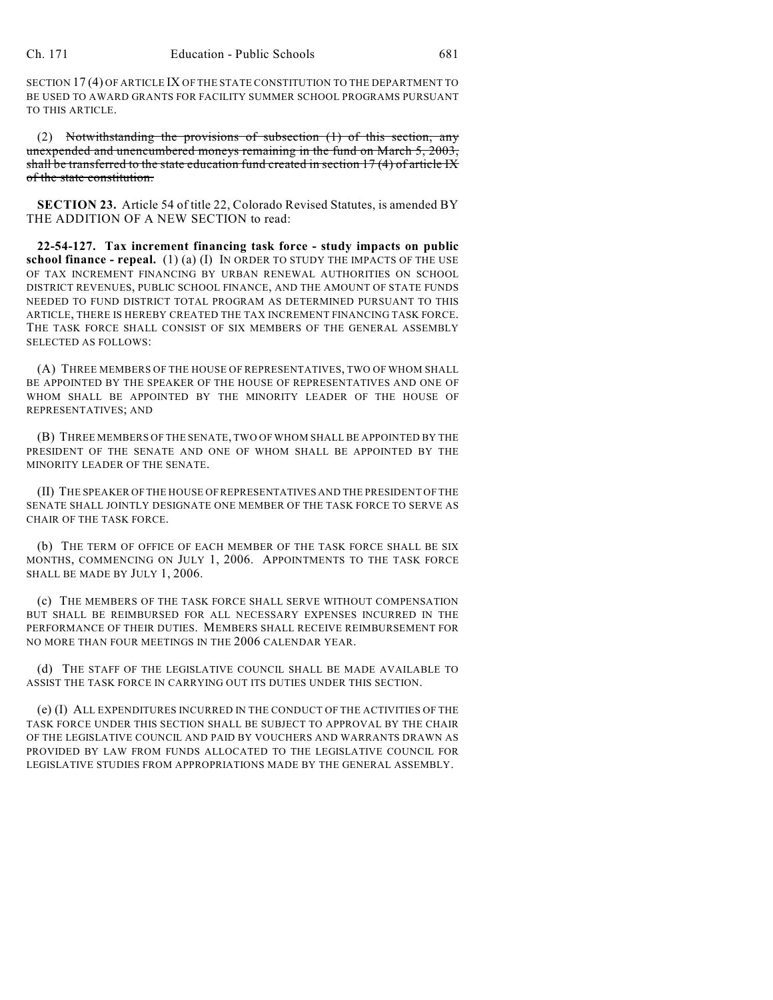SECTION 17 (4) OF ARTICLE IX OF THE STATE CONSTITUTION TO THE DEPARTMENT TO BE USED TO AWARD GRANTS FOR FACILITY SUMMER SCHOOL PROGRAMS PURSUANT TO THIS ARTICLE.

(2) Notwithstanding the provisions of subsection (1) of this section, any unexpended and unencumbered moneys remaining in the fund on March 5, 2003, shall be transferred to the state education fund created in section 17 (4) of article IX of the state constitution.

**SECTION 23.** Article 54 of title 22, Colorado Revised Statutes, is amended BY THE ADDITION OF A NEW SECTION to read:

**22-54-127. Tax increment financing task force - study impacts on public school finance - repeal.** (1) (a) (I) IN ORDER TO STUDY THE IMPACTS OF THE USE OF TAX INCREMENT FINANCING BY URBAN RENEWAL AUTHORITIES ON SCHOOL DISTRICT REVENUES, PUBLIC SCHOOL FINANCE, AND THE AMOUNT OF STATE FUNDS NEEDED TO FUND DISTRICT TOTAL PROGRAM AS DETERMINED PURSUANT TO THIS ARTICLE, THERE IS HEREBY CREATED THE TAX INCREMENT FINANCING TASK FORCE. THE TASK FORCE SHALL CONSIST OF SIX MEMBERS OF THE GENERAL ASSEMBLY SELECTED AS FOLLOWS:

(A) THREE MEMBERS OF THE HOUSE OF REPRESENTATIVES, TWO OF WHOM SHALL BE APPOINTED BY THE SPEAKER OF THE HOUSE OF REPRESENTATIVES AND ONE OF WHOM SHALL BE APPOINTED BY THE MINORITY LEADER OF THE HOUSE OF REPRESENTATIVES; AND

(B) THREE MEMBERS OF THE SENATE, TWO OF WHOM SHALL BE APPOINTED BY THE PRESIDENT OF THE SENATE AND ONE OF WHOM SHALL BE APPOINTED BY THE MINORITY LEADER OF THE SENATE.

(II) THE SPEAKER OF THE HOUSE OF REPRESENTATIVES AND THE PRESIDENT OF THE SENATE SHALL JOINTLY DESIGNATE ONE MEMBER OF THE TASK FORCE TO SERVE AS CHAIR OF THE TASK FORCE.

(b) THE TERM OF OFFICE OF EACH MEMBER OF THE TASK FORCE SHALL BE SIX MONTHS, COMMENCING ON JULY 1, 2006. APPOINTMENTS TO THE TASK FORCE SHALL BE MADE BY JULY 1, 2006.

(c) THE MEMBERS OF THE TASK FORCE SHALL SERVE WITHOUT COMPENSATION BUT SHALL BE REIMBURSED FOR ALL NECESSARY EXPENSES INCURRED IN THE PERFORMANCE OF THEIR DUTIES. MEMBERS SHALL RECEIVE REIMBURSEMENT FOR NO MORE THAN FOUR MEETINGS IN THE 2006 CALENDAR YEAR.

(d) THE STAFF OF THE LEGISLATIVE COUNCIL SHALL BE MADE AVAILABLE TO ASSIST THE TASK FORCE IN CARRYING OUT ITS DUTIES UNDER THIS SECTION.

(e) (I) ALL EXPENDITURES INCURRED IN THE CONDUCT OF THE ACTIVITIES OF THE TASK FORCE UNDER THIS SECTION SHALL BE SUBJECT TO APPROVAL BY THE CHAIR OF THE LEGISLATIVE COUNCIL AND PAID BY VOUCHERS AND WARRANTS DRAWN AS PROVIDED BY LAW FROM FUNDS ALLOCATED TO THE LEGISLATIVE COUNCIL FOR LEGISLATIVE STUDIES FROM APPROPRIATIONS MADE BY THE GENERAL ASSEMBLY.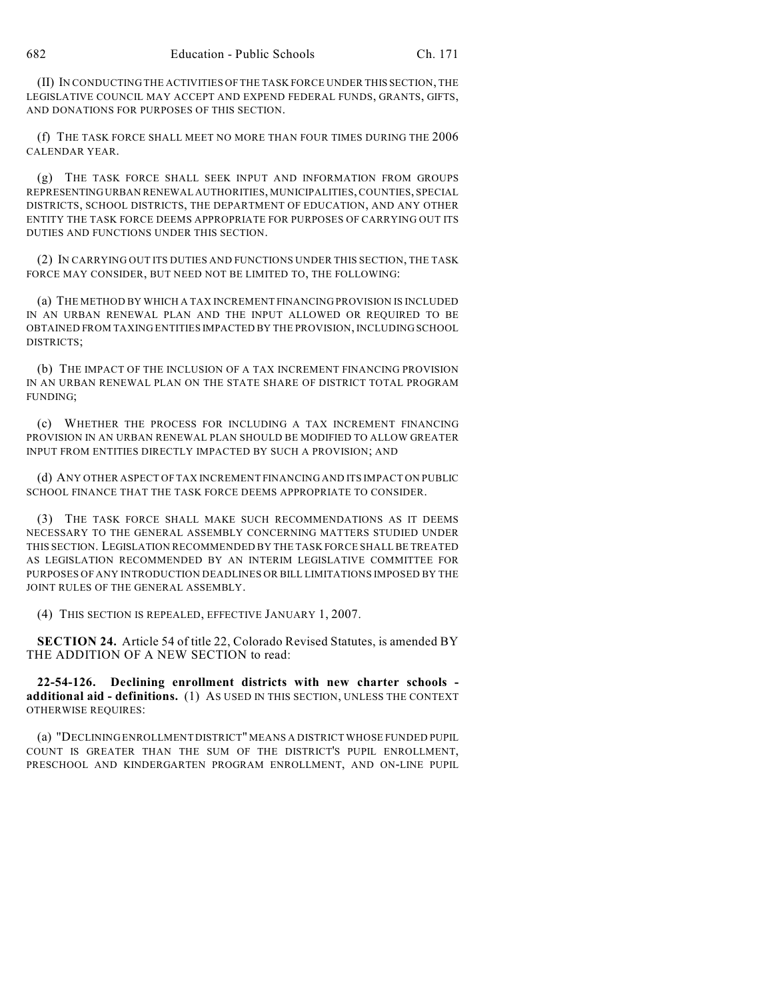(II) IN CONDUCTING THE ACTIVITIES OF THE TASK FORCE UNDER THIS SECTION, THE LEGISLATIVE COUNCIL MAY ACCEPT AND EXPEND FEDERAL FUNDS, GRANTS, GIFTS, AND DONATIONS FOR PURPOSES OF THIS SECTION.

(f) THE TASK FORCE SHALL MEET NO MORE THAN FOUR TIMES DURING THE 2006 CALENDAR YEAR.

(g) THE TASK FORCE SHALL SEEK INPUT AND INFORMATION FROM GROUPS REPRESENTING URBAN RENEWAL AUTHORITIES, MUNICIPALITIES, COUNTIES, SPECIAL DISTRICTS, SCHOOL DISTRICTS, THE DEPARTMENT OF EDUCATION, AND ANY OTHER ENTITY THE TASK FORCE DEEMS APPROPRIATE FOR PURPOSES OF CARRYING OUT ITS DUTIES AND FUNCTIONS UNDER THIS SECTION.

(2) IN CARRYING OUT ITS DUTIES AND FUNCTIONS UNDER THIS SECTION, THE TASK FORCE MAY CONSIDER, BUT NEED NOT BE LIMITED TO, THE FOLLOWING:

(a) THE METHOD BY WHICH A TAX INCREMENT FINANCING PROVISION IS INCLUDED IN AN URBAN RENEWAL PLAN AND THE INPUT ALLOWED OR REQUIRED TO BE OBTAINED FROM TAXING ENTITIES IMPACTED BY THE PROVISION, INCLUDING SCHOOL DISTRICTS;

(b) THE IMPACT OF THE INCLUSION OF A TAX INCREMENT FINANCING PROVISION IN AN URBAN RENEWAL PLAN ON THE STATE SHARE OF DISTRICT TOTAL PROGRAM FUNDING;

(c) WHETHER THE PROCESS FOR INCLUDING A TAX INCREMENT FINANCING PROVISION IN AN URBAN RENEWAL PLAN SHOULD BE MODIFIED TO ALLOW GREATER INPUT FROM ENTITIES DIRECTLY IMPACTED BY SUCH A PROVISION; AND

(d) ANY OTHER ASPECT OF TAX INCREMENT FINANCING AND ITS IMPACT ON PUBLIC SCHOOL FINANCE THAT THE TASK FORCE DEEMS APPROPRIATE TO CONSIDER.

(3) THE TASK FORCE SHALL MAKE SUCH RECOMMENDATIONS AS IT DEEMS NECESSARY TO THE GENERAL ASSEMBLY CONCERNING MATTERS STUDIED UNDER THIS SECTION. LEGISLATION RECOMMENDED BY THE TASK FORCE SHALL BE TREATED AS LEGISLATION RECOMMENDED BY AN INTERIM LEGISLATIVE COMMITTEE FOR PURPOSES OF ANY INTRODUCTION DEADLINES OR BILL LIMITATIONS IMPOSED BY THE JOINT RULES OF THE GENERAL ASSEMBLY.

(4) THIS SECTION IS REPEALED, EFFECTIVE JANUARY 1, 2007.

**SECTION 24.** Article 54 of title 22, Colorado Revised Statutes, is amended BY THE ADDITION OF A NEW SECTION to read:

**22-54-126. Declining enrollment districts with new charter schools additional aid - definitions.** (1) AS USED IN THIS SECTION, UNLESS THE CONTEXT OTHERWISE REQUIRES:

(a) "DECLINING ENROLLMENT DISTRICT" MEANS A DISTRICT WHOSE FUNDED PUPIL COUNT IS GREATER THAN THE SUM OF THE DISTRICT'S PUPIL ENROLLMENT, PRESCHOOL AND KINDERGARTEN PROGRAM ENROLLMENT, AND ON-LINE PUPIL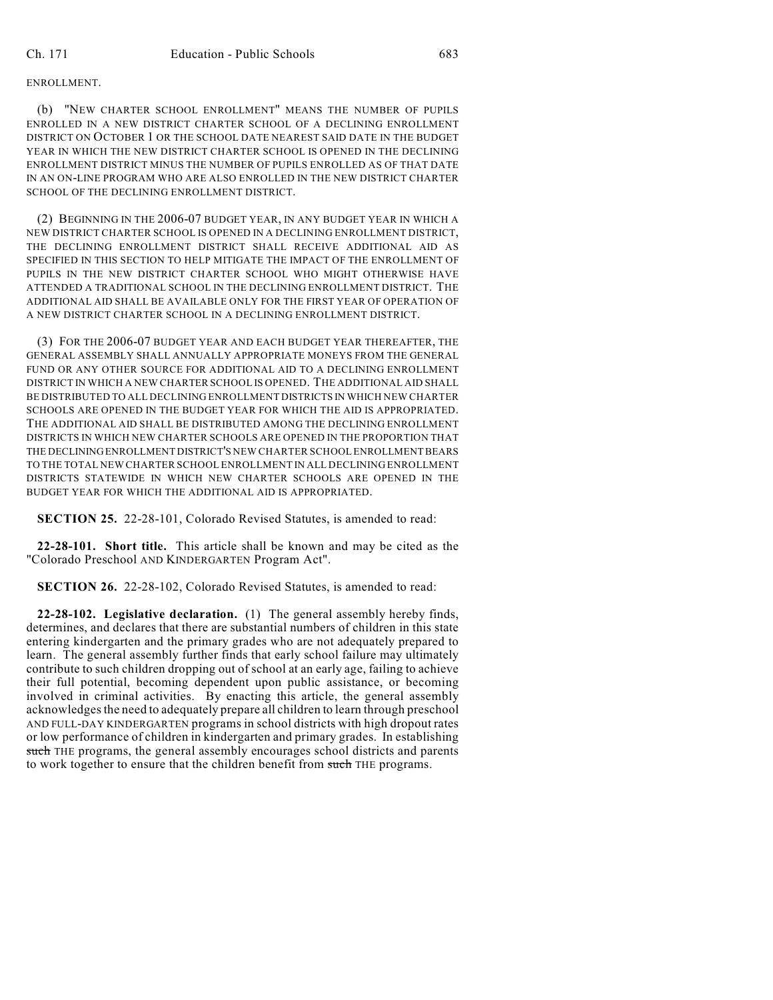(b) "NEW CHARTER SCHOOL ENROLLMENT" MEANS THE NUMBER OF PUPILS ENROLLED IN A NEW DISTRICT CHARTER SCHOOL OF A DECLINING ENROLLMENT DISTRICT ON OCTOBER 1 OR THE SCHOOL DATE NEAREST SAID DATE IN THE BUDGET YEAR IN WHICH THE NEW DISTRICT CHARTER SCHOOL IS OPENED IN THE DECLINING ENROLLMENT DISTRICT MINUS THE NUMBER OF PUPILS ENROLLED AS OF THAT DATE IN AN ON-LINE PROGRAM WHO ARE ALSO ENROLLED IN THE NEW DISTRICT CHARTER SCHOOL OF THE DECLINING ENROLLMENT DISTRICT.

(2) BEGINNING IN THE 2006-07 BUDGET YEAR, IN ANY BUDGET YEAR IN WHICH A NEW DISTRICT CHARTER SCHOOL IS OPENED IN A DECLINING ENROLLMENT DISTRICT, THE DECLINING ENROLLMENT DISTRICT SHALL RECEIVE ADDITIONAL AID AS SPECIFIED IN THIS SECTION TO HELP MITIGATE THE IMPACT OF THE ENROLLMENT OF PUPILS IN THE NEW DISTRICT CHARTER SCHOOL WHO MIGHT OTHERWISE HAVE ATTENDED A TRADITIONAL SCHOOL IN THE DECLINING ENROLLMENT DISTRICT. THE ADDITIONAL AID SHALL BE AVAILABLE ONLY FOR THE FIRST YEAR OF OPERATION OF A NEW DISTRICT CHARTER SCHOOL IN A DECLINING ENROLLMENT DISTRICT.

(3) FOR THE 2006-07 BUDGET YEAR AND EACH BUDGET YEAR THEREAFTER, THE GENERAL ASSEMBLY SHALL ANNUALLY APPROPRIATE MONEYS FROM THE GENERAL FUND OR ANY OTHER SOURCE FOR ADDITIONAL AID TO A DECLINING ENROLLMENT DISTRICT IN WHICH A NEW CHARTER SCHOOL IS OPENED. THE ADDITIONAL AID SHALL BE DISTRIBUTED TO ALL DECLINING ENROLLMENT DISTRICTS IN WHICH NEW CHARTER SCHOOLS ARE OPENED IN THE BUDGET YEAR FOR WHICH THE AID IS APPROPRIATED. THE ADDITIONAL AID SHALL BE DISTRIBUTED AMONG THE DECLINING ENROLLMENT DISTRICTS IN WHICH NEW CHARTER SCHOOLS ARE OPENED IN THE PROPORTION THAT THE DECLINING ENROLLMENT DISTRICT'S NEW CHARTER SCHOOL ENROLLMENT BEARS TO THE TOTAL NEW CHARTER SCHOOL ENROLLMENT IN ALL DECLINING ENROLLMENT DISTRICTS STATEWIDE IN WHICH NEW CHARTER SCHOOLS ARE OPENED IN THE BUDGET YEAR FOR WHICH THE ADDITIONAL AID IS APPROPRIATED.

**SECTION 25.** 22-28-101, Colorado Revised Statutes, is amended to read:

**22-28-101. Short title.** This article shall be known and may be cited as the "Colorado Preschool AND KINDERGARTEN Program Act".

**SECTION 26.** 22-28-102, Colorado Revised Statutes, is amended to read:

**22-28-102. Legislative declaration.** (1) The general assembly hereby finds, determines, and declares that there are substantial numbers of children in this state entering kindergarten and the primary grades who are not adequately prepared to learn. The general assembly further finds that early school failure may ultimately contribute to such children dropping out of school at an early age, failing to achieve their full potential, becoming dependent upon public assistance, or becoming involved in criminal activities. By enacting this article, the general assembly acknowledges the need to adequately prepare all children to learn through preschool AND FULL-DAY KINDERGARTEN programs in school districts with high dropout rates or low performance of children in kindergarten and primary grades. In establishing such THE programs, the general assembly encourages school districts and parents to work together to ensure that the children benefit from such THE programs.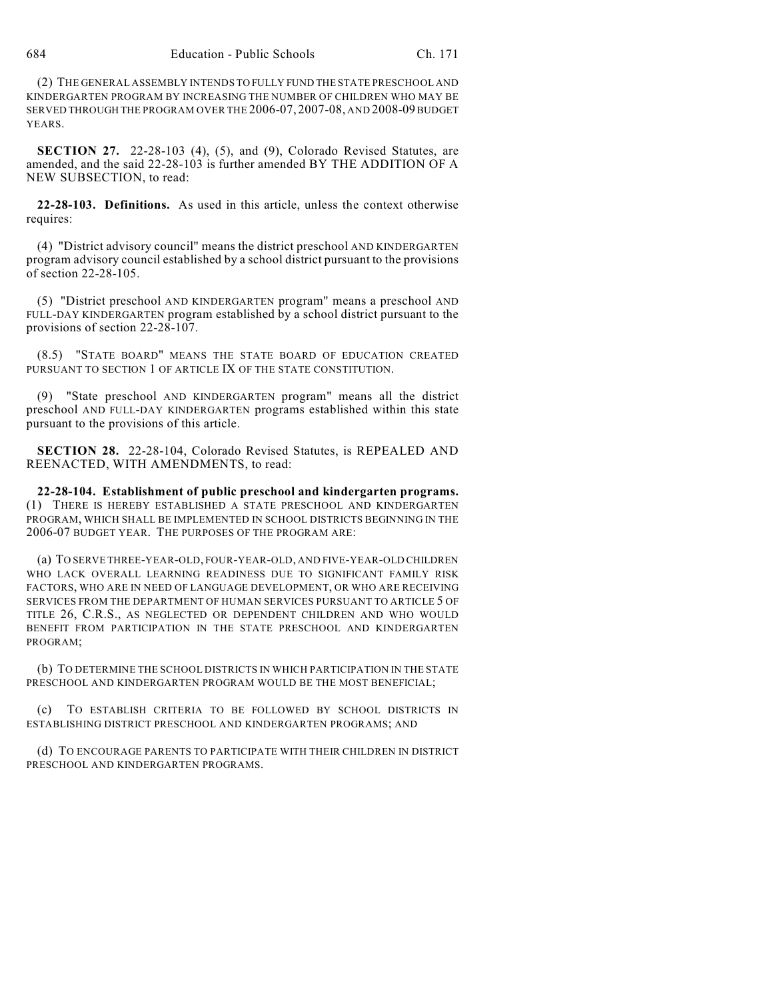(2) THE GENERAL ASSEMBLY INTENDS TO FULLY FUND THE STATE PRESCHOOL AND KINDERGARTEN PROGRAM BY INCREASING THE NUMBER OF CHILDREN WHO MAY BE SERVED THROUGH THE PROGRAM OVER THE 2006-07, 2007-08, AND 2008-09 BUDGET YEARS.

**SECTION 27.** 22-28-103 (4), (5), and (9), Colorado Revised Statutes, are amended, and the said 22-28-103 is further amended BY THE ADDITION OF A NEW SUBSECTION, to read:

**22-28-103. Definitions.** As used in this article, unless the context otherwise requires:

(4) "District advisory council" means the district preschool AND KINDERGARTEN program advisory council established by a school district pursuant to the provisions of section 22-28-105.

(5) "District preschool AND KINDERGARTEN program" means a preschool AND FULL-DAY KINDERGARTEN program established by a school district pursuant to the provisions of section 22-28-107.

(8.5) "STATE BOARD" MEANS THE STATE BOARD OF EDUCATION CREATED PURSUANT TO SECTION 1 OF ARTICLE IX OF THE STATE CONSTITUTION.

"State preschool AND KINDERGARTEN program" means all the district preschool AND FULL-DAY KINDERGARTEN programs established within this state pursuant to the provisions of this article.

**SECTION 28.** 22-28-104, Colorado Revised Statutes, is REPEALED AND REENACTED, WITH AMENDMENTS, to read:

**22-28-104. Establishment of public preschool and kindergarten programs.** (1) THERE IS HEREBY ESTABLISHED A STATE PRESCHOOL AND KINDERGARTEN PROGRAM, WHICH SHALL BE IMPLEMENTED IN SCHOOL DISTRICTS BEGINNING IN THE 2006-07 BUDGET YEAR. THE PURPOSES OF THE PROGRAM ARE:

(a) TO SERVE THREE-YEAR-OLD, FOUR-YEAR-OLD, AND FIVE-YEAR-OLD CHILDREN WHO LACK OVERALL LEARNING READINESS DUE TO SIGNIFICANT FAMILY RISK FACTORS, WHO ARE IN NEED OF LANGUAGE DEVELOPMENT, OR WHO ARE RECEIVING SERVICES FROM THE DEPARTMENT OF HUMAN SERVICES PURSUANT TO ARTICLE 5 OF TITLE 26, C.R.S., AS NEGLECTED OR DEPENDENT CHILDREN AND WHO WOULD BENEFIT FROM PARTICIPATION IN THE STATE PRESCHOOL AND KINDERGARTEN PROGRAM;

(b) TO DETERMINE THE SCHOOL DISTRICTS IN WHICH PARTICIPATION IN THE STATE PRESCHOOL AND KINDERGARTEN PROGRAM WOULD BE THE MOST BENEFICIAL;

(c) TO ESTABLISH CRITERIA TO BE FOLLOWED BY SCHOOL DISTRICTS IN ESTABLISHING DISTRICT PRESCHOOL AND KINDERGARTEN PROGRAMS; AND

(d) TO ENCOURAGE PARENTS TO PARTICIPATE WITH THEIR CHILDREN IN DISTRICT PRESCHOOL AND KINDERGARTEN PROGRAMS.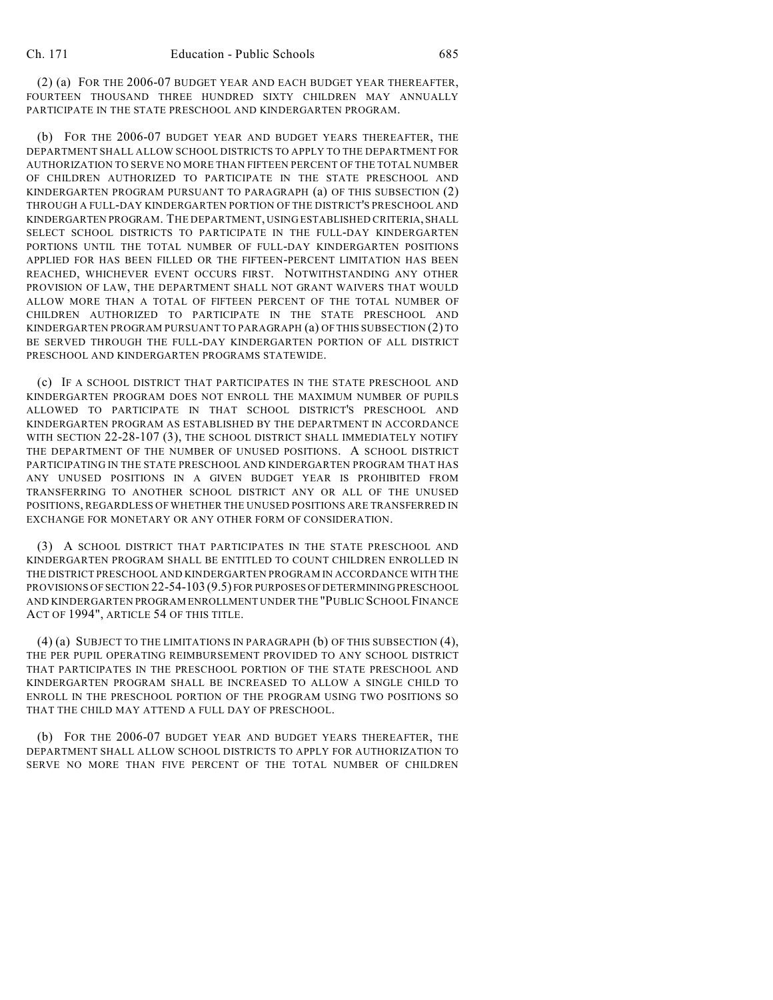(b) FOR THE 2006-07 BUDGET YEAR AND BUDGET YEARS THEREAFTER, THE DEPARTMENT SHALL ALLOW SCHOOL DISTRICTS TO APPLY TO THE DEPARTMENT FOR AUTHORIZATION TO SERVE NO MORE THAN FIFTEEN PERCENT OF THE TOTAL NUMBER OF CHILDREN AUTHORIZED TO PARTICIPATE IN THE STATE PRESCHOOL AND KINDERGARTEN PROGRAM PURSUANT TO PARAGRAPH (a) OF THIS SUBSECTION (2) THROUGH A FULL-DAY KINDERGARTEN PORTION OF THE DISTRICT'S PRESCHOOL AND KINDERGARTEN PROGRAM. THE DEPARTMENT, USING ESTABLISHED CRITERIA, SHALL SELECT SCHOOL DISTRICTS TO PARTICIPATE IN THE FULL-DAY KINDERGARTEN PORTIONS UNTIL THE TOTAL NUMBER OF FULL-DAY KINDERGARTEN POSITIONS APPLIED FOR HAS BEEN FILLED OR THE FIFTEEN-PERCENT LIMITATION HAS BEEN REACHED, WHICHEVER EVENT OCCURS FIRST. NOTWITHSTANDING ANY OTHER PROVISION OF LAW, THE DEPARTMENT SHALL NOT GRANT WAIVERS THAT WOULD ALLOW MORE THAN A TOTAL OF FIFTEEN PERCENT OF THE TOTAL NUMBER OF CHILDREN AUTHORIZED TO PARTICIPATE IN THE STATE PRESCHOOL AND KINDERGARTEN PROGRAM PURSUANT TO PARAGRAPH (a) OF THIS SUBSECTION (2) TO BE SERVED THROUGH THE FULL-DAY KINDERGARTEN PORTION OF ALL DISTRICT PRESCHOOL AND KINDERGARTEN PROGRAMS STATEWIDE.

(c) IF A SCHOOL DISTRICT THAT PARTICIPATES IN THE STATE PRESCHOOL AND KINDERGARTEN PROGRAM DOES NOT ENROLL THE MAXIMUM NUMBER OF PUPILS ALLOWED TO PARTICIPATE IN THAT SCHOOL DISTRICT'S PRESCHOOL AND KINDERGARTEN PROGRAM AS ESTABLISHED BY THE DEPARTMENT IN ACCORDANCE WITH SECTION 22-28-107 (3), THE SCHOOL DISTRICT SHALL IMMEDIATELY NOTIFY THE DEPARTMENT OF THE NUMBER OF UNUSED POSITIONS. A SCHOOL DISTRICT PARTICIPATING IN THE STATE PRESCHOOL AND KINDERGARTEN PROGRAM THAT HAS ANY UNUSED POSITIONS IN A GIVEN BUDGET YEAR IS PROHIBITED FROM TRANSFERRING TO ANOTHER SCHOOL DISTRICT ANY OR ALL OF THE UNUSED POSITIONS, REGARDLESS OF WHETHER THE UNUSED POSITIONS ARE TRANSFERRED IN EXCHANGE FOR MONETARY OR ANY OTHER FORM OF CONSIDERATION.

(3) A SCHOOL DISTRICT THAT PARTICIPATES IN THE STATE PRESCHOOL AND KINDERGARTEN PROGRAM SHALL BE ENTITLED TO COUNT CHILDREN ENROLLED IN THE DISTRICT PRESCHOOL AND KINDERGARTEN PROGRAM IN ACCORDANCE WITH THE PROVISIONS OF SECTION 22-54-103 (9.5) FOR PURPOSES OF DETERMINING PRESCHOOL AND KINDERGARTEN PROGRAM ENROLLMENT UNDER THE "PUBLIC SCHOOL FINANCE ACT OF 1994", ARTICLE 54 OF THIS TITLE.

(4) (a) SUBJECT TO THE LIMITATIONS IN PARAGRAPH (b) OF THIS SUBSECTION (4), THE PER PUPIL OPERATING REIMBURSEMENT PROVIDED TO ANY SCHOOL DISTRICT THAT PARTICIPATES IN THE PRESCHOOL PORTION OF THE STATE PRESCHOOL AND KINDERGARTEN PROGRAM SHALL BE INCREASED TO ALLOW A SINGLE CHILD TO ENROLL IN THE PRESCHOOL PORTION OF THE PROGRAM USING TWO POSITIONS SO THAT THE CHILD MAY ATTEND A FULL DAY OF PRESCHOOL.

(b) FOR THE 2006-07 BUDGET YEAR AND BUDGET YEARS THEREAFTER, THE DEPARTMENT SHALL ALLOW SCHOOL DISTRICTS TO APPLY FOR AUTHORIZATION TO SERVE NO MORE THAN FIVE PERCENT OF THE TOTAL NUMBER OF CHILDREN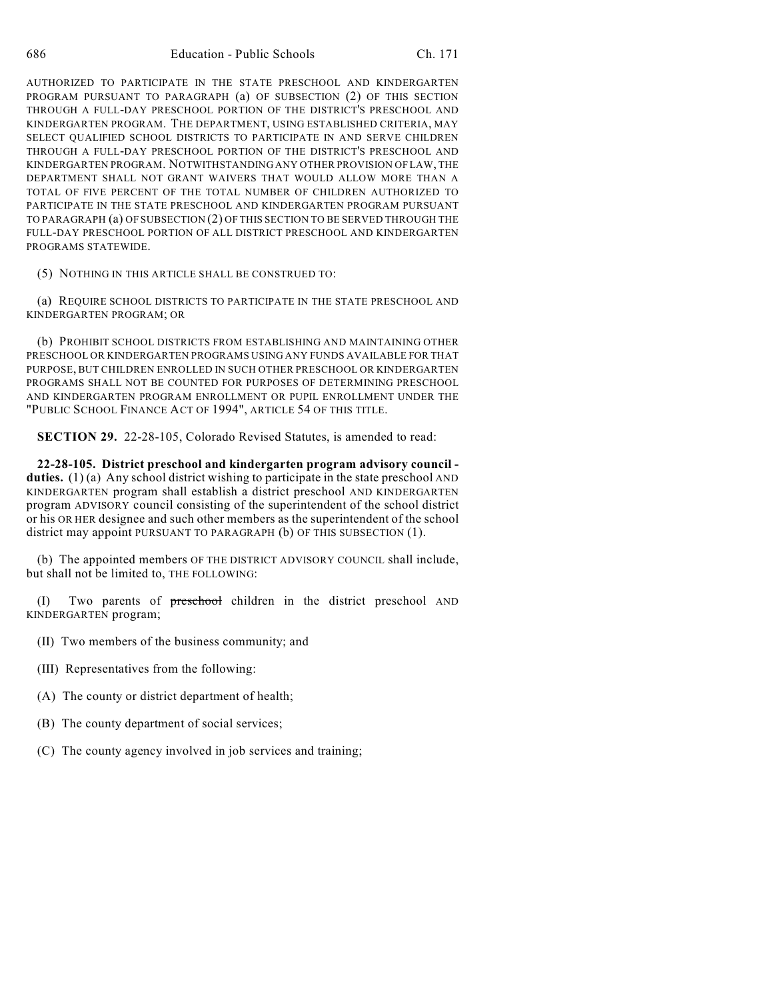AUTHORIZED TO PARTICIPATE IN THE STATE PRESCHOOL AND KINDERGARTEN PROGRAM PURSUANT TO PARAGRAPH (a) OF SUBSECTION (2) OF THIS SECTION THROUGH A FULL-DAY PRESCHOOL PORTION OF THE DISTRICT'S PRESCHOOL AND KINDERGARTEN PROGRAM. THE DEPARTMENT, USING ESTABLISHED CRITERIA, MAY SELECT QUALIFIED SCHOOL DISTRICTS TO PARTICIPATE IN AND SERVE CHILDREN THROUGH A FULL-DAY PRESCHOOL PORTION OF THE DISTRICT'S PRESCHOOL AND KINDERGARTEN PROGRAM. NOTWITHSTANDING ANY OTHER PROVISION OF LAW, THE DEPARTMENT SHALL NOT GRANT WAIVERS THAT WOULD ALLOW MORE THAN A TOTAL OF FIVE PERCENT OF THE TOTAL NUMBER OF CHILDREN AUTHORIZED TO PARTICIPATE IN THE STATE PRESCHOOL AND KINDERGARTEN PROGRAM PURSUANT TO PARAGRAPH (a) OF SUBSECTION (2) OF THIS SECTION TO BE SERVED THROUGH THE FULL-DAY PRESCHOOL PORTION OF ALL DISTRICT PRESCHOOL AND KINDERGARTEN PROGRAMS STATEWIDE.

(5) NOTHING IN THIS ARTICLE SHALL BE CONSTRUED TO:

(a) REQUIRE SCHOOL DISTRICTS TO PARTICIPATE IN THE STATE PRESCHOOL AND KINDERGARTEN PROGRAM; OR

(b) PROHIBIT SCHOOL DISTRICTS FROM ESTABLISHING AND MAINTAINING OTHER PRESCHOOL OR KINDERGARTEN PROGRAMS USING ANY FUNDS AVAILABLE FOR THAT PURPOSE, BUT CHILDREN ENROLLED IN SUCH OTHER PRESCHOOL OR KINDERGARTEN PROGRAMS SHALL NOT BE COUNTED FOR PURPOSES OF DETERMINING PRESCHOOL AND KINDERGARTEN PROGRAM ENROLLMENT OR PUPIL ENROLLMENT UNDER THE "PUBLIC SCHOOL FINANCE ACT OF 1994", ARTICLE 54 OF THIS TITLE.

**SECTION 29.** 22-28-105, Colorado Revised Statutes, is amended to read:

**22-28-105. District preschool and kindergarten program advisory council duties.** (1) (a) Any school district wishing to participate in the state preschool AND KINDERGARTEN program shall establish a district preschool AND KINDERGARTEN program ADVISORY council consisting of the superintendent of the school district or his OR HER designee and such other members as the superintendent of the school district may appoint PURSUANT TO PARAGRAPH (b) OF THIS SUBSECTION (1).

(b) The appointed members OF THE DISTRICT ADVISORY COUNCIL shall include, but shall not be limited to, THE FOLLOWING:

(I) Two parents of preschool children in the district preschool AND KINDERGARTEN program;

(II) Two members of the business community; and

- (III) Representatives from the following:
- (A) The county or district department of health;
- (B) The county department of social services;
- (C) The county agency involved in job services and training;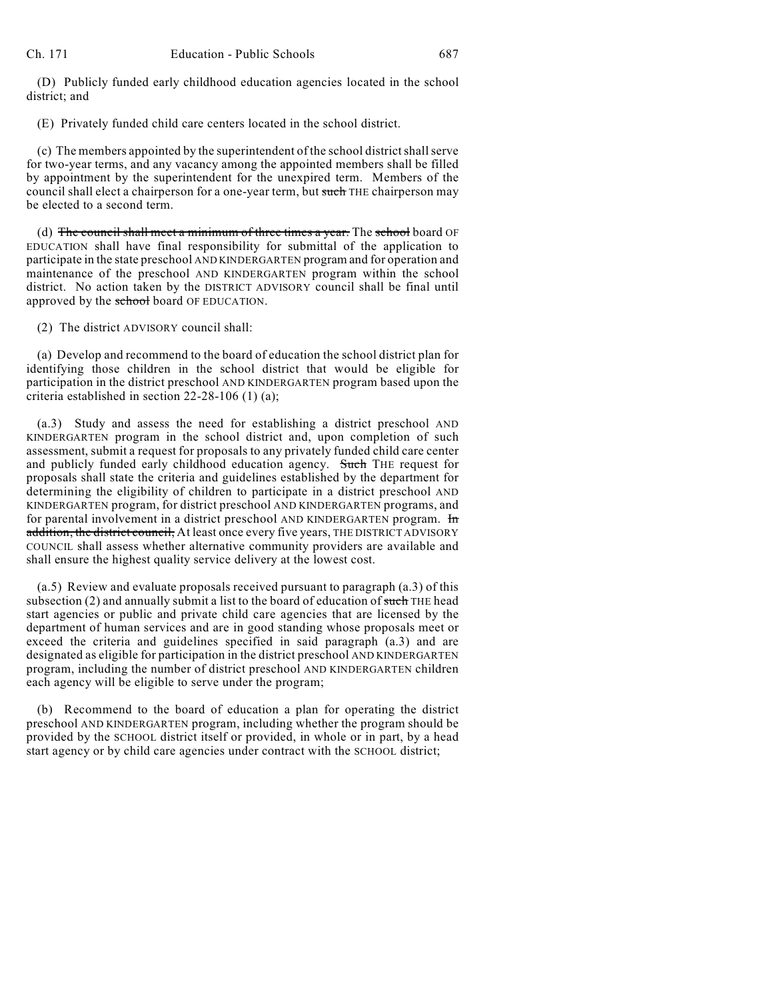(D) Publicly funded early childhood education agencies located in the school district; and

(E) Privately funded child care centers located in the school district.

(c) The members appointed by the superintendent of the school district shall serve for two-year terms, and any vacancy among the appointed members shall be filled by appointment by the superintendent for the unexpired term. Members of the council shall elect a chairperson for a one-year term, but such THE chairperson may be elected to a second term.

(d) The council shall meet a minimum of three times a year. The school board OF EDUCATION shall have final responsibility for submittal of the application to participate in the state preschool AND KINDERGARTEN program and for operation and maintenance of the preschool AND KINDERGARTEN program within the school district. No action taken by the DISTRICT ADVISORY council shall be final until approved by the school board OF EDUCATION.

(2) The district ADVISORY council shall:

(a) Develop and recommend to the board of education the school district plan for identifying those children in the school district that would be eligible for participation in the district preschool AND KINDERGARTEN program based upon the criteria established in section 22-28-106 (1) (a);

(a.3) Study and assess the need for establishing a district preschool AND KINDERGARTEN program in the school district and, upon completion of such assessment, submit a request for proposals to any privately funded child care center and publicly funded early childhood education agency. Such THE request for proposals shall state the criteria and guidelines established by the department for determining the eligibility of children to participate in a district preschool AND KINDERGARTEN program, for district preschool AND KINDERGARTEN programs, and for parental involvement in a district preschool AND KINDERGARTEN program. In addition, the district council, At least once every five years, THE DISTRICT ADVISORY COUNCIL shall assess whether alternative community providers are available and shall ensure the highest quality service delivery at the lowest cost.

(a.5) Review and evaluate proposals received pursuant to paragraph (a.3) of this subsection  $(2)$  and annually submit a list to the board of education of such THE head start agencies or public and private child care agencies that are licensed by the department of human services and are in good standing whose proposals meet or exceed the criteria and guidelines specified in said paragraph (a.3) and are designated as eligible for participation in the district preschool AND KINDERGARTEN program, including the number of district preschool AND KINDERGARTEN children each agency will be eligible to serve under the program;

(b) Recommend to the board of education a plan for operating the district preschool AND KINDERGARTEN program, including whether the program should be provided by the SCHOOL district itself or provided, in whole or in part, by a head start agency or by child care agencies under contract with the SCHOOL district;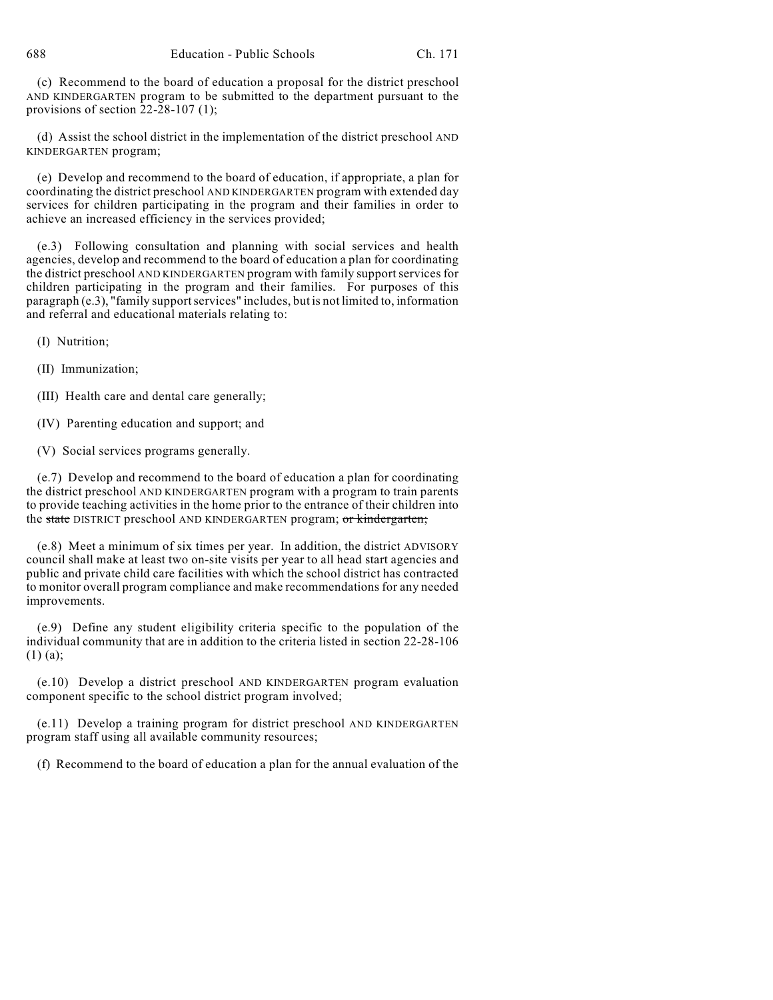688 Education - Public Schools Ch. 171

(c) Recommend to the board of education a proposal for the district preschool AND KINDERGARTEN program to be submitted to the department pursuant to the provisions of section  $22-\overline{2}8-107$  (1);

(d) Assist the school district in the implementation of the district preschool AND KINDERGARTEN program;

(e) Develop and recommend to the board of education, if appropriate, a plan for coordinating the district preschool AND KINDERGARTEN program with extended day services for children participating in the program and their families in order to achieve an increased efficiency in the services provided;

(e.3) Following consultation and planning with social services and health agencies, develop and recommend to the board of education a plan for coordinating the district preschool AND KINDERGARTEN program with family support services for children participating in the program and their families. For purposes of this paragraph (e.3), "family support services" includes, but is not limited to, information and referral and educational materials relating to:

(I) Nutrition;

(II) Immunization;

(III) Health care and dental care generally;

(IV) Parenting education and support; and

(V) Social services programs generally.

(e.7) Develop and recommend to the board of education a plan for coordinating the district preschool AND KINDERGARTEN program with a program to train parents to provide teaching activities in the home prior to the entrance of their children into the state DISTRICT preschool AND KINDERGARTEN program; or kindergarten;

(e.8) Meet a minimum of six times per year. In addition, the district ADVISORY council shall make at least two on-site visits per year to all head start agencies and public and private child care facilities with which the school district has contracted to monitor overall program compliance and make recommendations for any needed improvements.

(e.9) Define any student eligibility criteria specific to the population of the individual community that are in addition to the criteria listed in section 22-28-106 (1) (a);

(e.10) Develop a district preschool AND KINDERGARTEN program evaluation component specific to the school district program involved;

(e.11) Develop a training program for district preschool AND KINDERGARTEN program staff using all available community resources;

(f) Recommend to the board of education a plan for the annual evaluation of the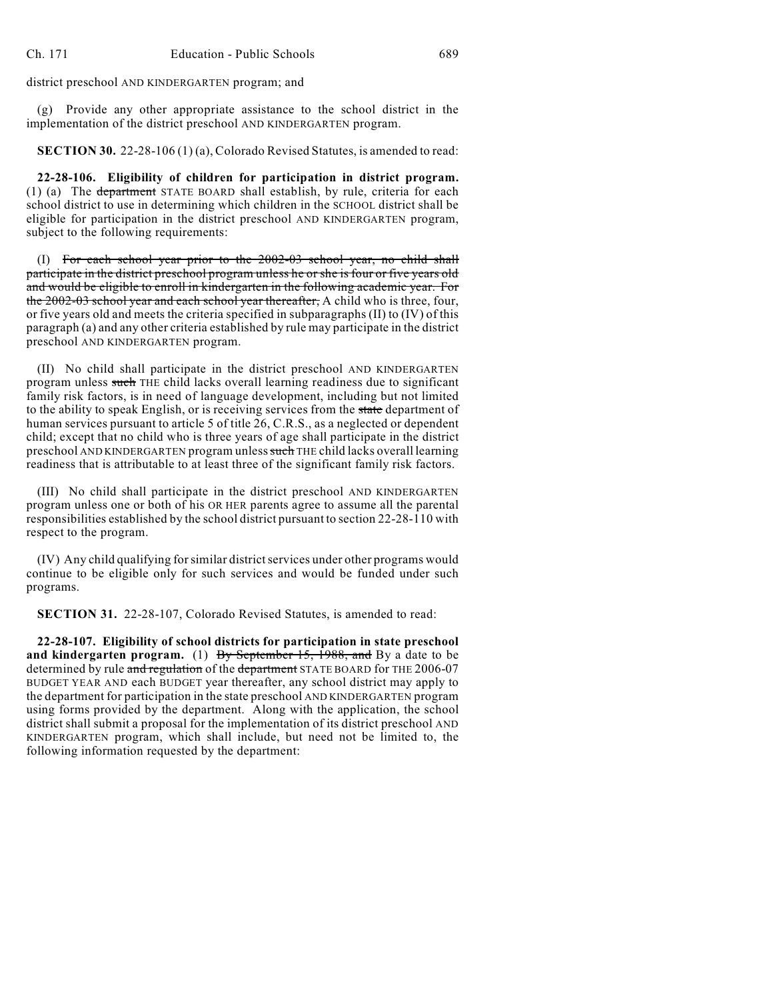district preschool AND KINDERGARTEN program; and

(g) Provide any other appropriate assistance to the school district in the implementation of the district preschool AND KINDERGARTEN program.

**SECTION 30.** 22-28-106 (1) (a), Colorado Revised Statutes, is amended to read:

**22-28-106. Eligibility of children for participation in district program.** (1) (a) The department STATE BOARD shall establish, by rule, criteria for each school district to use in determining which children in the SCHOOL district shall be eligible for participation in the district preschool AND KINDERGARTEN program, subject to the following requirements:

(I) For each school year prior to the 2002-03 school year, no child shall participate in the district preschool program unless he or she is four or five years old and would be eligible to enroll in kindergarten in the following academic year. For the 2002-03 school year and each school year thereafter, A child who is three, four, or five years old and meets the criteria specified in subparagraphs (II) to (IV) of this paragraph (a) and any other criteria established by rule may participate in the district preschool AND KINDERGARTEN program.

(II) No child shall participate in the district preschool AND KINDERGARTEN program unless such THE child lacks overall learning readiness due to significant family risk factors, is in need of language development, including but not limited to the ability to speak English, or is receiving services from the state department of human services pursuant to article 5 of title 26, C.R.S., as a neglected or dependent child; except that no child who is three years of age shall participate in the district preschool AND KINDERGARTEN program unless such THE child lacks overall learning readiness that is attributable to at least three of the significant family risk factors.

(III) No child shall participate in the district preschool AND KINDERGARTEN program unless one or both of his OR HER parents agree to assume all the parental responsibilities established by the school district pursuant to section 22-28-110 with respect to the program.

(IV) Any child qualifying for similar district services under other programs would continue to be eligible only for such services and would be funded under such programs.

**SECTION 31.** 22-28-107, Colorado Revised Statutes, is amended to read:

**22-28-107. Eligibility of school districts for participation in state preschool** and kindergarten program. (1) By September 15, 1988, and By a date to be determined by rule and regulation of the department STATE BOARD for THE 2006-07 BUDGET YEAR AND each BUDGET year thereafter, any school district may apply to the department for participation in the state preschool AND KINDERGARTEN program using forms provided by the department. Along with the application, the school district shall submit a proposal for the implementation of its district preschool AND KINDERGARTEN program, which shall include, but need not be limited to, the following information requested by the department: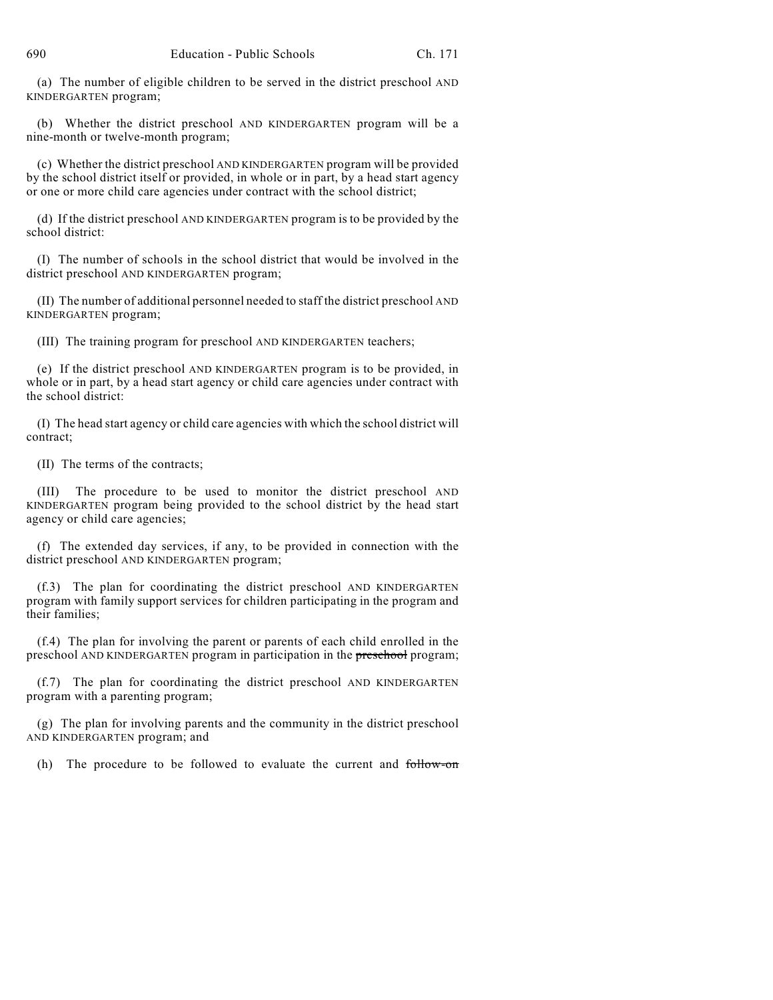(a) The number of eligible children to be served in the district preschool AND KINDERGARTEN program;

(b) Whether the district preschool AND KINDERGARTEN program will be a nine-month or twelve-month program;

(c) Whether the district preschool AND KINDERGARTEN program will be provided by the school district itself or provided, in whole or in part, by a head start agency or one or more child care agencies under contract with the school district;

(d) If the district preschool AND KINDERGARTEN program is to be provided by the school district:

(I) The number of schools in the school district that would be involved in the district preschool AND KINDERGARTEN program;

(II) The number of additional personnel needed to staff the district preschool AND KINDERGARTEN program;

(III) The training program for preschool AND KINDERGARTEN teachers;

(e) If the district preschool AND KINDERGARTEN program is to be provided, in whole or in part, by a head start agency or child care agencies under contract with the school district:

(I) The head start agency or child care agencies with which the school district will contract;

(II) The terms of the contracts;

(III) The procedure to be used to monitor the district preschool AND KINDERGARTEN program being provided to the school district by the head start agency or child care agencies;

(f) The extended day services, if any, to be provided in connection with the district preschool AND KINDERGARTEN program;

(f.3) The plan for coordinating the district preschool AND KINDERGARTEN program with family support services for children participating in the program and their families;

(f.4) The plan for involving the parent or parents of each child enrolled in the preschool AND KINDERGARTEN program in participation in the preschool program;

(f.7) The plan for coordinating the district preschool AND KINDERGARTEN program with a parenting program;

(g) The plan for involving parents and the community in the district preschool AND KINDERGARTEN program; and

(h) The procedure to be followed to evaluate the current and follow-on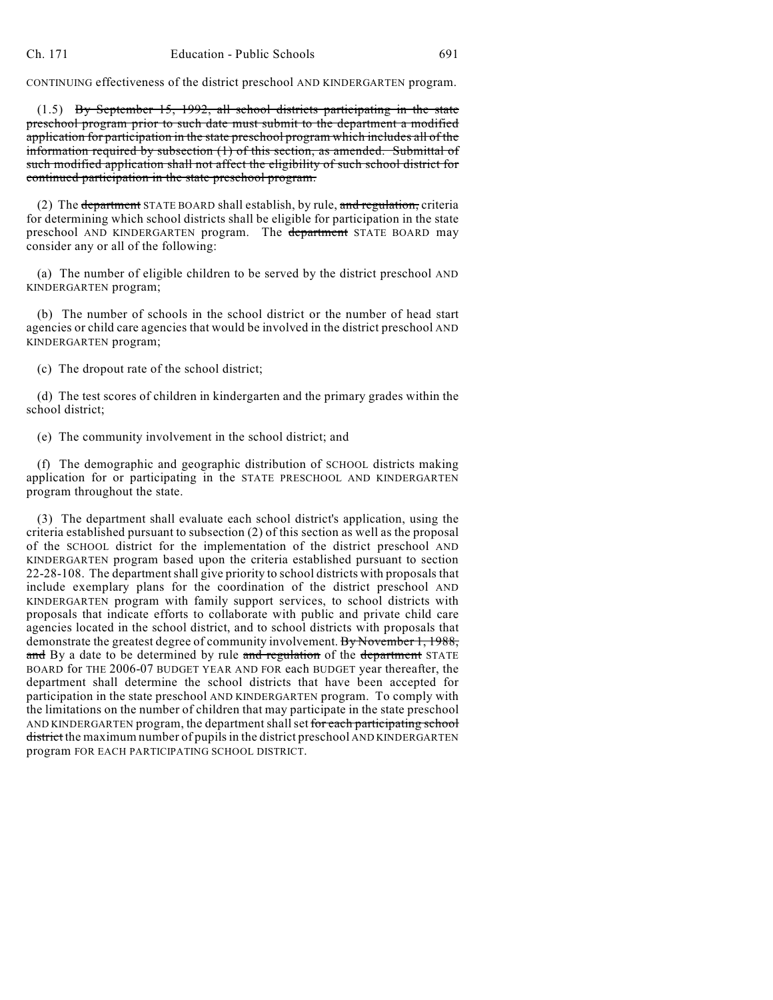CONTINUING effectiveness of the district preschool AND KINDERGARTEN program.

(1.5) By September 15, 1992, all school districts participating in the state preschool program prior to such date must submit to the department a modified application for participation in the state preschool program which includes all of the information required by subsection (1) of this section, as amended. Submittal of such modified application shall not affect the eligibility of such school district for continued participation in the state preschool program.

(2) The department STATE BOARD shall establish, by rule, and regulation, criteria for determining which school districts shall be eligible for participation in the state preschool AND KINDERGARTEN program. The department STATE BOARD may consider any or all of the following:

(a) The number of eligible children to be served by the district preschool AND KINDERGARTEN program;

(b) The number of schools in the school district or the number of head start agencies or child care agencies that would be involved in the district preschool AND KINDERGARTEN program;

(c) The dropout rate of the school district;

(d) The test scores of children in kindergarten and the primary grades within the school district;

(e) The community involvement in the school district; and

(f) The demographic and geographic distribution of SCHOOL districts making application for or participating in the STATE PRESCHOOL AND KINDERGARTEN program throughout the state.

(3) The department shall evaluate each school district's application, using the criteria established pursuant to subsection (2) of this section as well as the proposal of the SCHOOL district for the implementation of the district preschool AND KINDERGARTEN program based upon the criteria established pursuant to section 22-28-108. The departmentshall give priority to school districts with proposals that include exemplary plans for the coordination of the district preschool AND KINDERGARTEN program with family support services, to school districts with proposals that indicate efforts to collaborate with public and private child care agencies located in the school district, and to school districts with proposals that demonstrate the greatest degree of community involvement. By November 1, 1988, and By a date to be determined by rule and regulation of the department STATE BOARD for THE 2006-07 BUDGET YEAR AND FOR each BUDGET year thereafter, the department shall determine the school districts that have been accepted for participation in the state preschool AND KINDERGARTEN program. To comply with the limitations on the number of children that may participate in the state preschool AND KINDERGARTEN program, the department shall set for each participating school district the maximum number of pupils in the district preschool AND KINDERGARTEN program FOR EACH PARTICIPATING SCHOOL DISTRICT.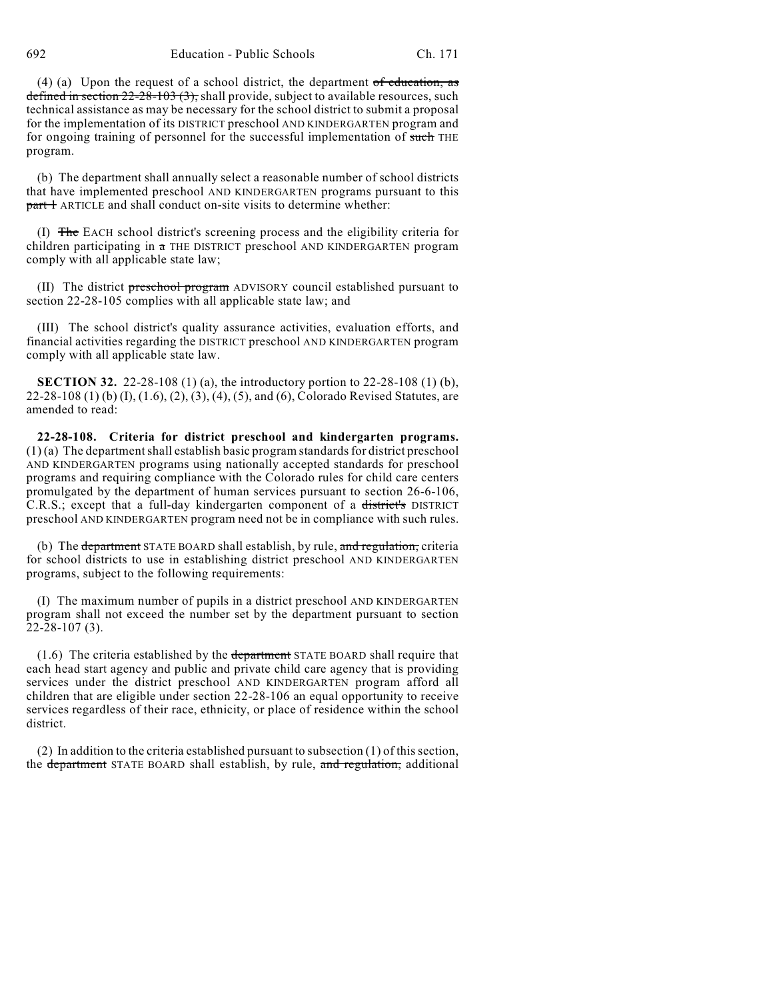692 Education - Public Schools Ch. 171

(4) (a) Upon the request of a school district, the department  $of$  education, as defined in section  $22$ - $28$ - $103$   $(3)$ ; shall provide, subject to available resources, such technical assistance as may be necessary for the school district to submit a proposal for the implementation of its DISTRICT preschool AND KINDERGARTEN program and for ongoing training of personnel for the successful implementation of such THE program.

(b) The department shall annually select a reasonable number of school districts that have implemented preschool AND KINDERGARTEN programs pursuant to this part 1 ARTICLE and shall conduct on-site visits to determine whether:

(I) The EACH school district's screening process and the eligibility criteria for children participating in a THE DISTRICT preschool AND KINDERGARTEN program comply with all applicable state law;

(II) The district preschool program ADVISORY council established pursuant to section 22-28-105 complies with all applicable state law; and

(III) The school district's quality assurance activities, evaluation efforts, and financial activities regarding the DISTRICT preschool AND KINDERGARTEN program comply with all applicable state law.

**SECTION 32.** 22-28-108 (1) (a), the introductory portion to 22-28-108 (1) (b), 22-28-108 (1) (b) (I), (1.6), (2), (3), (4), (5), and (6), Colorado Revised Statutes, are amended to read:

**22-28-108. Criteria for district preschool and kindergarten programs.** (1) (a) The department shall establish basic program standards for district preschool AND KINDERGARTEN programs using nationally accepted standards for preschool programs and requiring compliance with the Colorado rules for child care centers promulgated by the department of human services pursuant to section 26-6-106, C.R.S.; except that a full-day kindergarten component of a district's DISTRICT preschool AND KINDERGARTEN program need not be in compliance with such rules.

(b) The department STATE BOARD shall establish, by rule, and regulation, criteria for school districts to use in establishing district preschool AND KINDERGARTEN programs, subject to the following requirements:

(I) The maximum number of pupils in a district preschool AND KINDERGARTEN program shall not exceed the number set by the department pursuant to section 22-28-107 (3).

 $(1.6)$  The criteria established by the department STATE BOARD shall require that each head start agency and public and private child care agency that is providing services under the district preschool AND KINDERGARTEN program afford all children that are eligible under section 22-28-106 an equal opportunity to receive services regardless of their race, ethnicity, or place of residence within the school district.

(2) In addition to the criteria established pursuant to subsection (1) of this section, the department STATE BOARD shall establish, by rule, and regulation, additional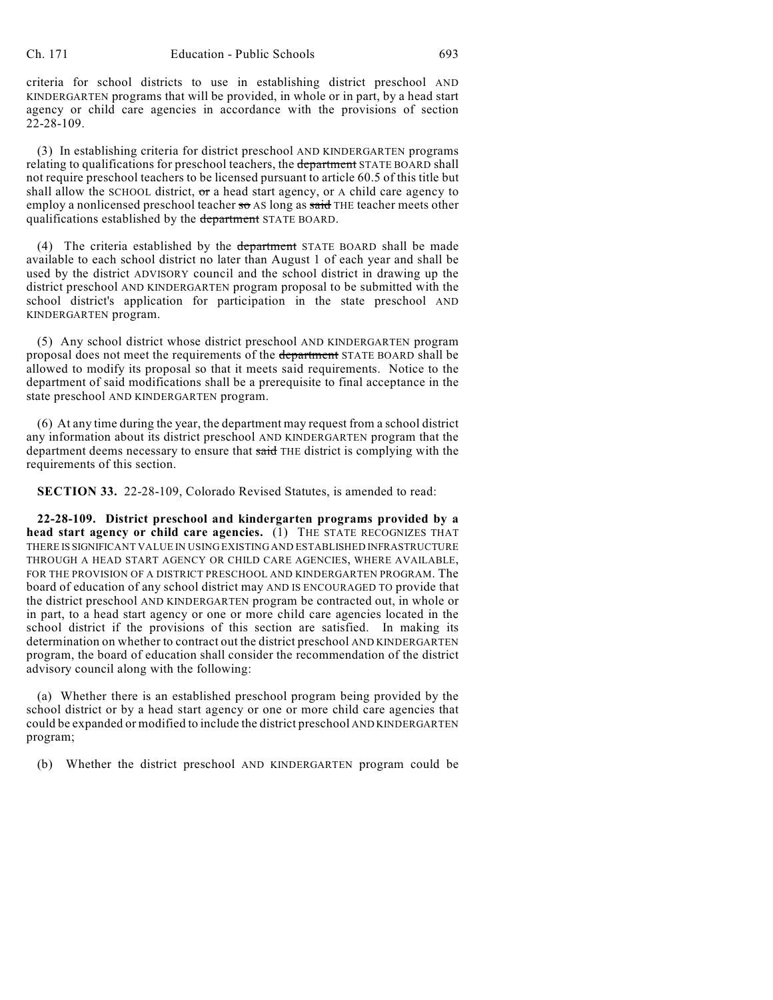criteria for school districts to use in establishing district preschool AND KINDERGARTEN programs that will be provided, in whole or in part, by a head start agency or child care agencies in accordance with the provisions of section 22-28-109.

(3) In establishing criteria for district preschool AND KINDERGARTEN programs relating to qualifications for preschool teachers, the department STATE BOARD shall not require preschool teachers to be licensed pursuant to article 60.5 of this title but shall allow the SCHOOL district,  $\sigma$ r a head start agency, or A child care agency to employ a nonlicensed preschool teacher so AS long as said THE teacher meets other qualifications established by the department STATE BOARD.

(4) The criteria established by the department STATE BOARD shall be made available to each school district no later than August 1 of each year and shall be used by the district ADVISORY council and the school district in drawing up the district preschool AND KINDERGARTEN program proposal to be submitted with the school district's application for participation in the state preschool AND KINDERGARTEN program.

(5) Any school district whose district preschool AND KINDERGARTEN program proposal does not meet the requirements of the department STATE BOARD shall be allowed to modify its proposal so that it meets said requirements. Notice to the department of said modifications shall be a prerequisite to final acceptance in the state preschool AND KINDERGARTEN program.

(6) At any time during the year, the department may request from a school district any information about its district preschool AND KINDERGARTEN program that the department deems necessary to ensure that said THE district is complying with the requirements of this section.

**SECTION 33.** 22-28-109, Colorado Revised Statutes, is amended to read:

**22-28-109. District preschool and kindergarten programs provided by a head start agency or child care agencies.** (1) THE STATE RECOGNIZES THAT THERE IS SIGNIFICANT VALUE IN USING EXISTING AND ESTABLISHED INFRASTRUCTURE THROUGH A HEAD START AGENCY OR CHILD CARE AGENCIES, WHERE AVAILABLE, FOR THE PROVISION OF A DISTRICT PRESCHOOL AND KINDERGARTEN PROGRAM. The board of education of any school district may AND IS ENCOURAGED TO provide that the district preschool AND KINDERGARTEN program be contracted out, in whole or in part, to a head start agency or one or more child care agencies located in the school district if the provisions of this section are satisfied. In making its determination on whether to contract out the district preschool AND KINDERGARTEN program, the board of education shall consider the recommendation of the district advisory council along with the following:

(a) Whether there is an established preschool program being provided by the school district or by a head start agency or one or more child care agencies that could be expanded or modified to include the district preschool AND KINDERGARTEN program;

(b) Whether the district preschool AND KINDERGARTEN program could be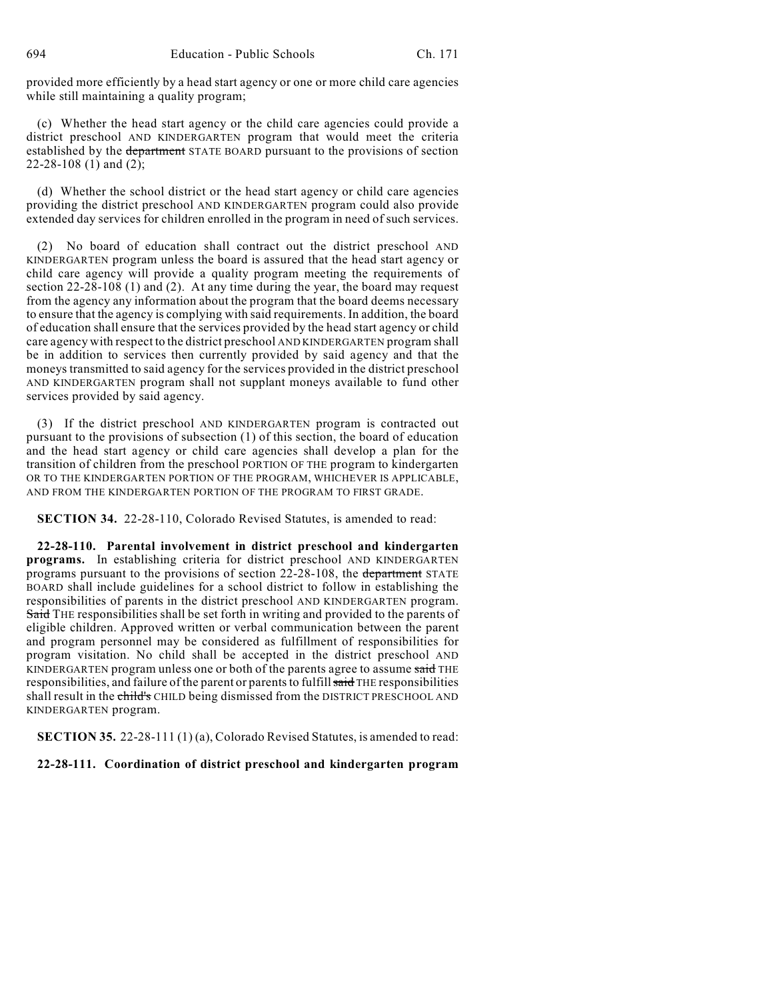provided more efficiently by a head start agency or one or more child care agencies while still maintaining a quality program;

(c) Whether the head start agency or the child care agencies could provide a district preschool AND KINDERGARTEN program that would meet the criteria established by the department STATE BOARD pursuant to the provisions of section 22-28-108 (1) and (2);

(d) Whether the school district or the head start agency or child care agencies providing the district preschool AND KINDERGARTEN program could also provide extended day services for children enrolled in the program in need of such services.

(2) No board of education shall contract out the district preschool AND KINDERGARTEN program unless the board is assured that the head start agency or child care agency will provide a quality program meeting the requirements of section 22-28-108 (1) and (2). At any time during the year, the board may request from the agency any information about the program that the board deems necessary to ensure that the agency is complying with said requirements. In addition, the board of education shall ensure that the services provided by the head start agency or child care agency with respect to the district preschool AND KINDERGARTEN program shall be in addition to services then currently provided by said agency and that the moneys transmitted to said agency for the services provided in the district preschool AND KINDERGARTEN program shall not supplant moneys available to fund other services provided by said agency.

(3) If the district preschool AND KINDERGARTEN program is contracted out pursuant to the provisions of subsection (1) of this section, the board of education and the head start agency or child care agencies shall develop a plan for the transition of children from the preschool PORTION OF THE program to kindergarten OR TO THE KINDERGARTEN PORTION OF THE PROGRAM, WHICHEVER IS APPLICABLE, AND FROM THE KINDERGARTEN PORTION OF THE PROGRAM TO FIRST GRADE.

**SECTION 34.** 22-28-110, Colorado Revised Statutes, is amended to read:

**22-28-110. Parental involvement in district preschool and kindergarten programs.** In establishing criteria for district preschool AND KINDERGARTEN programs pursuant to the provisions of section 22-28-108, the department STATE BOARD shall include guidelines for a school district to follow in establishing the responsibilities of parents in the district preschool AND KINDERGARTEN program. Said THE responsibilities shall be set forth in writing and provided to the parents of eligible children. Approved written or verbal communication between the parent and program personnel may be considered as fulfillment of responsibilities for program visitation. No child shall be accepted in the district preschool AND KINDERGARTEN program unless one or both of the parents agree to assume said THE responsibilities, and failure of the parent or parents to fulfill said THE responsibilities shall result in the child's CHILD being dismissed from the DISTRICT PRESCHOOL AND KINDERGARTEN program.

**SECTION 35.** 22-28-111 (1) (a), Colorado Revised Statutes, is amended to read:

#### **22-28-111. Coordination of district preschool and kindergarten program**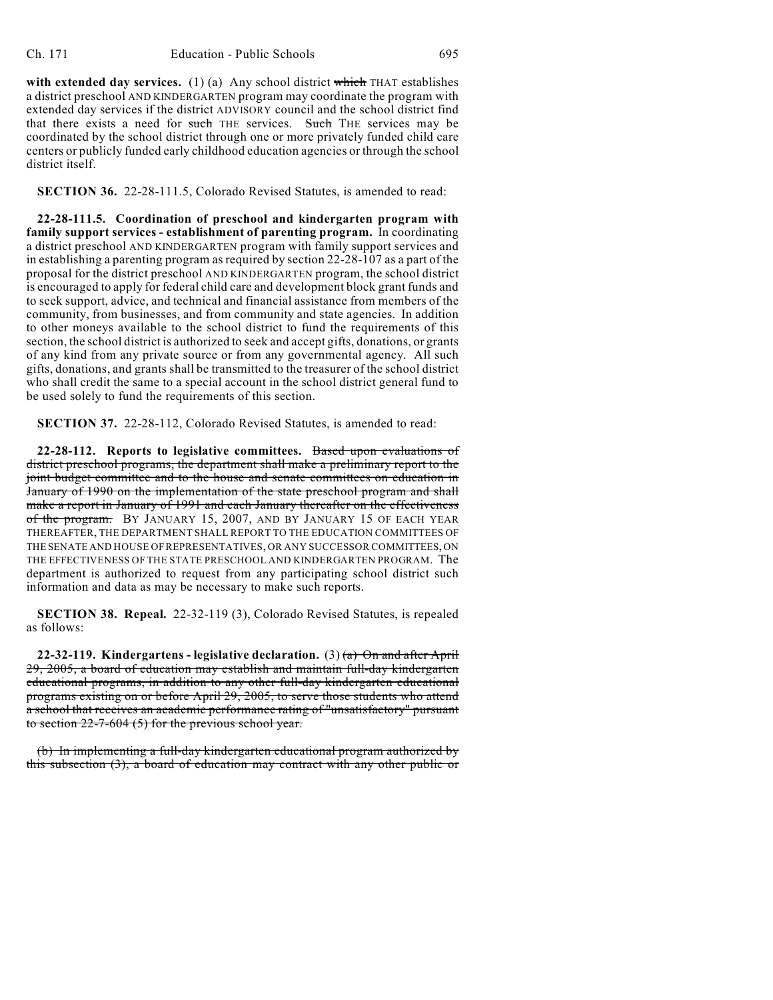with extended day services. (1) (a) Any school district which THAT establishes a district preschool AND KINDERGARTEN program may coordinate the program with extended day services if the district ADVISORY council and the school district find that there exists a need for such THE services. Such THE services may be coordinated by the school district through one or more privately funded child care centers or publicly funded early childhood education agencies or through the school district itself.

**SECTION 36.** 22-28-111.5, Colorado Revised Statutes, is amended to read:

**22-28-111.5. Coordination of preschool and kindergarten program with family support services - establishment of parenting program.** In coordinating a district preschool AND KINDERGARTEN program with family support services and in establishing a parenting program as required by section 22-28-107 as a part of the proposal for the district preschool AND KINDERGARTEN program, the school district is encouraged to apply for federal child care and development block grant funds and to seek support, advice, and technical and financial assistance from members of the community, from businesses, and from community and state agencies. In addition to other moneys available to the school district to fund the requirements of this section, the school district is authorized to seek and accept gifts, donations, or grants of any kind from any private source or from any governmental agency. All such gifts, donations, and grants shall be transmitted to the treasurer of the school district who shall credit the same to a special account in the school district general fund to be used solely to fund the requirements of this section.

**SECTION 37.** 22-28-112, Colorado Revised Statutes, is amended to read:

**22-28-112. Reports to legislative committees.** Based upon evaluations of district preschool programs, the department shall make a preliminary report to the joint budget committee and to the house and senate committees on education in January of 1990 on the implementation of the state preschool program and shall make a report in January of 1991 and each January thereafter on the effectiveness of the program. BY JANUARY 15, 2007, AND BY JANUARY 15 OF EACH YEAR THEREAFTER, THE DEPARTMENT SHALL REPORT TO THE EDUCATION COMMITTEES OF THE SENATE AND HOUSE OF REPRESENTATIVES, OR ANY SUCCESSOR COMMITTEES, ON THE EFFECTIVENESS OF THE STATE PRESCHOOL AND KINDERGARTEN PROGRAM. The department is authorized to request from any participating school district such information and data as may be necessary to make such reports.

**SECTION 38. Repeal.** 22-32-119 (3), Colorado Revised Statutes, is repealed as follows:

**22-32-119. Kindergartens - legislative declaration.** (3) (a) On and after April 29, 2005, a board of education may establish and maintain full-day kindergarten educational programs, in addition to any other full-day kindergarten educational programs existing on or before April 29, 2005, to serve those students who attend a school that receives an academic performance rating of "unsatisfactory" pursuant to section 22-7-604 (5) for the previous school year.

(b) In implementing a full-day kindergarten educational program authorized by this subsection (3), a board of education may contract with any other public or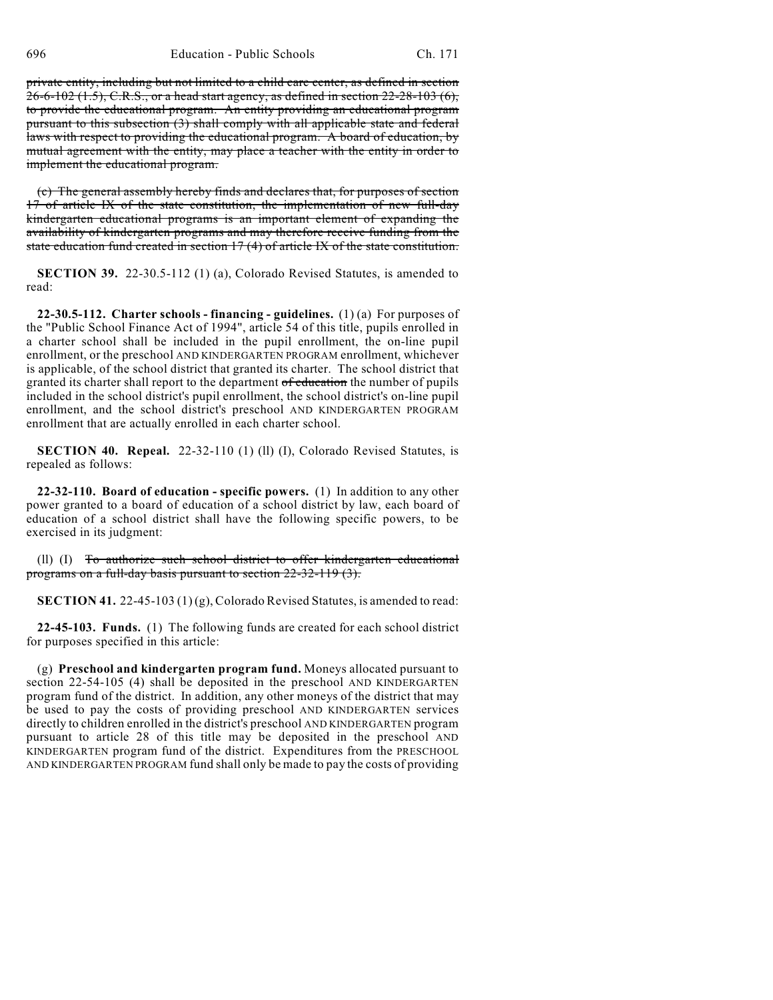696 Education - Public Schools Ch. 171

private entity, including but not limited to a child care center, as defined in section 26-6-102 (1.5), C.R.S., or a head start agency, as defined in section 22-28-103 (6), to provide the educational program. An entity providing an educational program pursuant to this subsection (3) shall comply with all applicable state and federal laws with respect to providing the educational program. A board of education, by mutual agreement with the entity, may place a teacher with the entity in order to implement the educational program.

(c) The general assembly hereby finds and declares that, for purposes of section 17 of article IX of the state constitution, the implementation of new full-day kindergarten educational programs is an important element of expanding the availability of kindergarten programs and may therefore receive funding from the state education fund created in section 17 (4) of article IX of the state constitution.

**SECTION 39.** 22-30.5-112 (1) (a), Colorado Revised Statutes, is amended to read:

**22-30.5-112. Charter schools - financing - guidelines.** (1) (a) For purposes of the "Public School Finance Act of 1994", article 54 of this title, pupils enrolled in a charter school shall be included in the pupil enrollment, the on-line pupil enrollment, or the preschool AND KINDERGARTEN PROGRAM enrollment, whichever is applicable, of the school district that granted its charter. The school district that granted its charter shall report to the department of education the number of pupils included in the school district's pupil enrollment, the school district's on-line pupil enrollment, and the school district's preschool AND KINDERGARTEN PROGRAM enrollment that are actually enrolled in each charter school.

**SECTION 40. Repeal.** 22-32-110 (1) (II) (I), Colorado Revised Statutes, is repealed as follows:

**22-32-110. Board of education - specific powers.** (1) In addition to any other power granted to a board of education of a school district by law, each board of education of a school district shall have the following specific powers, to be exercised in its judgment:

(ll) (I) To authorize such school district to offer kindergarten educational programs on a full-day basis pursuant to section 22-32-119 (3).

**SECTION 41.** 22-45-103 (1)(g), Colorado Revised Statutes, is amended to read:

**22-45-103. Funds.** (1) The following funds are created for each school district for purposes specified in this article:

(g) **Preschool and kindergarten program fund.** Moneys allocated pursuant to section 22-54-105 (4) shall be deposited in the preschool AND KINDERGARTEN program fund of the district. In addition, any other moneys of the district that may be used to pay the costs of providing preschool AND KINDERGARTEN services directly to children enrolled in the district's preschool AND KINDERGARTEN program pursuant to article 28 of this title may be deposited in the preschool AND KINDERGARTEN program fund of the district. Expenditures from the PRESCHOOL AND KINDERGARTEN PROGRAM fund shall only be made to pay the costs of providing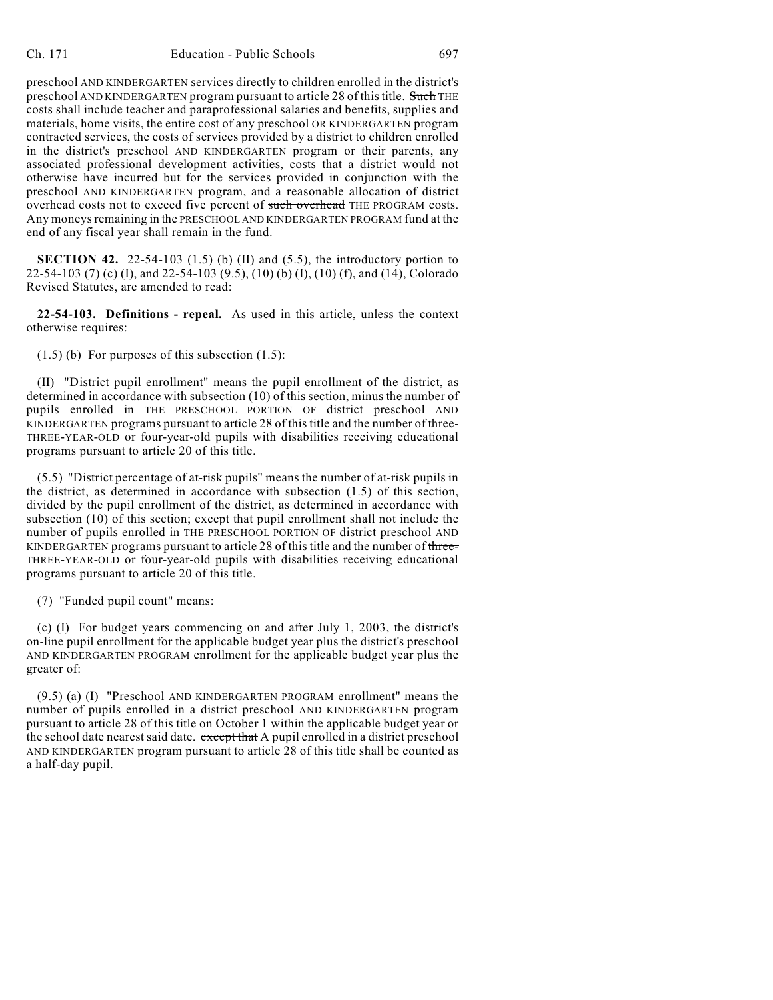preschool AND KINDERGARTEN services directly to children enrolled in the district's preschool AND KINDERGARTEN program pursuant to article 28 of this title. Such THE costs shall include teacher and paraprofessional salaries and benefits, supplies and materials, home visits, the entire cost of any preschool OR KINDERGARTEN program contracted services, the costs of services provided by a district to children enrolled in the district's preschool AND KINDERGARTEN program or their parents, any associated professional development activities, costs that a district would not otherwise have incurred but for the services provided in conjunction with the preschool AND KINDERGARTEN program, and a reasonable allocation of district overhead costs not to exceed five percent of such overhead THE PROGRAM costs. Any moneys remaining in the PRESCHOOL AND KINDERGARTEN PROGRAM fund at the end of any fiscal year shall remain in the fund.

**SECTION 42.** 22-54-103  $(1.5)$  (b)  $(II)$  and  $(5.5)$ , the introductory portion to 22-54-103 (7) (c) (I), and 22-54-103 (9.5), (10) (b) (I), (10) (f), and (14), Colorado Revised Statutes, are amended to read:

**22-54-103. Definitions - repeal.** As used in this article, unless the context otherwise requires:

 $(1.5)$  (b) For purposes of this subsection  $(1.5)$ :

(II) "District pupil enrollment" means the pupil enrollment of the district, as determined in accordance with subsection (10) of this section, minus the number of pupils enrolled in THE PRESCHOOL PORTION OF district preschool AND KINDERGARTEN programs pursuant to article 28 of this title and the number of three-THREE-YEAR-OLD or four-year-old pupils with disabilities receiving educational programs pursuant to article 20 of this title.

(5.5) "District percentage of at-risk pupils" means the number of at-risk pupils in the district, as determined in accordance with subsection (1.5) of this section, divided by the pupil enrollment of the district, as determined in accordance with subsection (10) of this section; except that pupil enrollment shall not include the number of pupils enrolled in THE PRESCHOOL PORTION OF district preschool AND KINDERGARTEN programs pursuant to article 28 of this title and the number of three-THREE-YEAR-OLD or four-year-old pupils with disabilities receiving educational programs pursuant to article 20 of this title.

(7) "Funded pupil count" means:

(c) (I) For budget years commencing on and after July 1, 2003, the district's on-line pupil enrollment for the applicable budget year plus the district's preschool AND KINDERGARTEN PROGRAM enrollment for the applicable budget year plus the greater of:

(9.5) (a) (I) "Preschool AND KINDERGARTEN PROGRAM enrollment" means the number of pupils enrolled in a district preschool AND KINDERGARTEN program pursuant to article 28 of this title on October 1 within the applicable budget year or the school date nearest said date. except that A pupil enrolled in a district preschool AND KINDERGARTEN program pursuant to article 28 of this title shall be counted as a half-day pupil.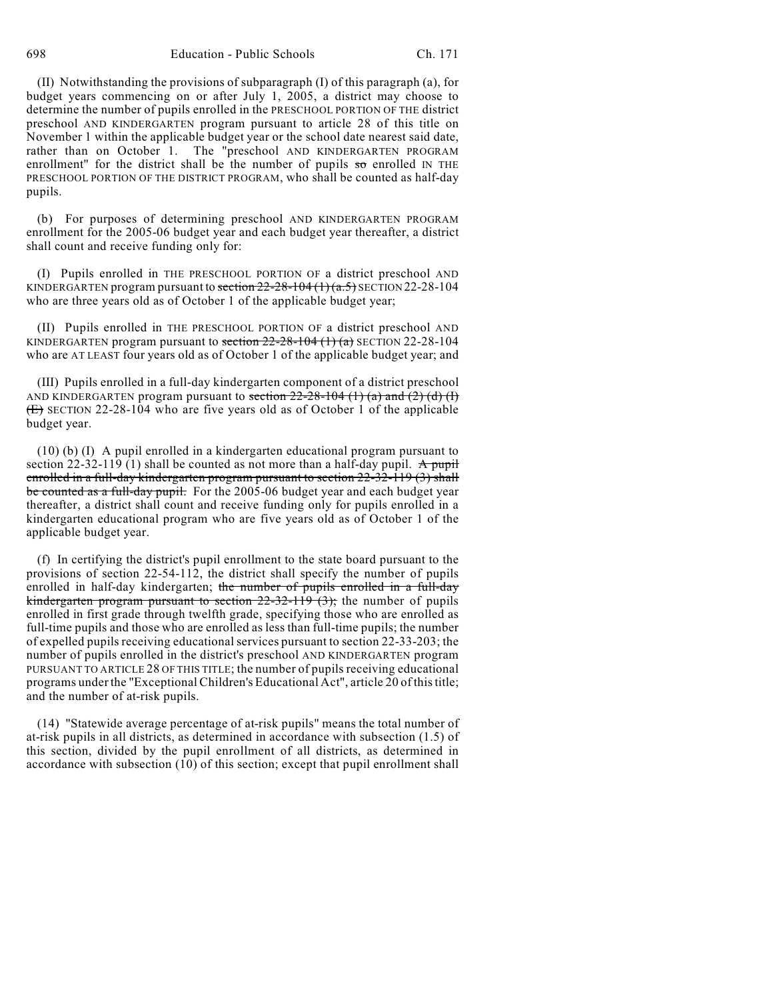698 Education - Public Schools Ch. 171

(II) Notwithstanding the provisions of subparagraph (I) of this paragraph (a), for budget years commencing on or after July 1, 2005, a district may choose to determine the number of pupils enrolled in the PRESCHOOL PORTION OF THE district preschool AND KINDERGARTEN program pursuant to article 28 of this title on November 1 within the applicable budget year or the school date nearest said date, rather than on October 1. The "preschool AND KINDERGARTEN PROGRAM enrollment" for the district shall be the number of pupils  $\overline{so}$  enrolled IN THE PRESCHOOL PORTION OF THE DISTRICT PROGRAM, who shall be counted as half-day pupils.

(b) For purposes of determining preschool AND KINDERGARTEN PROGRAM enrollment for the 2005-06 budget year and each budget year thereafter, a district shall count and receive funding only for:

(I) Pupils enrolled in THE PRESCHOOL PORTION OF a district preschool AND KINDERGARTEN program pursuant to section  $22-28-104(1)(a.5)$  SECTION 22-28-104 who are three years old as of October 1 of the applicable budget year;

(II) Pupils enrolled in THE PRESCHOOL PORTION OF a district preschool AND KINDERGARTEN program pursuant to section  $22-28-104$  (1) (a) SECTION 22-28-104 who are AT LEAST four years old as of October 1 of the applicable budget year; and

(III) Pupils enrolled in a full-day kindergarten component of a district preschool AND KINDERGARTEN program pursuant to section  $22-28-104$  (1) (a) and (2) (d) (I) (E) SECTION 22-28-104 who are five years old as of October 1 of the applicable budget year.

(10) (b) (I) A pupil enrolled in a kindergarten educational program pursuant to section 22-32-119 (1) shall be counted as not more than a half-day pupil. A pupil enrolled in a full-day kindergarten program pursuant to section 22-32-119 (3) shall be counted as a full-day pupil. For the 2005-06 budget year and each budget year thereafter, a district shall count and receive funding only for pupils enrolled in a kindergarten educational program who are five years old as of October 1 of the applicable budget year.

(f) In certifying the district's pupil enrollment to the state board pursuant to the provisions of section 22-54-112, the district shall specify the number of pupils enrolled in half-day kindergarten; the number of pupils enrolled in a full-day kindergarten program pursuant to section  $22-32-119$  (3); the number of pupils enrolled in first grade through twelfth grade, specifying those who are enrolled as full-time pupils and those who are enrolled as less than full-time pupils; the number of expelled pupils receiving educational services pursuant to section 22-33-203; the number of pupils enrolled in the district's preschool AND KINDERGARTEN program PURSUANT TO ARTICLE 28 OF THIS TITLE; the number of pupils receiving educational programs under the "Exceptional Children's Educational Act", article 20 of this title; and the number of at-risk pupils.

(14) "Statewide average percentage of at-risk pupils" means the total number of at-risk pupils in all districts, as determined in accordance with subsection (1.5) of this section, divided by the pupil enrollment of all districts, as determined in accordance with subsection (10) of this section; except that pupil enrollment shall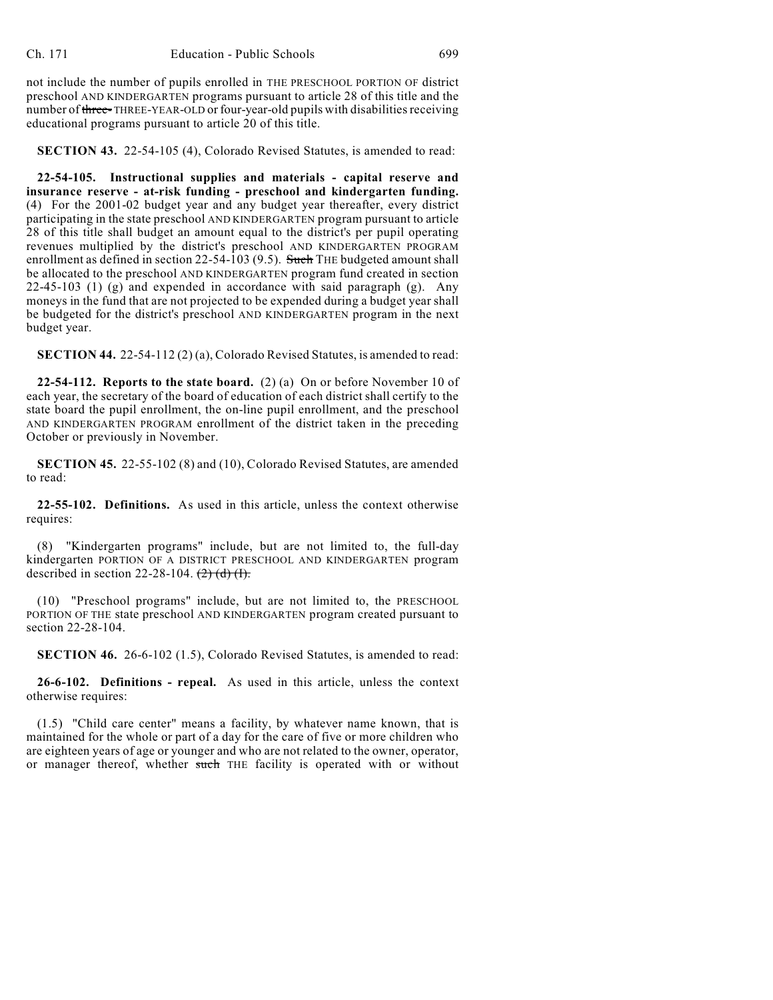not include the number of pupils enrolled in THE PRESCHOOL PORTION OF district preschool AND KINDERGARTEN programs pursuant to article 28 of this title and the number of three-THREE-YEAR-OLD or four-year-old pupils with disabilities receiving educational programs pursuant to article 20 of this title.

**SECTION 43.** 22-54-105 (4), Colorado Revised Statutes, is amended to read:

**22-54-105. Instructional supplies and materials - capital reserve and insurance reserve - at-risk funding - preschool and kindergarten funding.** (4) For the 2001-02 budget year and any budget year thereafter, every district participating in the state preschool AND KINDERGARTEN program pursuant to article 28 of this title shall budget an amount equal to the district's per pupil operating revenues multiplied by the district's preschool AND KINDERGARTEN PROGRAM enrollment as defined in section  $22-54-103$  (9.5). Such THE budgeted amount shall be allocated to the preschool AND KINDERGARTEN program fund created in section 22-45-103 (1) (g) and expended in accordance with said paragraph (g). Any moneys in the fund that are not projected to be expended during a budget year shall be budgeted for the district's preschool AND KINDERGARTEN program in the next budget year.

**SECTION 44.** 22-54-112 (2) (a), Colorado Revised Statutes, is amended to read:

**22-54-112. Reports to the state board.** (2) (a) On or before November 10 of each year, the secretary of the board of education of each district shall certify to the state board the pupil enrollment, the on-line pupil enrollment, and the preschool AND KINDERGARTEN PROGRAM enrollment of the district taken in the preceding October or previously in November.

**SECTION 45.** 22-55-102 (8) and (10), Colorado Revised Statutes, are amended to read:

**22-55-102. Definitions.** As used in this article, unless the context otherwise requires:

(8) "Kindergarten programs" include, but are not limited to, the full-day kindergarten PORTION OF A DISTRICT PRESCHOOL AND KINDERGARTEN program described in section 22-28-104.  $(2)$   $(d)$   $(l)$ .

(10) "Preschool programs" include, but are not limited to, the PRESCHOOL PORTION OF THE state preschool AND KINDERGARTEN program created pursuant to section 22-28-104.

**SECTION 46.** 26-6-102 (1.5), Colorado Revised Statutes, is amended to read:

**26-6-102. Definitions - repeal.** As used in this article, unless the context otherwise requires:

(1.5) "Child care center" means a facility, by whatever name known, that is maintained for the whole or part of a day for the care of five or more children who are eighteen years of age or younger and who are not related to the owner, operator, or manager thereof, whether such THE facility is operated with or without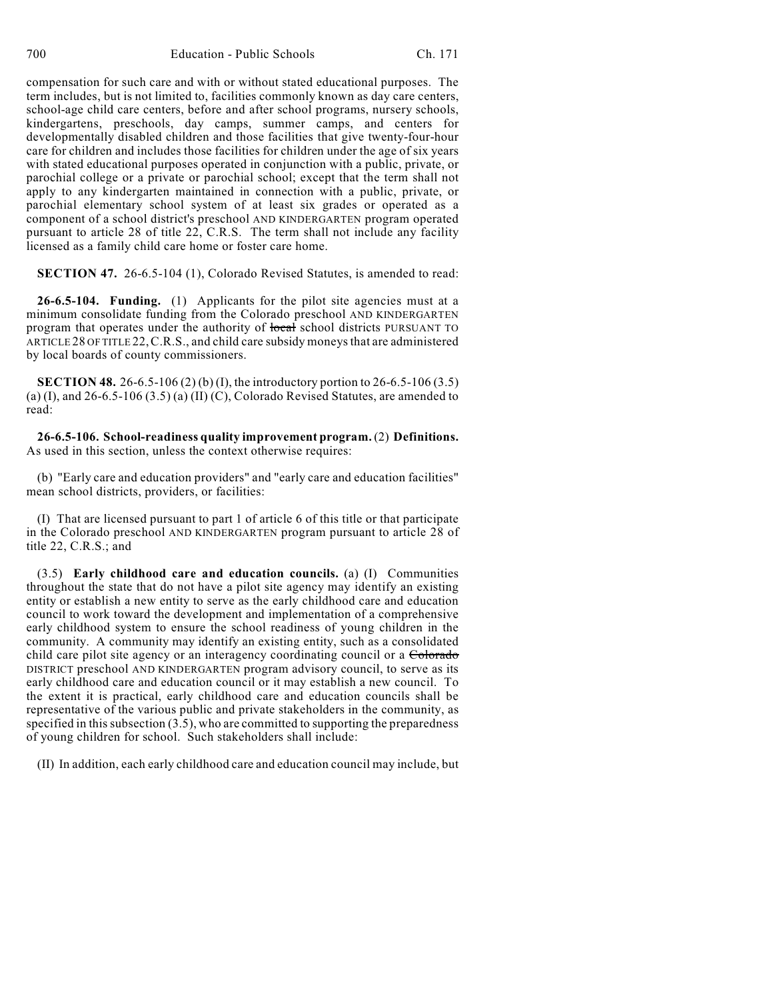compensation for such care and with or without stated educational purposes. The term includes, but is not limited to, facilities commonly known as day care centers, school-age child care centers, before and after school programs, nursery schools, kindergartens, preschools, day camps, summer camps, and centers for developmentally disabled children and those facilities that give twenty-four-hour care for children and includes those facilities for children under the age of six years with stated educational purposes operated in conjunction with a public, private, or parochial college or a private or parochial school; except that the term shall not apply to any kindergarten maintained in connection with a public, private, or parochial elementary school system of at least six grades or operated as a component of a school district's preschool AND KINDERGARTEN program operated pursuant to article 28 of title 22, C.R.S. The term shall not include any facility licensed as a family child care home or foster care home.

**SECTION 47.** 26-6.5-104 (1), Colorado Revised Statutes, is amended to read:

**26-6.5-104. Funding.** (1) Applicants for the pilot site agencies must at a minimum consolidate funding from the Colorado preschool AND KINDERGARTEN program that operates under the authority of local school districts PURSUANT TO ARTICLE 28 OF TITLE 22, C.R.S., and child care subsidy moneys that are administered by local boards of county commissioners.

**SECTION 48.** 26-6.5-106 (2) (b) (I), the introductory portion to 26-6.5-106 (3.5) (a) (I), and  $26-6.5-106(3.5)$  (a) (II) (C), Colorado Revised Statutes, are amended to read:

**26-6.5-106. School-readiness quality improvement program.** (2) **Definitions.** As used in this section, unless the context otherwise requires:

(b) "Early care and education providers" and "early care and education facilities" mean school districts, providers, or facilities:

(I) That are licensed pursuant to part 1 of article 6 of this title or that participate in the Colorado preschool AND KINDERGARTEN program pursuant to article 28 of title 22, C.R.S.; and

(3.5) **Early childhood care and education councils.** (a) (I) Communities throughout the state that do not have a pilot site agency may identify an existing entity or establish a new entity to serve as the early childhood care and education council to work toward the development and implementation of a comprehensive early childhood system to ensure the school readiness of young children in the community. A community may identify an existing entity, such as a consolidated child care pilot site agency or an interagency coordinating council or a Colorado DISTRICT preschool AND KINDERGARTEN program advisory council, to serve as its early childhood care and education council or it may establish a new council. To the extent it is practical, early childhood care and education councils shall be representative of the various public and private stakeholders in the community, as specified in this subsection (3.5), who are committed to supporting the preparedness of young children for school. Such stakeholders shall include:

(II) In addition, each early childhood care and education council may include, but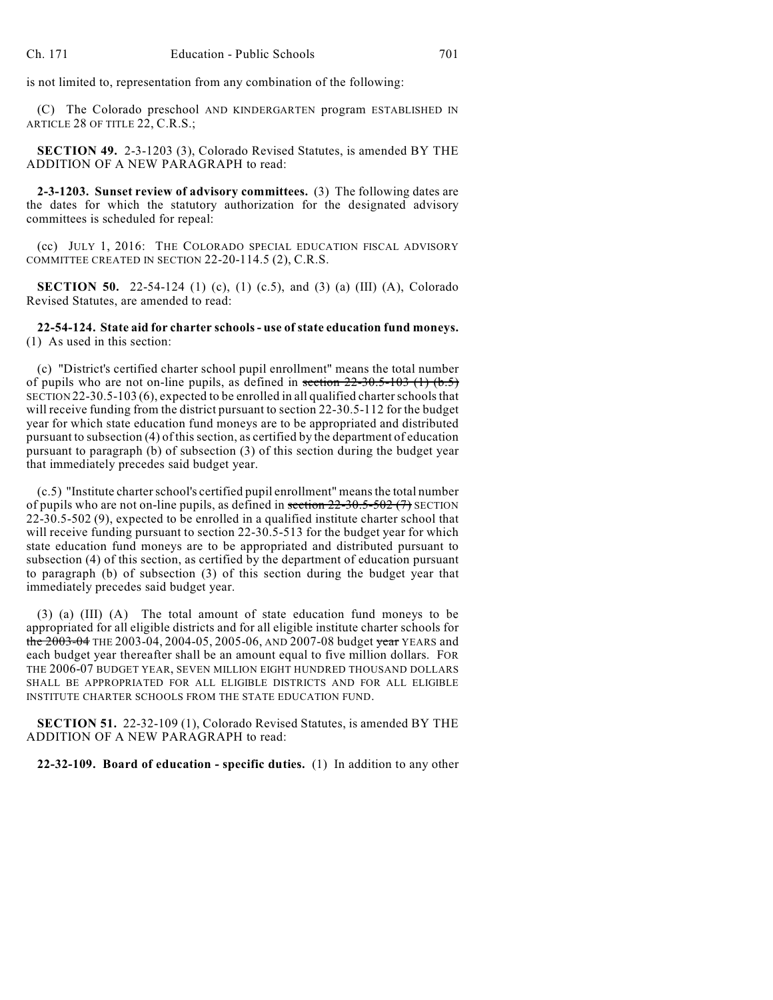is not limited to, representation from any combination of the following:

(C) The Colorado preschool AND KINDERGARTEN program ESTABLISHED IN ARTICLE 28 OF TITLE 22, C.R.S.;

**SECTION 49.** 2-3-1203 (3), Colorado Revised Statutes, is amended BY THE ADDITION OF A NEW PARAGRAPH to read:

**2-3-1203. Sunset review of advisory committees.** (3) The following dates are the dates for which the statutory authorization for the designated advisory committees is scheduled for repeal:

(cc) JULY 1, 2016: THE COLORADO SPECIAL EDUCATION FISCAL ADVISORY COMMITTEE CREATED IN SECTION 22-20-114.5 (2), C.R.S.

**SECTION 50.** 22-54-124 (1) (c), (1) (c.5), and (3) (a) (III) (A), Colorado Revised Statutes, are amended to read:

**22-54-124. State aid for charter schools - use of state education fund moneys.** (1) As used in this section:

(c) "District's certified charter school pupil enrollment" means the total number of pupils who are not on-line pupils, as defined in section  $22-30.5-103$  (1) (b.5) SECTION 22-30.5-103 (6), expected to be enrolled in all qualified charter schools that will receive funding from the district pursuant to section 22-30.5-112 for the budget year for which state education fund moneys are to be appropriated and distributed pursuant to subsection (4) of this section, as certified by the department of education pursuant to paragraph (b) of subsection (3) of this section during the budget year that immediately precedes said budget year.

(c.5) "Institute charter school's certified pupil enrollment" means the total number of pupils who are not on-line pupils, as defined in section  $22-30.5-502$  (7) SECTION 22-30.5-502 (9), expected to be enrolled in a qualified institute charter school that will receive funding pursuant to section 22-30.5-513 for the budget year for which state education fund moneys are to be appropriated and distributed pursuant to subsection (4) of this section, as certified by the department of education pursuant to paragraph (b) of subsection (3) of this section during the budget year that immediately precedes said budget year.

(3) (a) (III) (A) The total amount of state education fund moneys to be appropriated for all eligible districts and for all eligible institute charter schools for the 2003-04 THE 2003-04, 2004-05, 2005-06, AND 2007-08 budget year YEARS and each budget year thereafter shall be an amount equal to five million dollars. FOR THE 2006-07 BUDGET YEAR, SEVEN MILLION EIGHT HUNDRED THOUSAND DOLLARS SHALL BE APPROPRIATED FOR ALL ELIGIBLE DISTRICTS AND FOR ALL ELIGIBLE INSTITUTE CHARTER SCHOOLS FROM THE STATE EDUCATION FUND.

**SECTION 51.** 22-32-109 (1), Colorado Revised Statutes, is amended BY THE ADDITION OF A NEW PARAGRAPH to read:

**22-32-109. Board of education - specific duties.** (1) In addition to any other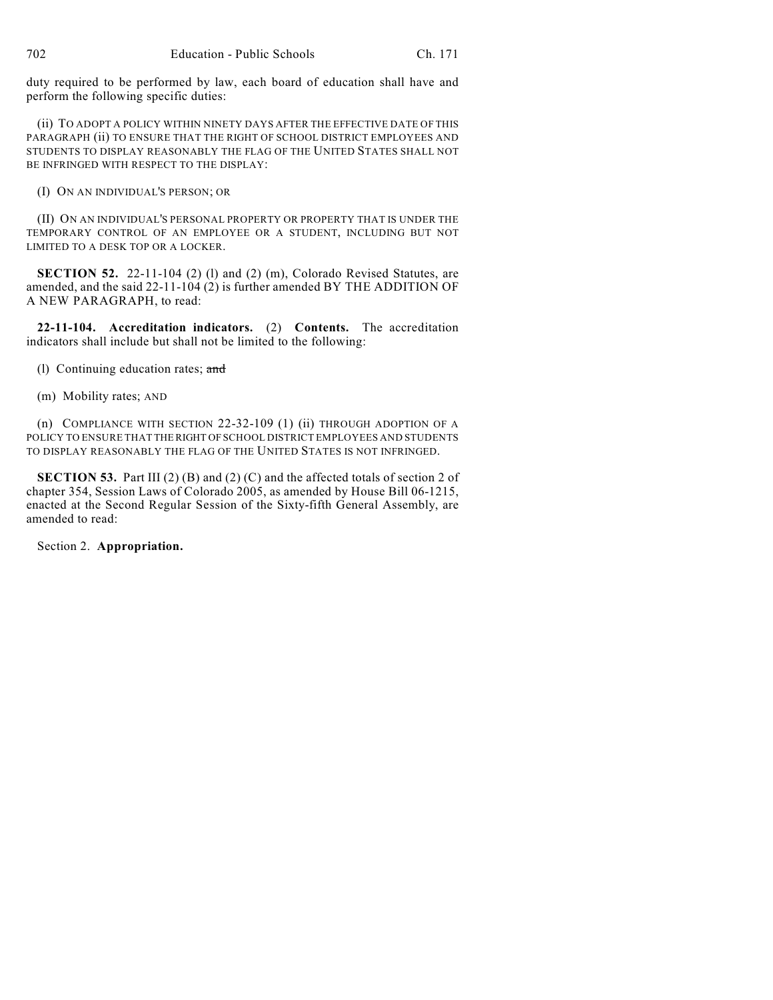duty required to be performed by law, each board of education shall have and perform the following specific duties:

(ii) TO ADOPT A POLICY WITHIN NINETY DAYS AFTER THE EFFECTIVE DATE OF THIS PARAGRAPH (ii) TO ENSURE THAT THE RIGHT OF SCHOOL DISTRICT EMPLOYEES AND STUDENTS TO DISPLAY REASONABLY THE FLAG OF THE UNITED STATES SHALL NOT BE INFRINGED WITH RESPECT TO THE DISPLAY:

(I) ON AN INDIVIDUAL'S PERSON; OR

(II) ON AN INDIVIDUAL'S PERSONAL PROPERTY OR PROPERTY THAT IS UNDER THE TEMPORARY CONTROL OF AN EMPLOYEE OR A STUDENT, INCLUDING BUT NOT LIMITED TO A DESK TOP OR A LOCKER.

**SECTION 52.** 22-11-104 (2) (1) and (2) (m), Colorado Revised Statutes, are amended, and the said 22-11-104 (2) is further amended BY THE ADDITION OF A NEW PARAGRAPH, to read:

**22-11-104. Accreditation indicators.** (2) **Contents.** The accreditation indicators shall include but shall not be limited to the following:

(l) Continuing education rates; and

(m) Mobility rates; AND

(n) COMPLIANCE WITH SECTION 22-32-109 (1) (ii) THROUGH ADOPTION OF A POLICY TO ENSURE THAT THE RIGHT OF SCHOOL DISTRICT EMPLOYEES AND STUDENTS TO DISPLAY REASONABLY THE FLAG OF THE UNITED STATES IS NOT INFRINGED.

**SECTION 53.** Part III (2) (B) and (2) (C) and the affected totals of section 2 of chapter 354, Session Laws of Colorado 2005, as amended by House Bill 06-1215, enacted at the Second Regular Session of the Sixty-fifth General Assembly, are amended to read:

Section 2. **Appropriation.**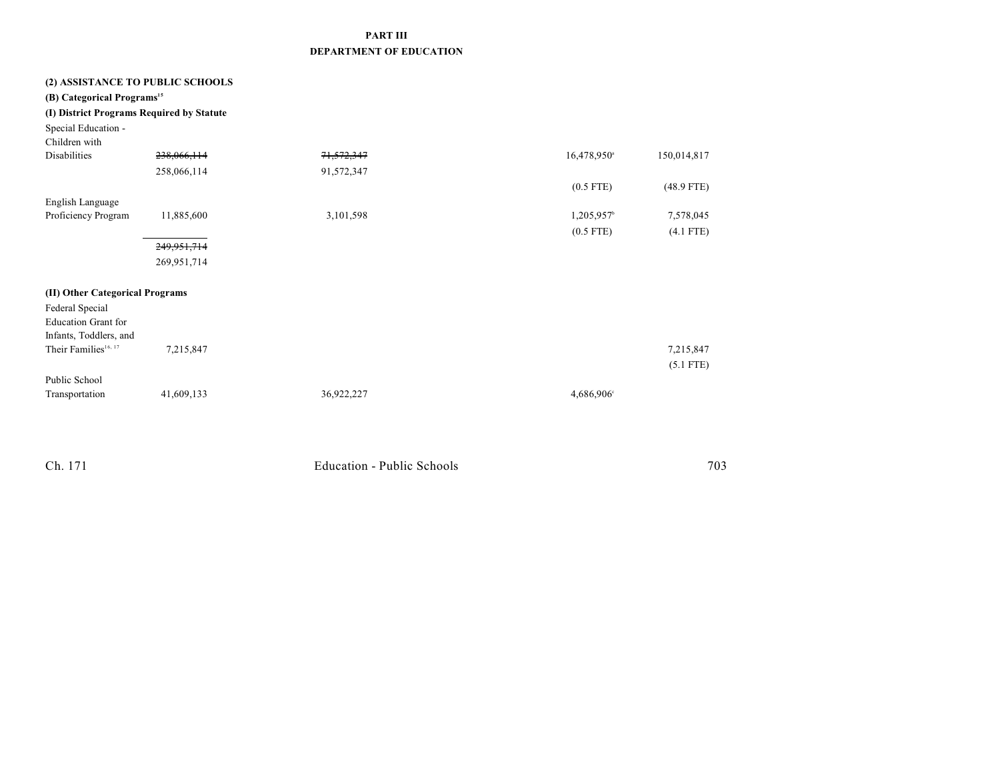## **PART III DEPARTMENT OF EDUCATION**

| (2) ASSISTANCE TO PUBLIC SCHOOLS<br>(B) Categorical Programs <sup>15</sup><br>(I) District Programs Required by Statute<br>Special Education -<br>Children with |               |                       |                           |                          |
|-----------------------------------------------------------------------------------------------------------------------------------------------------------------|---------------|-----------------------|---------------------------|--------------------------|
| <b>Disabilities</b>                                                                                                                                             | 238,066,114   | <del>71,572,347</del> | $16,478,950$ <sup>a</sup> | 150,014,817              |
|                                                                                                                                                                 | 258,066,114   | 91,572,347            |                           |                          |
|                                                                                                                                                                 |               |                       | $(0.5$ FTE)               | $(48.9$ FTE)             |
| English Language                                                                                                                                                |               |                       |                           |                          |
| Proficiency Program                                                                                                                                             | 11,885,600    | 3,101,598             | $1,205,957$ <sup>b</sup>  | 7,578,045                |
|                                                                                                                                                                 |               |                       | $(0.5$ FTE)               | $(4.1$ FTE)              |
|                                                                                                                                                                 | 249, 951, 714 |                       |                           |                          |
|                                                                                                                                                                 | 269,951,714   |                       |                           |                          |
| (II) Other Categorical Programs<br>Federal Special<br><b>Education Grant for</b><br>Infants, Toddlers, and<br>Their Families <sup>16, 17</sup><br>Public School | 7,215,847     |                       |                           | 7,215,847<br>$(5.1$ FTE) |
| Transportation                                                                                                                                                  | 41,609,133    | 36,922,227            | 4,686,906°                |                          |

| Ch. 171 | Education - Public Schools | 703 |
|---------|----------------------------|-----|
|         |                            |     |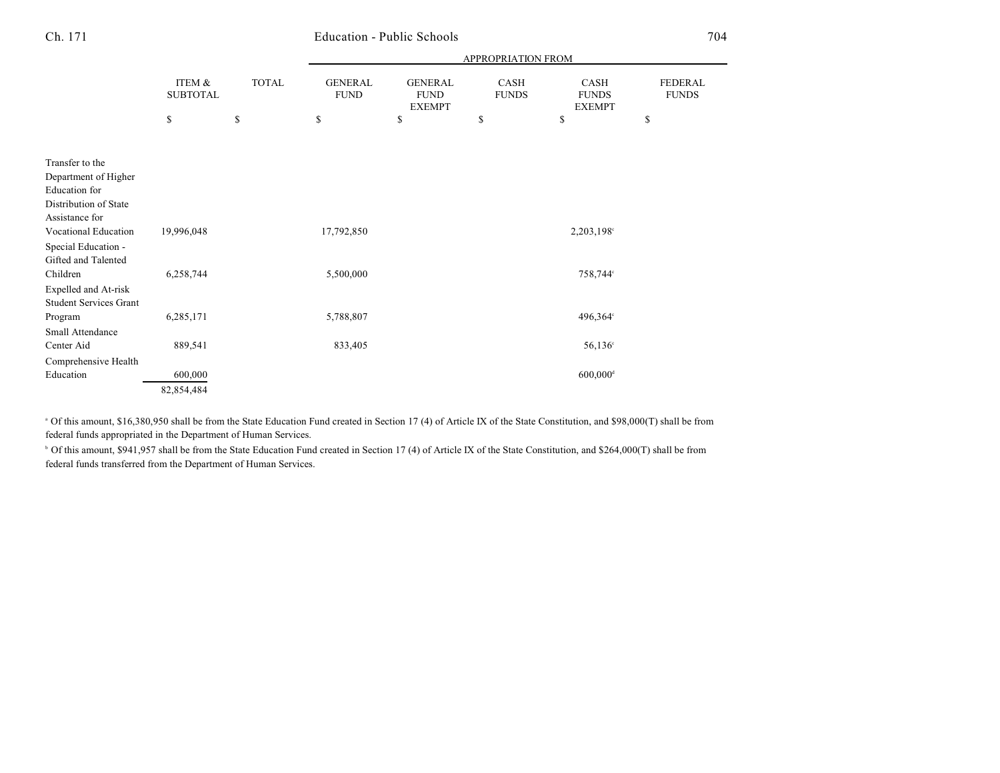## Ch. 171 Education - Public Schools 704

| ITEM &<br><b>SUBTOTAL</b> | <b>TOTAL</b> | APPROPRIATION FROM            |                               |                      |                        |                                |
|---------------------------|--------------|-------------------------------|-------------------------------|----------------------|------------------------|--------------------------------|
|                           |              | <b>GENERAL</b><br><b>FUND</b> | <b>GENERAL</b><br><b>FUND</b> | CASH<br><b>FUNDS</b> | CASH<br><b>FUNDS</b>   | <b>FEDERAL</b><br><b>FUNDS</b> |
| \$                        | \$           | \$                            | \$                            | \$                   | \$                     | \$                             |
|                           |              |                               |                               |                      |                        |                                |
|                           |              |                               |                               |                      |                        |                                |
|                           |              |                               |                               |                      |                        |                                |
|                           |              |                               |                               |                      |                        |                                |
|                           |              |                               |                               |                      |                        |                                |
|                           |              |                               |                               |                      |                        |                                |
| 19,996,048                |              | 17,792,850                    |                               |                      | 2,203,198°             |                                |
|                           |              |                               |                               |                      |                        |                                |
|                           |              |                               |                               |                      |                        |                                |
| 6,258,744                 |              | 5,500,000                     |                               |                      | 758,744°               |                                |
|                           |              |                               |                               |                      |                        |                                |
|                           |              |                               |                               |                      |                        |                                |
| 6,285,171                 |              | 5,788,807                     |                               |                      | 496,364°               |                                |
|                           |              |                               |                               |                      |                        |                                |
| 889,541                   |              | 833,405                       |                               |                      | $56,136^{\circ}$       |                                |
|                           |              |                               |                               |                      |                        |                                |
| 600,000                   |              |                               |                               |                      | $600,000$ <sup>d</sup> |                                |
| 82,854,484                |              |                               |                               |                      |                        |                                |
|                           |              |                               |                               | <b>EXEMPT</b>        |                        | <b>EXEMPT</b>                  |

<sup>a</sup> Of this amount, \$16,380,950 shall be from the State Education Fund created in Section 17 (4) of Article IX of the State Constitution, and \$98,000(T) shall be from federal funds appropriated in the Department of Human Services.

<sup>b</sup> Of this amount, \$941,957 shall be from the State Education Fund created in Section 17 (4) of Article IX of the State Constitution, and \$264,000(T) shall be from federal funds transferred from the Department of Human Services.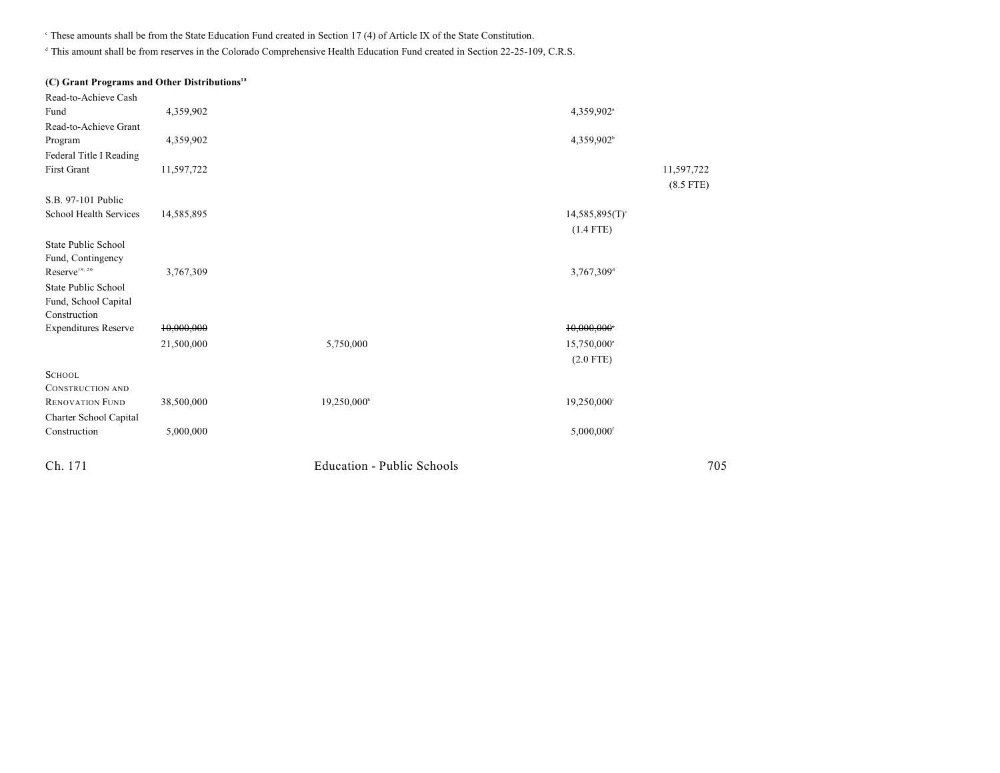$\degree$  These amounts shall be from the State Education Fund created in Section 17 (4) of Article IX of the State Constitution.

<sup>d</sup> This amount shall be from reserves in the Colorado Comprehensive Health Education Fund created in Section 22-25-109, C.R.S.

#### **(C) Grant Programs and Other Distributions 18**

| Read-to-Achieve Cash        |            |                                   |                              |             |
|-----------------------------|------------|-----------------------------------|------------------------------|-------------|
| Fund                        | 4,359,902  |                                   | 4,359,902 <sup>a</sup>       |             |
| Read-to-Achieve Grant       |            |                                   |                              |             |
| Program                     | 4,359,902  |                                   | 4,359,902 <sup>b</sup>       |             |
| Federal Title I Reading     |            |                                   |                              |             |
| First Grant                 | 11,597,722 |                                   |                              | 11,597,722  |
|                             |            |                                   |                              | $(8.5$ FTE) |
| S.B. 97-101 Public          |            |                                   |                              |             |
| School Health Services      | 14,585,895 |                                   | $14,585,895(T)$ <sup>c</sup> |             |
|                             |            |                                   | $(1.4$ FTE)                  |             |
| State Public School         |            |                                   |                              |             |
| Fund, Contingency           |            |                                   |                              |             |
| $\mbox{Reserve}^{19,\,20}$  | 3,767,309  |                                   | 3,767,309 <sup>d</sup>       |             |
| State Public School         |            |                                   |                              |             |
| Fund, School Capital        |            |                                   |                              |             |
| Construction                |            |                                   |                              |             |
| <b>Expenditures Reserve</b> | 10,000,000 |                                   | 10,000,000                   |             |
|                             | 21,500,000 | 5,750,000                         | 15,750,000°                  |             |
|                             |            |                                   | $(2.0$ FTE)                  |             |
| <b>SCHOOL</b>               |            |                                   |                              |             |
| <b>CONSTRUCTION AND</b>     |            |                                   |                              |             |
| <b>RENOVATION FUND</b>      | 38,500,000 | 19,250,000 <sup>h</sup>           | 19,250,000 <sup>i</sup>      |             |
| Charter School Capital      |            |                                   |                              |             |
| Construction                | 5,000,000  |                                   | 5,000,000 <sup>f</sup>       |             |
| Ch. 171                     |            | <b>Education - Public Schools</b> |                              | 705         |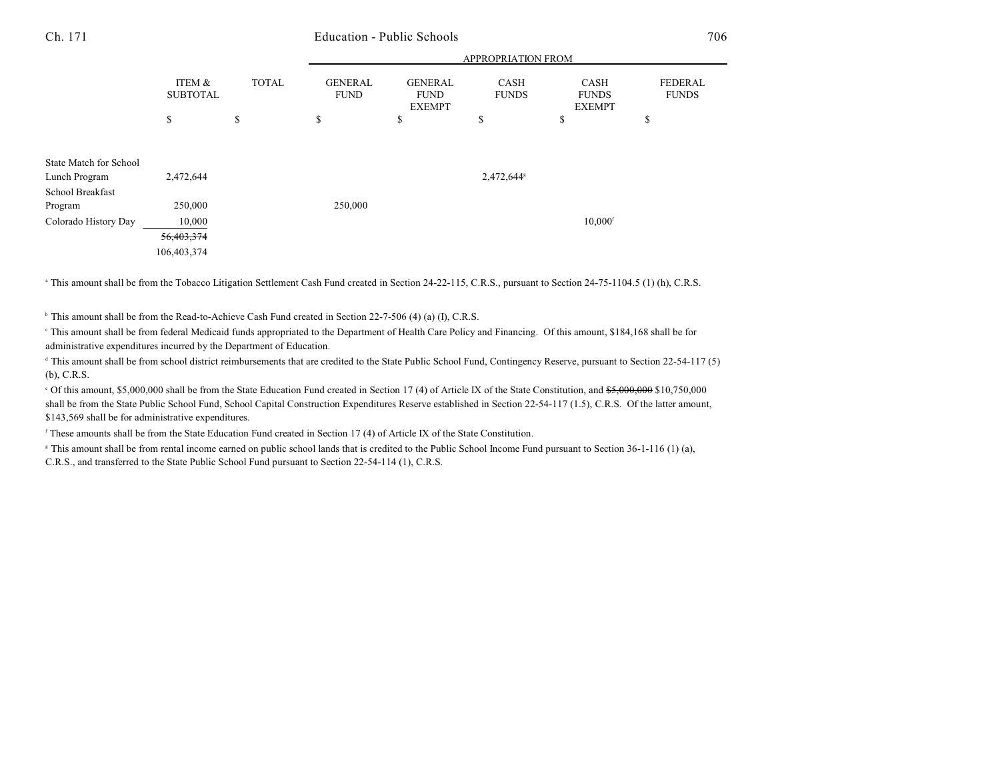### Ch. 171 Education - Public Schools 706

|                        |                           |              | APPROPRIATION FROM            |                                                |                             |                                              |                         |
|------------------------|---------------------------|--------------|-------------------------------|------------------------------------------------|-----------------------------|----------------------------------------------|-------------------------|
|                        | ITEM &<br><b>SUBTOTAL</b> | <b>TOTAL</b> | <b>GENERAL</b><br><b>FUND</b> | <b>GENERAL</b><br><b>FUND</b><br><b>EXEMPT</b> | <b>CASH</b><br><b>FUNDS</b> | <b>CASH</b><br><b>FUNDS</b><br><b>EXEMPT</b> | FEDERAL<br><b>FUNDS</b> |
|                        | \$                        | \$           | \$                            | \$                                             | \$                          | \$                                           | \$                      |
|                        |                           |              |                               |                                                |                             |                                              |                         |
| State Match for School |                           |              |                               |                                                |                             |                                              |                         |
| Lunch Program          | 2,472,644                 |              |                               |                                                | 2,472,644 <sup>s</sup>      |                                              |                         |
| School Breakfast       |                           |              |                               |                                                |                             |                                              |                         |
| Program                | 250,000                   |              | 250,000                       |                                                |                             |                                              |                         |
| Colorado History Day   | 10,000                    |              |                               |                                                |                             | $10,000$ <sup>f</sup>                        |                         |
|                        | 56,403,374                |              |                               |                                                |                             |                                              |                         |
|                        | 106,403,374               |              |                               |                                                |                             |                                              |                         |

<sup>a</sup> This amount shall be from the Tobacco Litigation Settlement Cash Fund created in Section 24-22-115, C.R.S., pursuant to Section 24-75-1104.5 (1) (h), C.R.S.

<sup>b</sup> This amount shall be from the Read-to-Achieve Cash Fund created in Section 22-7-506 (4) (a) (I), C.R.S.

This amount shall be from federal Medicaid funds appropriated to the Department of Health Care Policy and Financing. Of this amount, \$184,168 shall be for administrative expenditures incurred by the Department of Education.

<sup>d</sup> This amount shall be from school district reimbursements that are credited to the State Public School Fund, Contingency Reserve, pursuant to Section 22-54-117 (5) (b), C.R.S.

<sup>c</sup> Of this amount, \$5,000,000 shall be from the State Education Fund created in Section 17 (4) of Article IX of the State Constitution, and \$5,000,000 \$10,750,000 shall be from the State Public School Fund, School Capital Construction Expenditures Reserve established in Section 22-54-117 (1.5), C.R.S. Of the latter amount, \$143,569 shall be for administrative expenditures.

<sup>f</sup> These amounts shall be from the State Education Fund created in Section 17 (4) of Article IX of the State Constitution.

<sup>8</sup> This amount shall be from rental income earned on public school lands that is credited to the Public School Income Fund pursuant to Section 36-1-116 (1) (a), C.R.S., and transferred to the State Public School Fund pursuant to Section 22-54-114 (1), C.R.S.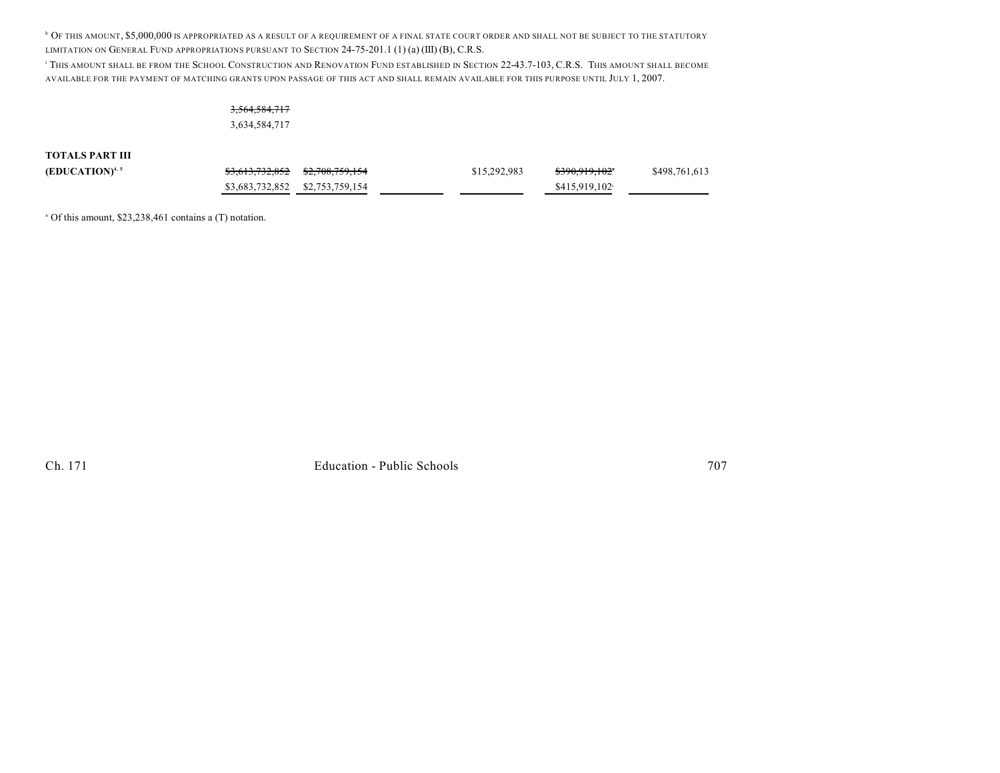<sup>h</sup> Of this amount, \$5,000,000 is appropriated as a result of a requirement of a final state court order and shall not be subject to the statutory LIMITATION ON GENERAL FUND APPROPRIATIONS PURSUANT TO SECTION 24-75-201.1 (1) (a) (III) (B), C.R.S.

<sup>1</sup> THIS AMOUNT SHALL BE FROM THE SCHOOL CONSTRUCTION AND RENOVATION FUND ESTABLISHED IN SECTION 22-43.7-103, C.R.S. THIS AMOUNT SHALL BECOME AVAILABLE FOR THE PAYMENT OF MATCHING GRANTS UPON PASSAGE OF THIS ACT AND SHALL REMAIN AVAILABLE FOR THIS PURPOSE UNTIL JULY 1, 2007.

## 3,564,584,717 3,634,584,717

#### **TOTALS PART III**

| $(EDUCATION)^{4,5}$ | <del>\$3,613,732,852</del> \$2,708,759,154 | \$15,292,983 | <del>\$390,919,102</del> * | \$498,761,613 |
|---------------------|--------------------------------------------|--------------|----------------------------|---------------|
|                     | \$3,683,732,852 \$2,753,759,154            |              | \$415.919.102              |               |

 $^{\circ}$  Of this amount, \$23,238,461 contains a (T) notation.

Ch. 171 **Education - Public Schools** 707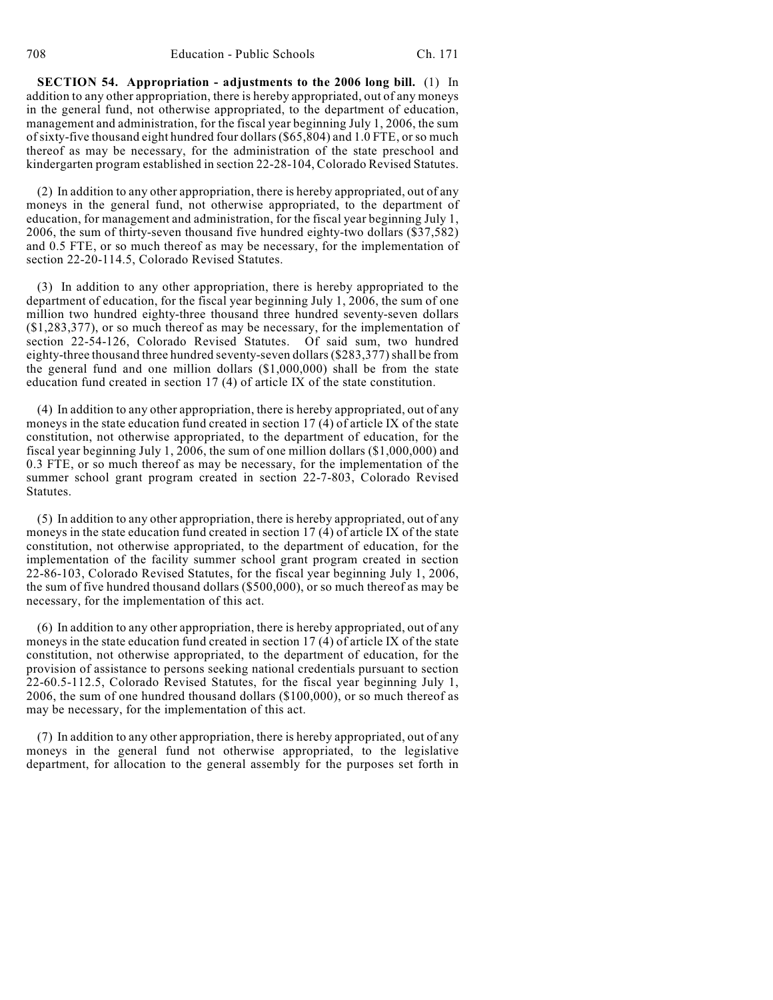**SECTION 54. Appropriation - adjustments to the 2006 long bill.** (1) In addition to any other appropriation, there is hereby appropriated, out of any moneys in the general fund, not otherwise appropriated, to the department of education, management and administration, for the fiscal year beginning July 1, 2006, the sum ofsixty-five thousand eight hundred four dollars (\$65,804) and 1.0 FTE, or so much thereof as may be necessary, for the administration of the state preschool and kindergarten program established in section 22-28-104, Colorado Revised Statutes.

(2) In addition to any other appropriation, there is hereby appropriated, out of any moneys in the general fund, not otherwise appropriated, to the department of education, for management and administration, for the fiscal year beginning July 1, 2006, the sum of thirty-seven thousand five hundred eighty-two dollars (\$37,582) and 0.5 FTE, or so much thereof as may be necessary, for the implementation of section 22-20-114.5, Colorado Revised Statutes.

(3) In addition to any other appropriation, there is hereby appropriated to the department of education, for the fiscal year beginning July 1, 2006, the sum of one million two hundred eighty-three thousand three hundred seventy-seven dollars (\$1,283,377), or so much thereof as may be necessary, for the implementation of section 22-54-126, Colorado Revised Statutes. Of said sum, two hundred eighty-three thousand three hundred seventy-seven dollars (\$283,377) shall be from the general fund and one million dollars (\$1,000,000) shall be from the state education fund created in section 17 (4) of article IX of the state constitution.

(4) In addition to any other appropriation, there is hereby appropriated, out of any moneys in the state education fund created in section 17 (4) of article IX of the state constitution, not otherwise appropriated, to the department of education, for the fiscal year beginning July 1,  $2006$ , the sum of one million dollars (\$1,000,000) and 0.3 FTE, or so much thereof as may be necessary, for the implementation of the summer school grant program created in section 22-7-803, Colorado Revised Statutes.

(5) In addition to any other appropriation, there is hereby appropriated, out of any moneys in the state education fund created in section 17 (4) of article IX of the state constitution, not otherwise appropriated, to the department of education, for the implementation of the facility summer school grant program created in section 22-86-103, Colorado Revised Statutes, for the fiscal year beginning July 1, 2006, the sum of five hundred thousand dollars (\$500,000), or so much thereof as may be necessary, for the implementation of this act.

(6) In addition to any other appropriation, there is hereby appropriated, out of any moneys in the state education fund created in section 17 (4) of article IX of the state constitution, not otherwise appropriated, to the department of education, for the provision of assistance to persons seeking national credentials pursuant to section 22-60.5-112.5, Colorado Revised Statutes, for the fiscal year beginning July 1, 2006, the sum of one hundred thousand dollars (\$100,000), or so much thereof as may be necessary, for the implementation of this act.

(7) In addition to any other appropriation, there is hereby appropriated, out of any moneys in the general fund not otherwise appropriated, to the legislative department, for allocation to the general assembly for the purposes set forth in